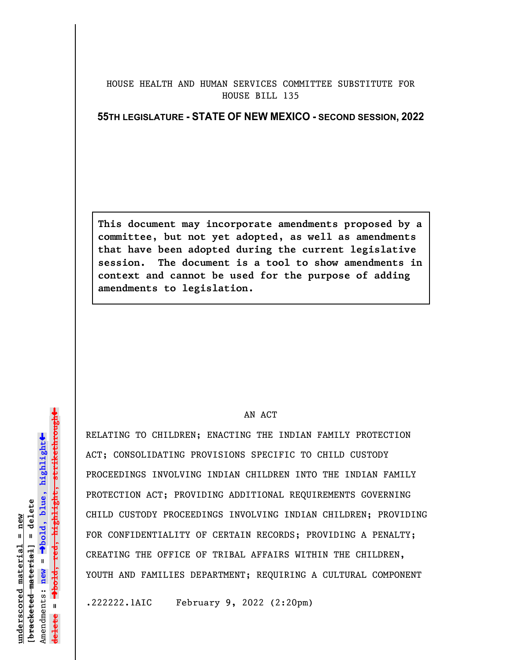## HOUSE HEALTH AND HUMAN SERVICES COMMITTEE SUBSTITUTE FOR HOUSE BILL 135

**55TH LEGISLATURE - STATE OF NEW MEXICO - SECOND SESSION, 2022**

**This document may incorporate amendments proposed by a committee, but not yet adopted, as well as amendments that have been adopted during the current legislative session. The document is a tool to show amendments in context and cannot be used for the purpose of adding amendments to legislation.**

## AN ACT

RELATING TO CHILDREN; ENACTING THE INDIAN FAMILY PROTECTION ACT; CONSOLIDATING PROVISIONS SPECIFIC TO CHILD CUSTODY PROCEEDINGS INVOLVING INDIAN CHILDREN INTO THE INDIAN FAMILY PROTECTION ACT; PROVIDING ADDITIONAL REQUIREMENTS GOVERNING CHILD CUSTODY PROCEEDINGS INVOLVING INDIAN CHILDREN; PROVIDING FOR CONFIDENTIALITY OF CERTAIN RECORDS; PROVIDING A PENALTY; CREATING THE OFFICE OF TRIBAL AFFAIRS WITHIN THE CHILDREN, YOUTH AND FAMILIES DEPARTMENT; REQUIRING A CULTURAL COMPONENT

.222222.1AIC February 9, 2022 (2:20pm)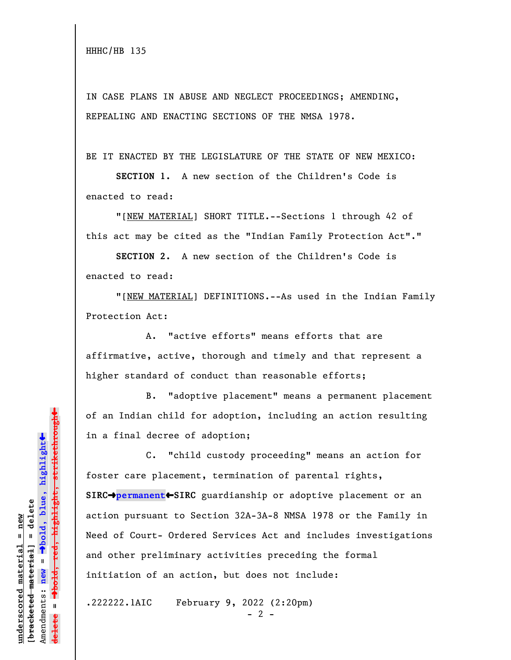IN CASE PLANS IN ABUSE AND NEGLECT PROCEEDINGS; AMENDING, REPEALING AND ENACTING SECTIONS OF THE NMSA 1978.

BE IT ENACTED BY THE LEGISLATURE OF THE STATE OF NEW MEXICO:

**SECTION 1.** A new section of the Children's Code is enacted to read:

"[NEW MATERIAL] SHORT TITLE.--Sections 1 through 42 of this act may be cited as the "Indian Family Protection Act"."

**SECTION 2.** A new section of the Children's Code is enacted to read:

"[NEW MATERIAL] DEFINITIONS.--As used in the Indian Family Protection Act:

A. "active efforts" means efforts that are affirmative, active, thorough and timely and that represent a higher standard of conduct than reasonable efforts;

B. "adoptive placement" means a permanent placement of an Indian child for adoption, including an action resulting in a final decree of adoption;

C. "child custody proceeding" means an action for foster care placement, termination of parental rights, **SIRC**º**permanent**»**SIRC** guardianship or adoptive placement or an action pursuant to Section 32A-3A-8 NMSA 1978 or the Family in Need of Court- Ordered Services Act and includes investigations and other preliminary activities preceding the formal initiation of an action, but does not include:

.222222.1AIC February 9, 2022 (2:20pm)

 $- 2 -$ 

 $\ddag$ º**bold, red, highlight, strikethrough**  $\ddot{\bullet}$ º**bold, blue, highlight**  $b$ racketed material] = delete **[bracketed material] = delete** inderscored material = new **underscored material = new** Amendments: new = Amendments: **new** =  $\mathbf{u}$ **delete =**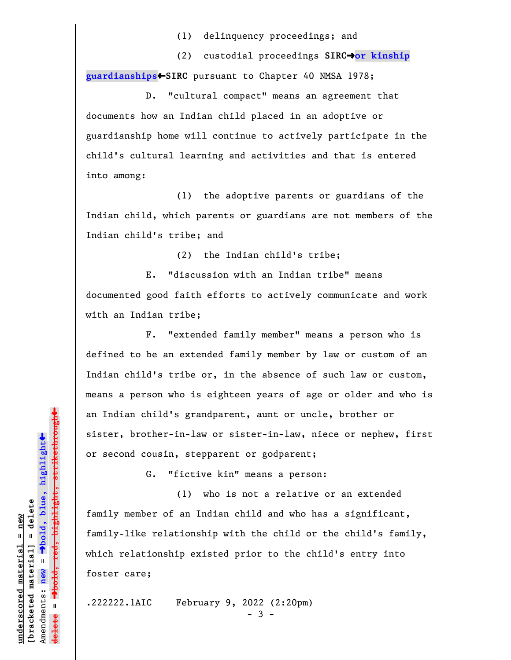(1) delinquency proceedings; and

(2) custodial proceedings **SIRC**º**or kinship guardianships**»**SIRC** pursuant to Chapter 40 NMSA 1978;

D. "cultural compact" means an agreement that documents how an Indian child placed in an adoptive or guardianship home will continue to actively participate in the child's cultural learning and activities and that is entered into among:

(1) the adoptive parents or guardians of the Indian child, which parents or guardians are not members of the Indian child's tribe; and

(2) the Indian child's tribe;

E. "discussion with an Indian tribe" means documented good faith efforts to actively communicate and work with an Indian tribe;

F. "extended family member" means a person who is defined to be an extended family member by law or custom of an Indian child's tribe or, in the absence of such law or custom, means a person who is eighteen years of age or older and who is an Indian child's grandparent, aunt or uncle, brother or sister, brother-in-law or sister-in-law, niece or nephew, first or second cousin, stepparent or godparent;

G. "fictive kin" means a person:

(1) who is not a relative or an extended family member of an Indian child and who has a significant, family-like relationship with the child or the child's family, which relationship existed prior to the child's entry into foster care;

.222222.1AIC February 9, 2022 (2:20pm)

- 3 -

»red<del>, highlight, strikethrough</del> º**bold, red, highlight, strikethrough**  $\ddot{\bullet}$ º**bold, blue, highlight**  $b$ racketed material] = delete **[bracketed material] = delete** inderscored material = new **underscored material = new** Amendments: **new** =  $\mathbf{I}$ Amendments: new  $\mathbf{I}$ **delete =**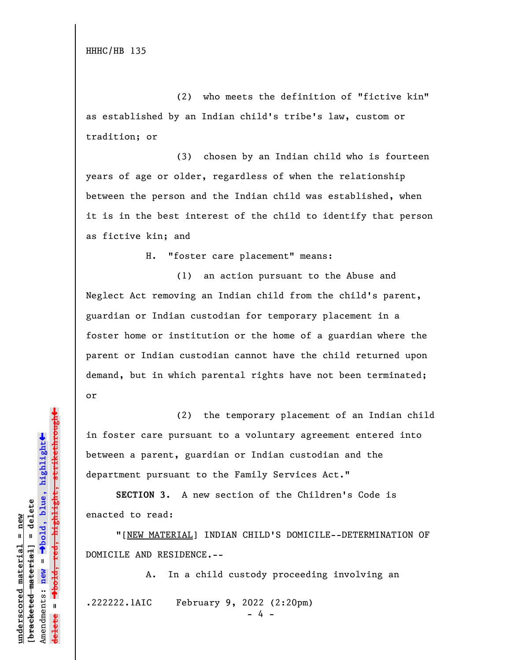HHHC/HB 135

(2) who meets the definition of "fictive kin" as established by an Indian child's tribe's law, custom or tradition; or

(3) chosen by an Indian child who is fourteen years of age or older, regardless of when the relationship between the person and the Indian child was established, when it is in the best interest of the child to identify that person as fictive kin; and

H. "foster care placement" means:

(1) an action pursuant to the Abuse and Neglect Act removing an Indian child from the child's parent, guardian or Indian custodian for temporary placement in a foster home or institution or the home of a guardian where the parent or Indian custodian cannot have the child returned upon demand, but in which parental rights have not been terminated; or

(2) the temporary placement of an Indian child in foster care pursuant to a voluntary agreement entered into between a parent, guardian or Indian custodian and the department pursuant to the Family Services Act."

**SECTION 3.** A new section of the Children's Code is enacted to read:

"[NEW MATERIAL] INDIAN CHILD'S DOMICILE--DETERMINATION OF DOMICILE AND RESIDENCE.--

A. In a child custody proceeding involving an .222222.1AIC February 9, 2022 (2:20pm)

»º**bold, red, highlight, strikethrough** red<del>, highlight, strikethrou</del>  $\ddot{\bullet}$ º**bold, blue, highlight** bracketed material] = delete **[bracketed material] = delete** inderscored material = new **underscored material = new** Amendments: **new** =  $\mathbf{I}$ Amendments: new **delete =**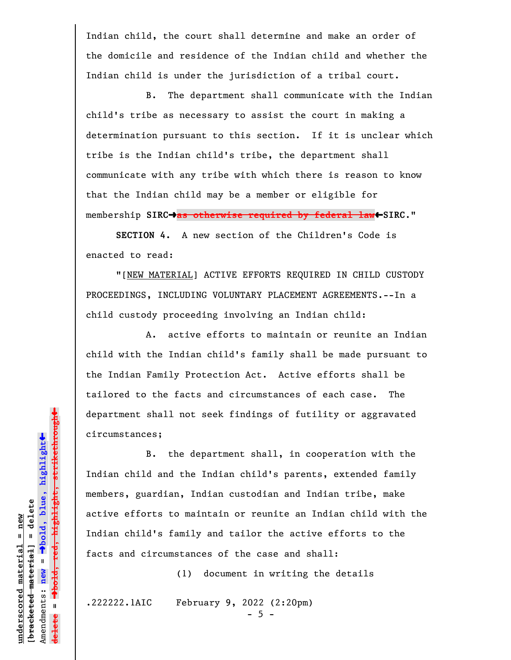Indian child, the court shall determine and make an order of the domicile and residence of the Indian child and whether the Indian child is under the jurisdiction of a tribal court.

B. The department shall communicate with the Indian child's tribe as necessary to assist the court in making a determination pursuant to this section. If it is unclear which tribe is the Indian child's tribe, the department shall communicate with any tribe with which there is reason to know that the Indian child may be a member or eligible for membership SIRC<sup>+</sup>as otherwise required by federal law<sup>+</sup>SIRC."

**SECTION 4.** A new section of the Children's Code is enacted to read:

"[NEW MATERIAL] ACTIVE EFFORTS REQUIRED IN CHILD CUSTODY PROCEEDINGS, INCLUDING VOLUNTARY PLACEMENT AGREEMENTS.--In a child custody proceeding involving an Indian child:

A. active efforts to maintain or reunite an Indian child with the Indian child's family shall be made pursuant to the Indian Family Protection Act. Active efforts shall be tailored to the facts and circumstances of each case. The department shall not seek findings of futility or aggravated circumstances;

B. the department shall, in cooperation with the Indian child and the Indian child's parents, extended family members, guardian, Indian custodian and Indian tribe, make active efforts to maintain or reunite an Indian child with the Indian child's family and tailor the active efforts to the facts and circumstances of the case and shall:

(1) document in writing the details

.222222.1AIC February 9, 2022 (2:20pm)

 $- 5 -$ 

 $\ddag$ º**bold, red, highlight, strikethrough**  $\ddot{\bullet}$ º**bold, blue, highlight**  $b$ racketed material] = delete **[bracketed material] = delete**  $underscored material = new$ **underscored material = new** Amendments: new = Amendments: **new** =  $\mathbf{I}$ **delete =**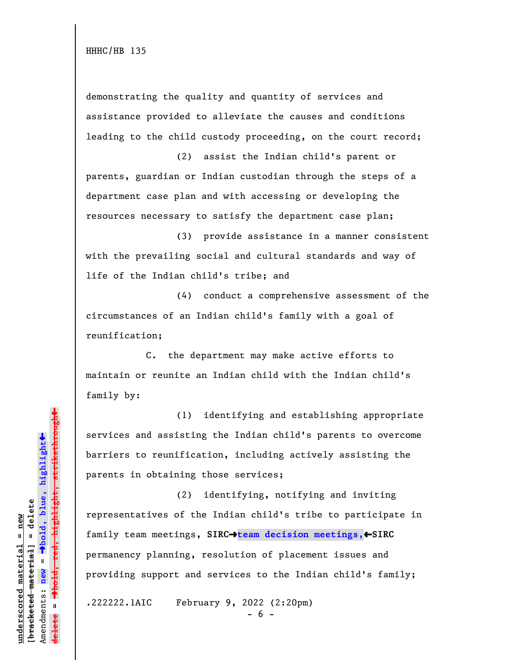demonstrating the quality and quantity of services and assistance provided to alleviate the causes and conditions leading to the child custody proceeding, on the court record;

(2) assist the Indian child's parent or parents, guardian or Indian custodian through the steps of a department case plan and with accessing or developing the resources necessary to satisfy the department case plan;

(3) provide assistance in a manner consistent with the prevailing social and cultural standards and way of life of the Indian child's tribe; and

(4) conduct a comprehensive assessment of the circumstances of an Indian child's family with a goal of reunification;

C. the department may make active efforts to maintain or reunite an Indian child with the Indian child's family by:

(1) identifying and establishing appropriate services and assisting the Indian child's parents to overcome barriers to reunification, including actively assisting the parents in obtaining those services;

(2) identifying, notifying and inviting representatives of the Indian child's tribe to participate in family team meetings, SIRC→team decision meetings,←SIRC permanency planning, resolution of placement issues and providing support and services to the Indian child's family;

.222222.1AIC February 9, 2022 (2:20pm)

 $\ddag$ º**bold, red, highlight, strikethrough**  $\ddot{\bullet}$ º**bold, blue, highlight**  $b$ racketed material] = delete **[bracketed material] = delete** inderscored material = new **underscored material = new** Amendments: new = Amendments: **new** =  $\mathbf{u}$ **delete =** <del>ielete</del>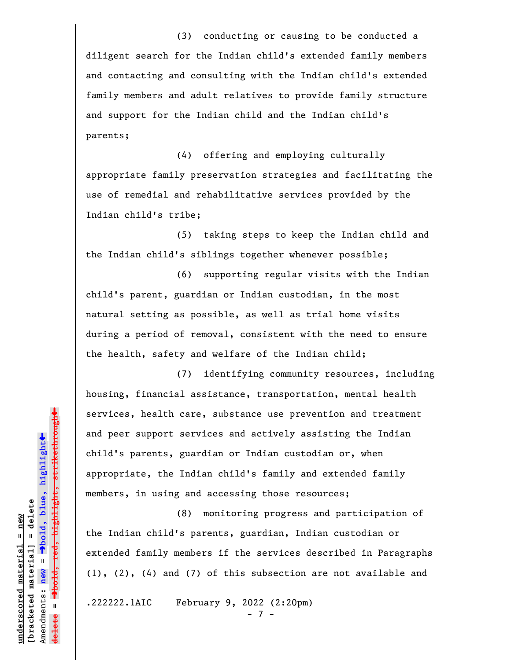(3) conducting or causing to be conducted a diligent search for the Indian child's extended family members and contacting and consulting with the Indian child's extended family members and adult relatives to provide family structure and support for the Indian child and the Indian child's parents;

(4) offering and employing culturally appropriate family preservation strategies and facilitating the use of remedial and rehabilitative services provided by the Indian child's tribe;

(5) taking steps to keep the Indian child and the Indian child's siblings together whenever possible;

(6) supporting regular visits with the Indian child's parent, guardian or Indian custodian, in the most natural setting as possible, as well as trial home visits during a period of removal, consistent with the need to ensure the health, safety and welfare of the Indian child;

(7) identifying community resources, including housing, financial assistance, transportation, mental health services, health care, substance use prevention and treatment and peer support services and actively assisting the Indian child's parents, guardian or Indian custodian or, when appropriate, the Indian child's family and extended family members, in using and accessing those resources;

(8) monitoring progress and participation of the Indian child's parents, guardian, Indian custodian or extended family members if the services described in Paragraphs (1), (2), (4) and (7) of this subsection are not available and

.222222.1AIC February 9, 2022 (2:20pm)

 $7 -$ 

 $\ddag$ º**bold, red, highlight, strikethrough**  $\ddot{\bullet}$ º**bold, blue, highlight**  $b$ racketed material] = delete **[bracketed material] = delete** inderscored material = new **underscored material = new** Amendments: **new** = Amendments: new =  $\mathbf{I}$ **delete =** <del>ielete</del>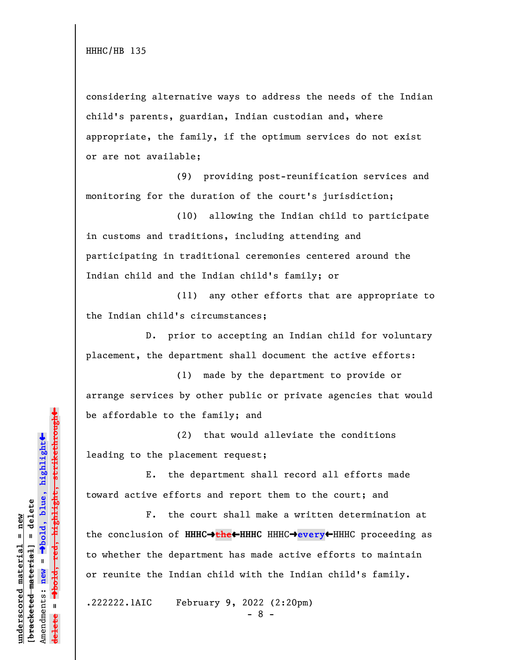considering alternative ways to address the needs of the Indian child's parents, guardian, Indian custodian and, where appropriate, the family, if the optimum services do not exist or are not available;

(9) providing post-reunification services and monitoring for the duration of the court's jurisdiction;

(10) allowing the Indian child to participate in customs and traditions, including attending and participating in traditional ceremonies centered around the Indian child and the Indian child's family; or

(11) any other efforts that are appropriate to the Indian child's circumstances;

D. prior to accepting an Indian child for voluntary placement, the department shall document the active efforts:

(1) made by the department to provide or arrange services by other public or private agencies that would be affordable to the family; and

(2) that would alleviate the conditions leading to the placement request;

E. the department shall record all efforts made toward active efforts and report them to the court; and

F. the court shall make a written determination at the conclusion of **HHHC→the←HHHC** HHHC→every←HHHC proceeding as to whether the department has made active efforts to maintain or reunite the Indian child with the Indian child's family.

.222222.1AIC February 9, 2022 (2:20pm)

- 8 -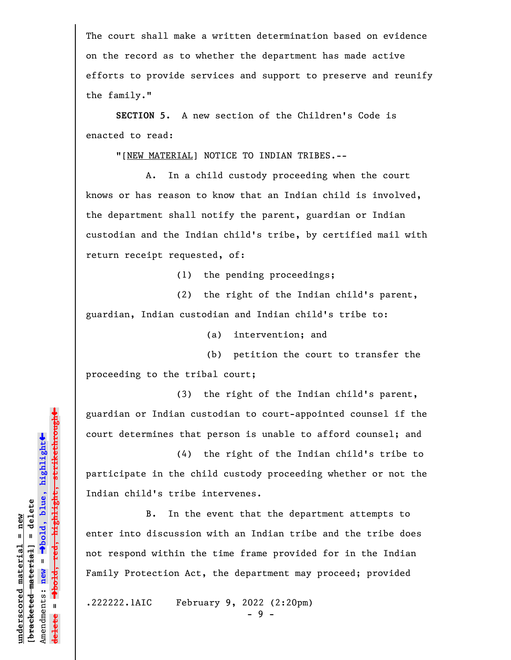The court shall make a written determination based on evidence on the record as to whether the department has made active efforts to provide services and support to preserve and reunify the family."

**SECTION 5.** A new section of the Children's Code is enacted to read:

"[NEW MATERIAL] NOTICE TO INDIAN TRIBES.--

A. In a child custody proceeding when the court knows or has reason to know that an Indian child is involved, the department shall notify the parent, guardian or Indian custodian and the Indian child's tribe, by certified mail with return receipt requested, of:

(1) the pending proceedings;

(2) the right of the Indian child's parent, guardian, Indian custodian and Indian child's tribe to:

(a) intervention; and

(b) petition the court to transfer the proceeding to the tribal court;

(3) the right of the Indian child's parent, guardian or Indian custodian to court-appointed counsel if the court determines that person is unable to afford counsel; and

(4) the right of the Indian child's tribe to participate in the child custody proceeding whether or not the Indian child's tribe intervenes.

B. In the event that the department attempts to enter into discussion with an Indian tribe and the tribe does not respond within the time frame provided for in the Indian Family Protection Act, the department may proceed; provided

.222222.1AIC February 9, 2022 (2:20pm)

- 9 -

 $\ddag$ º**bold, red, highlight, strikethrough**  $\ddot{\bullet}$ º**bold, blue, highlight**  $b$ racketed material] = delete **[bracketed material] = delete** inderscored material = new **underscored material = new** Amendments: **new** =  $\bar{\mathbf{u}}$ Amendments: new  $\mathbf{I}$ **delete =**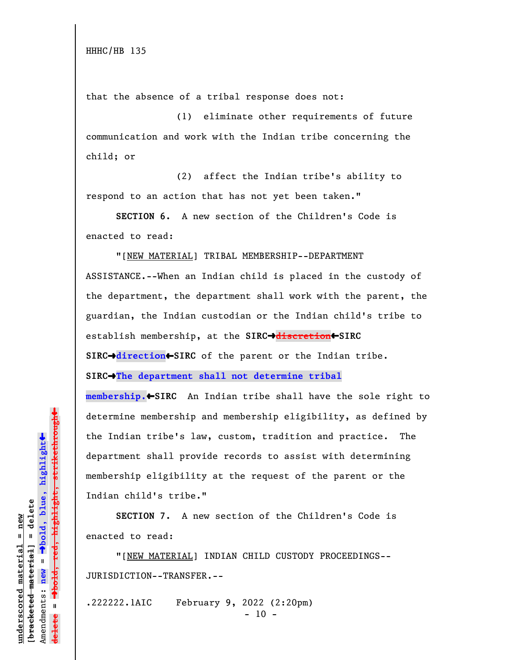that the absence of a tribal response does not:

(1) eliminate other requirements of future communication and work with the Indian tribe concerning the child; or

(2) affect the Indian tribe's ability to respond to an action that has not yet been taken."

**SECTION 6.** A new section of the Children's Code is enacted to read:

"[NEW MATERIAL] TRIBAL MEMBERSHIP--DEPARTMENT

ASSISTANCE.--When an Indian child is placed in the custody of the department, the department shall work with the parent, the guardian, the Indian custodian or the Indian child's tribe to establish membership, at the **SIRC**º**discretion**»**SIRC**

**SIRC**º**direction**»**SIRC** of the parent or the Indian tribe.

**SIRC**º**The department shall not determine tribal**

**membership.**»**SIRC** An Indian tribe shall have the sole right to determine membership and membership eligibility, as defined by the Indian tribe's law, custom, tradition and practice. The department shall provide records to assist with determining membership eligibility at the request of the parent or the Indian child's tribe."

**SECTION 7.** A new section of the Children's Code is enacted to read:

"[NEW MATERIAL] INDIAN CHILD CUSTODY PROCEEDINGS-- JURISDICTION--TRANSFER.--

.222222.1AIC February 9, 2022 (2:20pm)  $- 10 -$ 

º**bold, red, highlight, strikethrough**  $\ddot{\bullet}$ º**bold, blue, highlight**  $b$ racketed material] = delete **[bracketed material] = delete** inderscored material = new **underscored material = new** Amendments: new = Amendments: **new** =  $\mathbf{u}$ **delete =**

 $\ddag$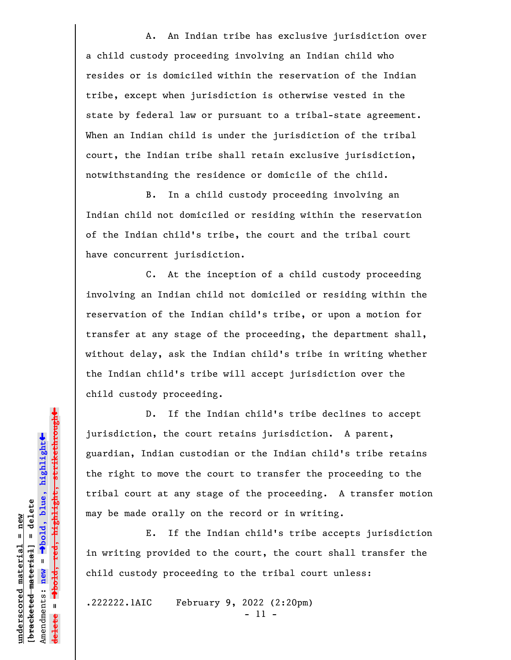A. An Indian tribe has exclusive jurisdiction over a child custody proceeding involving an Indian child who resides or is domiciled within the reservation of the Indian tribe, except when jurisdiction is otherwise vested in the state by federal law or pursuant to a tribal-state agreement. When an Indian child is under the jurisdiction of the tribal court, the Indian tribe shall retain exclusive jurisdiction, notwithstanding the residence or domicile of the child.

B. In a child custody proceeding involving an Indian child not domiciled or residing within the reservation of the Indian child's tribe, the court and the tribal court have concurrent jurisdiction.

C. At the inception of a child custody proceeding involving an Indian child not domiciled or residing within the reservation of the Indian child's tribe, or upon a motion for transfer at any stage of the proceeding, the department shall, without delay, ask the Indian child's tribe in writing whether the Indian child's tribe will accept jurisdiction over the child custody proceeding.

D. If the Indian child's tribe declines to accept jurisdiction, the court retains jurisdiction. A parent, guardian, Indian custodian or the Indian child's tribe retains the right to move the court to transfer the proceeding to the tribal court at any stage of the proceeding. A transfer motion may be made orally on the record or in writing.

E. If the Indian child's tribe accepts jurisdiction in writing provided to the court, the court shall transfer the child custody proceeding to the tribal court unless:

.222222.1AIC February 9, 2022 (2:20pm)

- 11 -

 $\ddag$ º**bold, red, highlight, strikethrough**  $\ddot{\bullet}$ º**bold, blue, highlight**  $b$ racketed material] = delete **[bracketed material] = delete** inderscored material = new **underscored material = new** Amendments: **new** =  $\mathbf{I}$ Amendments: new  $\overline{\textbf{t}}$  $\mathbf{I}$ **delete =**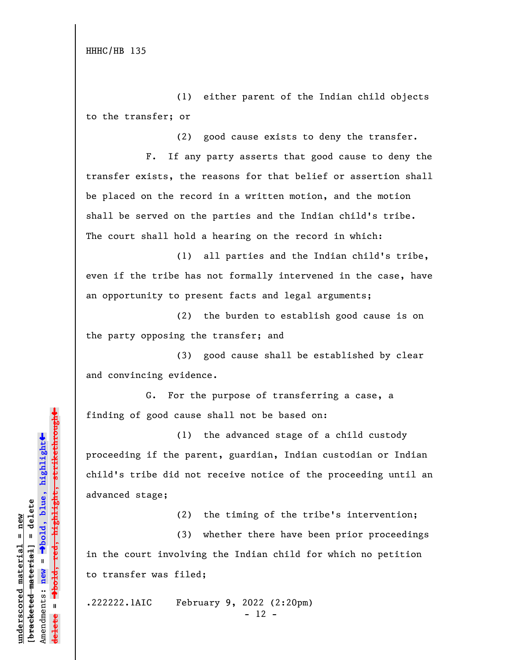HHHC/HB 135

(1) either parent of the Indian child objects to the transfer; or

(2) good cause exists to deny the transfer.

F. If any party asserts that good cause to deny the transfer exists, the reasons for that belief or assertion shall be placed on the record in a written motion, and the motion shall be served on the parties and the Indian child's tribe. The court shall hold a hearing on the record in which:

(1) all parties and the Indian child's tribe, even if the tribe has not formally intervened in the case, have an opportunity to present facts and legal arguments;

(2) the burden to establish good cause is on the party opposing the transfer; and

(3) good cause shall be established by clear and convincing evidence.

G. For the purpose of transferring a case, a finding of good cause shall not be based on:

(1) the advanced stage of a child custody proceeding if the parent, guardian, Indian custodian or Indian child's tribe did not receive notice of the proceeding until an advanced stage;

(2) the timing of the tribe's intervention;

(3) whether there have been prior proceedings in the court involving the Indian child for which no petition to transfer was filed;

.222222.1AIC February 9, 2022 (2:20pm)

- 12 -

»º**bold, red, highlight, strikethrough**  $\ddot{\bullet}$ º**bold, blue, highlight** bracketed material] = delete **[bracketed material] = delete** inderscored material = new **underscored material = new** Amendments: **new** =  $\mathbf{I}$ Amendments: new  $\mathbf{u}$ **delete =**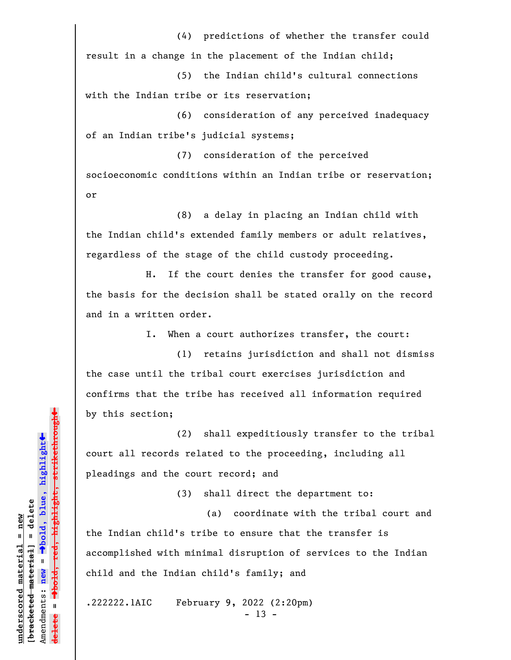(4) predictions of whether the transfer could result in a change in the placement of the Indian child;

(5) the Indian child's cultural connections with the Indian tribe or its reservation;

(6) consideration of any perceived inadequacy of an Indian tribe's judicial systems;

(7) consideration of the perceived socioeconomic conditions within an Indian tribe or reservation; or

(8) a delay in placing an Indian child with the Indian child's extended family members or adult relatives, regardless of the stage of the child custody proceeding.

H. If the court denies the transfer for good cause, the basis for the decision shall be stated orally on the record and in a written order.

I. When a court authorizes transfer, the court:

(1) retains jurisdiction and shall not dismiss the case until the tribal court exercises jurisdiction and confirms that the tribe has received all information required by this section;

(2) shall expeditiously transfer to the tribal court all records related to the proceeding, including all pleadings and the court record; and

(3) shall direct the department to:

(a) coordinate with the tribal court and the Indian child's tribe to ensure that the transfer is accomplished with minimal disruption of services to the Indian child and the Indian child's family; and

.222222.1AIC February 9, 2022 (2:20pm)  $- 13 -$ 

<del>highlight, strikethrough</del> º**bold, red, highlight, strikethrough**  $\ddot{\bullet}$ º**bold, blue, highlight**  $b$ racketed material] = delete **[bracketed material] = delete** inderscored material = new **underscored material = new** Amendments: **new** =  $\bar{\mathbf{H}}$ Amendments: new  $\mathbf{u}$ **delete =**

»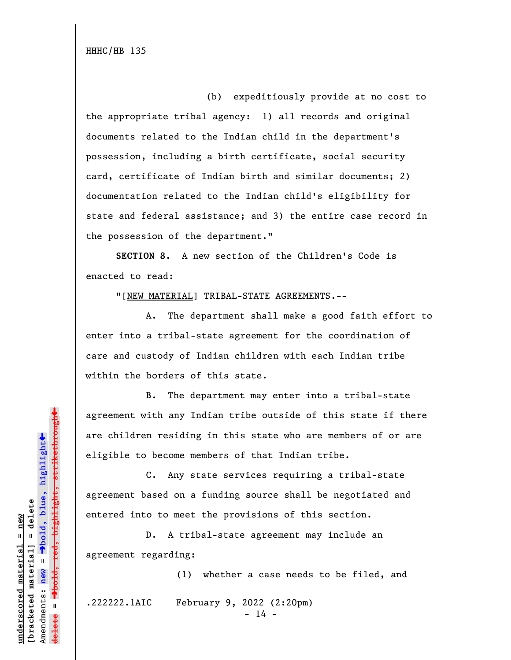HHHC/HB 135

(b) expeditiously provide at no cost to the appropriate tribal agency: 1) all records and original documents related to the Indian child in the department's possession, including a birth certificate, social security card, certificate of Indian birth and similar documents; 2) documentation related to the Indian child's eligibility for state and federal assistance; and 3) the entire case record in the possession of the department."

**SECTION 8.** A new section of the Children's Code is enacted to read:

"[NEW MATERIAL] TRIBAL-STATE AGREEMENTS.--

A. The department shall make a good faith effort to enter into a tribal-state agreement for the coordination of care and custody of Indian children with each Indian tribe within the borders of this state.

B. The department may enter into a tribal-state agreement with any Indian tribe outside of this state if there are children residing in this state who are members of or are eligible to become members of that Indian tribe.

C. Any state services requiring a tribal-state agreement based on a funding source shall be negotiated and entered into to meet the provisions of this section.

D. A tribal-state agreement may include an agreement regarding:

(1) whether a case needs to be filed, and .222222.1AIC February 9, 2022 (2:20pm)

 $- 14 -$ 

» $\rightarrow$ bold, red, highlight, strikethrough º**bold, red, highlight, strikethrough**  $\ddot{\bullet}$ º**bold, blue, highlight** bracketed material] = delete **[bracketed material] = delete** inderscored material = new **underscored material = new** Amendments: **new** =  $\mathbf{u}$ Amendments: new **delete =**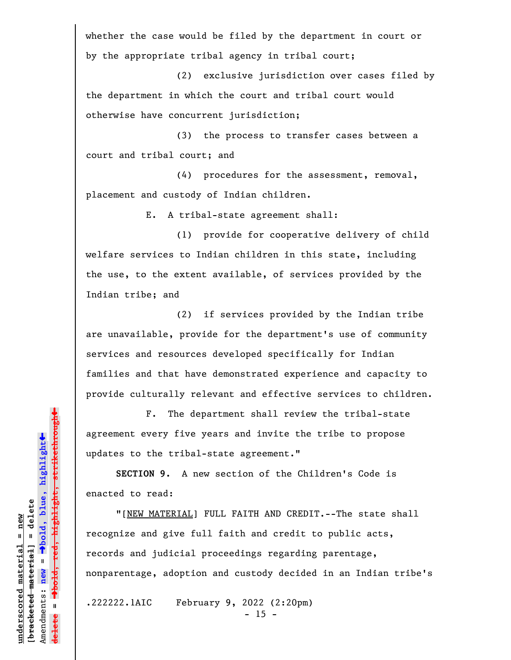whether the case would be filed by the department in court or by the appropriate tribal agency in tribal court;

(2) exclusive jurisdiction over cases filed by the department in which the court and tribal court would otherwise have concurrent jurisdiction;

(3) the process to transfer cases between a court and tribal court; and

(4) procedures for the assessment, removal, placement and custody of Indian children.

E. A tribal-state agreement shall:

(1) provide for cooperative delivery of child welfare services to Indian children in this state, including the use, to the extent available, of services provided by the Indian tribe; and

(2) if services provided by the Indian tribe are unavailable, provide for the department's use of community services and resources developed specifically for Indian families and that have demonstrated experience and capacity to provide culturally relevant and effective services to children.

F. The department shall review the tribal-state agreement every five years and invite the tribe to propose updates to the tribal-state agreement."

**SECTION 9.** A new section of the Children's Code is enacted to read:

"[NEW MATERIAL] FULL FAITH AND CREDIT.--The state shall recognize and give full faith and credit to public acts, records and judicial proceedings regarding parentage, nonparentage, adoption and custody decided in an Indian tribe's

.222222.1AIC February 9, 2022 (2:20pm)

 $- 15 -$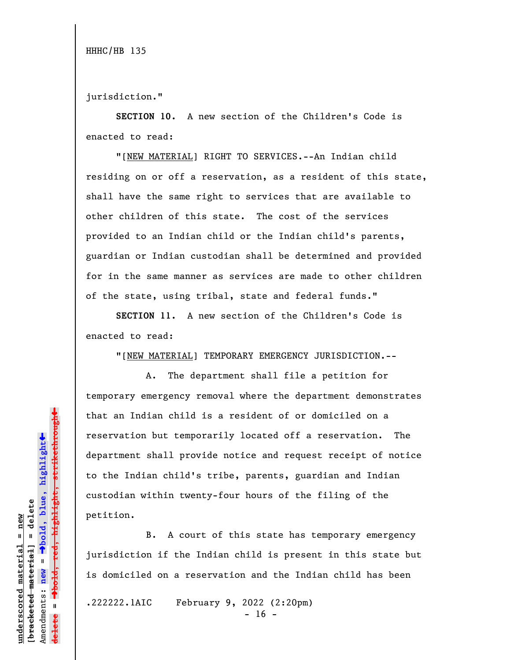jurisdiction."

**SECTION 10.** A new section of the Children's Code is enacted to read:

"[NEW MATERIAL] RIGHT TO SERVICES.--An Indian child residing on or off a reservation, as a resident of this state, shall have the same right to services that are available to other children of this state. The cost of the services provided to an Indian child or the Indian child's parents, guardian or Indian custodian shall be determined and provided for in the same manner as services are made to other children of the state, using tribal, state and federal funds."

**SECTION 11.** A new section of the Children's Code is enacted to read:

"[NEW MATERIAL] TEMPORARY EMERGENCY JURISDICTION.--

A. The department shall file a petition for temporary emergency removal where the department demonstrates that an Indian child is a resident of or domiciled on a reservation but temporarily located off a reservation. The department shall provide notice and request receipt of notice to the Indian child's tribe, parents, guardian and Indian custodian within twenty-four hours of the filing of the petition.

B. A court of this state has temporary emergency jurisdiction if the Indian child is present in this state but is domiciled on a reservation and the Indian child has been

.222222.1AIC February 9, 2022 (2:20pm)

 $- 16 -$ 

 $\ddag$ º**bold, red, highlight, strikethrough**  $\ddot{\bullet}$ º**bold, blue, highlight**  $b$ racketed material] = delete **[bracketed material] = delete** inderscored material = new **underscored material = new**  $\mathbf{I}$ Amendments: **new** = Amendments: new  $\mathbf{u}$ **delete =**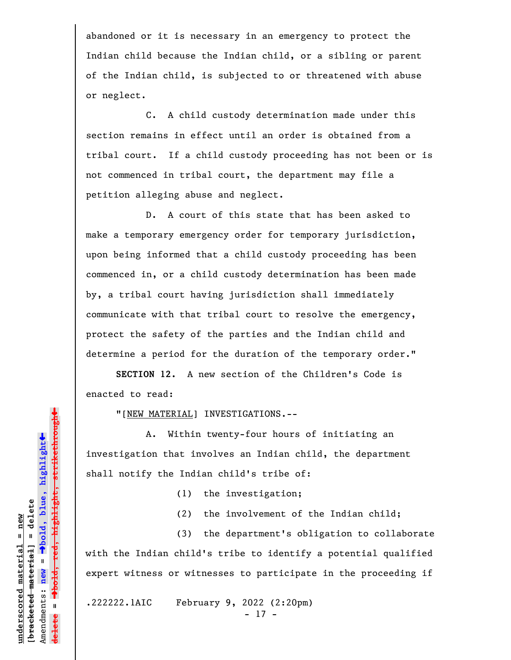abandoned or it is necessary in an emergency to protect the Indian child because the Indian child, or a sibling or parent of the Indian child, is subjected to or threatened with abuse or neglect.

C. A child custody determination made under this section remains in effect until an order is obtained from a tribal court. If a child custody proceeding has not been or is not commenced in tribal court, the department may file a petition alleging abuse and neglect.

D. A court of this state that has been asked to make a temporary emergency order for temporary jurisdiction, upon being informed that a child custody proceeding has been commenced in, or a child custody determination has been made by, a tribal court having jurisdiction shall immediately communicate with that tribal court to resolve the emergency, protect the safety of the parties and the Indian child and determine a period for the duration of the temporary order."

**SECTION 12.** A new section of the Children's Code is enacted to read:

"[NEW MATERIAL] INVESTIGATIONS.--

A. Within twenty-four hours of initiating an investigation that involves an Indian child, the department shall notify the Indian child's tribe of:

(1) the investigation;

(2) the involvement of the Indian child;

(3) the department's obligation to collaborate with the Indian child's tribe to identify a potential qualified expert witness or witnesses to participate in the proceeding if

.222222.1AIC February 9, 2022 (2:20pm)

- 17 -

 $\ddag$ º**bold, red, highlight, strikethrough**  $\ddot{\bullet}$ º**bold, blue, highlight**  $b$ racketed material] = delete **[bracketed material] = delete** inderscored material = new **underscored material = new red,** Amendments: **new** =  $\mathbf{I}$ Amendments: new  $\mathbf{I}$ **delete =**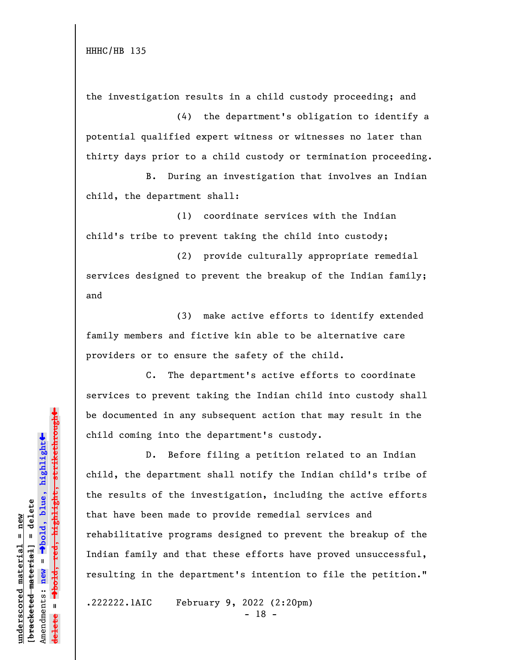the investigation results in a child custody proceeding; and

(4) the department's obligation to identify a potential qualified expert witness or witnesses no later than thirty days prior to a child custody or termination proceeding.

B. During an investigation that involves an Indian child, the department shall:

(1) coordinate services with the Indian child's tribe to prevent taking the child into custody;

(2) provide culturally appropriate remedial services designed to prevent the breakup of the Indian family; and

(3) make active efforts to identify extended family members and fictive kin able to be alternative care providers or to ensure the safety of the child.

C. The department's active efforts to coordinate services to prevent taking the Indian child into custody shall be documented in any subsequent action that may result in the child coming into the department's custody.

D. Before filing a petition related to an Indian child, the department shall notify the Indian child's tribe of the results of the investigation, including the active efforts that have been made to provide remedial services and rehabilitative programs designed to prevent the breakup of the Indian family and that these efforts have proved unsuccessful, resulting in the department's intention to file the petition."

.222222.1AIC February 9, 2022 (2:20pm)

- 18 -

 $\ddag$ º**bold, red, highlight, strikethrough**  $\ddot{\bullet}$ º**bold, blue, highlight**  $b$ racketed material] = delete **[bracketed material] = delete** inderscored material = new **underscored material = new** Amendments: **new** =  $\mathbf{I}$ Amendments: new  $\mathbf{u}$ **delete =** <del>ielete</del>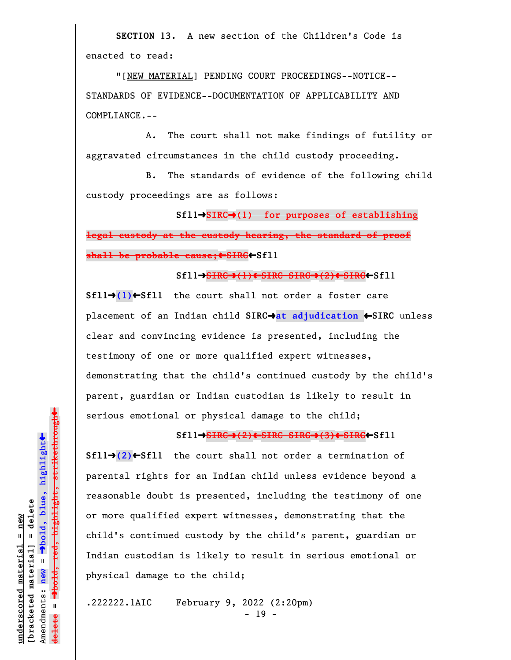**SECTION 13.** A new section of the Children's Code is enacted to read:

"[NEW MATERIAL] PENDING COURT PROCEEDINGS--NOTICE-- STANDARDS OF EVIDENCE--DOCUMENTATION OF APPLICABILITY AND COMPLIANCE.--

A. The court shall not make findings of futility or aggravated circumstances in the child custody proceeding.

B. The standards of evidence of the following child custody proceedings are as follows:

**Sfl1**º**SIRC**º**(1) for purposes of establishing legal custody at the custody hearing, the standard of proof shall be probable cause;**»**SIRC**»**Sfl1**

**Sfl1**º**SIRC**º**(1)**»**SIRC SIRC**º**(2)**»**SIRC**»**Sfl1**

**Sfl1→(1)←Sfl1** the court shall not order a foster care placement of an Indian child **SIRC**º**at adjudication** »**SIRC** unless clear and convincing evidence is presented, including the testimony of one or more qualified expert witnesses, demonstrating that the child's continued custody by the child's parent, guardian or Indian custodian is likely to result in serious emotional or physical damage to the child;

## **Sfl1**º**SIRC**º**(2)**»**SIRC SIRC**º**(3)**»**SIRC**»**Sfl1**

 $Sf11\rightarrow (2) \leftarrow Sf11$  the court shall not order a termination of parental rights for an Indian child unless evidence beyond a reasonable doubt is presented, including the testimony of one or more qualified expert witnesses, demonstrating that the child's continued custody by the child's parent, guardian or Indian custodian is likely to result in serious emotional or physical damage to the child;

.222222.1AIC February 9, 2022 (2:20pm) - 19 -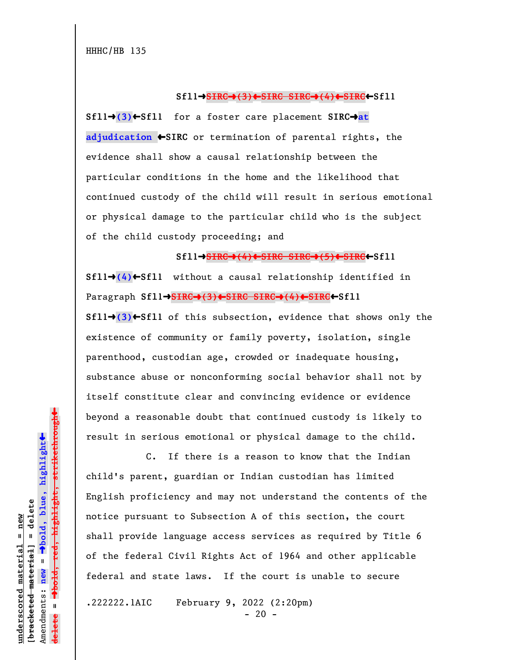**Sfl1**º**SIRC**º**(3)**»**SIRC SIRC**º**(4)**»**SIRC**»**Sfl1**

**Sfl1→(3)**←Sfl1 for a foster care placement SIRC→at **adjudication** »**SIRC** or termination of parental rights, the evidence shall show a causal relationship between the particular conditions in the home and the likelihood that continued custody of the child will result in serious emotional or physical damage to the particular child who is the subject of the child custody proceeding; and

**Sfl1**º**SIRC**º**(4)**»**SIRC SIRC**º**(5)**»**SIRC**»**Sfl1 Sfl1** $\rightarrow$ (4) $\leftarrow$ Sfl1 without a causal relationship identified in Paragraph **Sfl1**º**SIRC**º**(3)**»**SIRC SIRC**º**(4)**»**SIRC**»**Sfl1**  $Sf11 \rightarrow (3) \leftarrow Sf11$  of this subsection, evidence that shows only the existence of community or family poverty, isolation, single parenthood, custodian age, crowded or inadequate housing, substance abuse or nonconforming social behavior shall not by itself constitute clear and convincing evidence or evidence beyond a reasonable doubt that continued custody is likely to result in serious emotional or physical damage to the child.

C. If there is a reason to know that the Indian child's parent, guardian or Indian custodian has limited English proficiency and may not understand the contents of the notice pursuant to Subsection A of this section, the court shall provide language access services as required by Title 6 of the federal Civil Rights Act of 1964 and other applicable federal and state laws. If the court is unable to secure

.222222.1AIC February 9, 2022 (2:20pm)

 $- 20 -$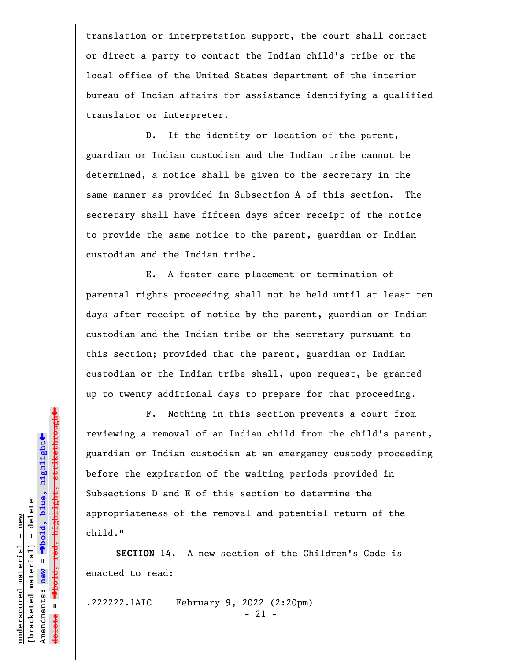translation or interpretation support, the court shall contact or direct a party to contact the Indian child's tribe or the local office of the United States department of the interior bureau of Indian affairs for assistance identifying a qualified translator or interpreter.

D. If the identity or location of the parent, guardian or Indian custodian and the Indian tribe cannot be determined, a notice shall be given to the secretary in the same manner as provided in Subsection A of this section. The secretary shall have fifteen days after receipt of the notice to provide the same notice to the parent, guardian or Indian custodian and the Indian tribe.

E. A foster care placement or termination of parental rights proceeding shall not be held until at least ten days after receipt of notice by the parent, guardian or Indian custodian and the Indian tribe or the secretary pursuant to this section; provided that the parent, guardian or Indian custodian or the Indian tribe shall, upon request, be granted up to twenty additional days to prepare for that proceeding.

F. Nothing in this section prevents a court from reviewing a removal of an Indian child from the child's parent, guardian or Indian custodian at an emergency custody proceeding before the expiration of the waiting periods provided in Subsections D and E of this section to determine the appropriateness of the removal and potential return of the child."

**SECTION 14.** A new section of the Children's Code is enacted to read:

.222222.1AIC February 9, 2022 (2:20pm)

- 21 -

 $\ddag$ º**bold, red, highlight, strikethrough**  $\ddot{\bullet}$ º**bold, blue, highlight**  $b$ racketed material] = delete **[bracketed material] = delete** inderscored material = new **underscored material = new** Amendments: new = Amendments: **new** =  $\mathbf{u}$ **delete =**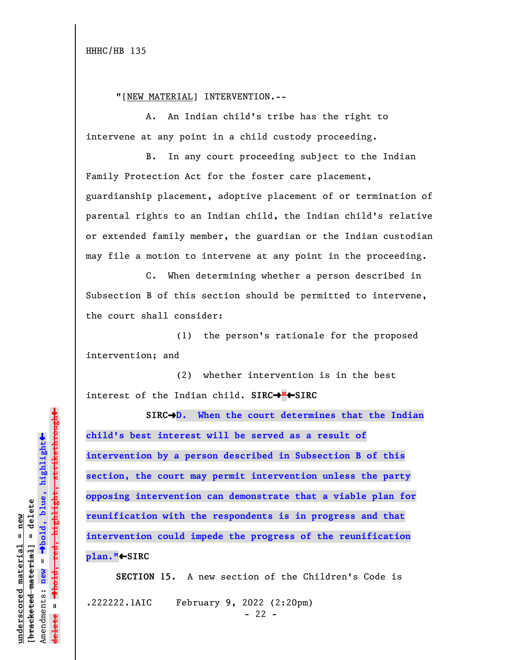"[NEW MATERIAL] INTERVENTION.--

A. An Indian child's tribe has the right to intervene at any point in a child custody proceeding.

B. In any court proceeding subject to the Indian Family Protection Act for the foster care placement, guardianship placement, adoptive placement of or termination of parental rights to an Indian child, the Indian child's relative or extended family member, the guardian or the Indian custodian may file a motion to intervene at any point in the proceeding.

C. When determining whether a person described in Subsection B of this section should be permitted to intervene, the court shall consider:

(1) the person's rationale for the proposed intervention; and

(2) whether intervention is in the best interest of the Indian child. SIRC $\rightarrow$ " $\leftarrow$ SIRC

**SIRC**º**D. When the court determines that the Indian child's best interest will be served as a result of intervention by a person described in Subsection B of this section, the court may permit intervention unless the party opposing intervention can demonstrate that a viable plan for reunification with the respondents is in progress and that intervention could impede the progress of the reunification plan."**»**SIRC**

**SECTION 15.** A new section of the Children's Code is .222222.1AIC February 9, 2022 (2:20pm)  $- 22 -$ 

 $\ddag$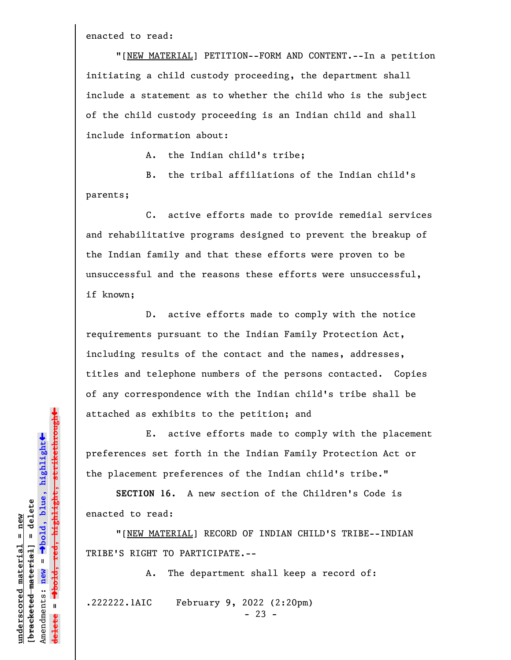enacted to read:

"[NEW MATERIAL] PETITION--FORM AND CONTENT.--In a petition initiating a child custody proceeding, the department shall include a statement as to whether the child who is the subject of the child custody proceeding is an Indian child and shall include information about:

A. the Indian child's tribe;

B. the tribal affiliations of the Indian child's parents;

C. active efforts made to provide remedial services and rehabilitative programs designed to prevent the breakup of the Indian family and that these efforts were proven to be unsuccessful and the reasons these efforts were unsuccessful, if known;

D. active efforts made to comply with the notice requirements pursuant to the Indian Family Protection Act, including results of the contact and the names, addresses, titles and telephone numbers of the persons contacted. Copies of any correspondence with the Indian child's tribe shall be attached as exhibits to the petition; and

E. active efforts made to comply with the placement preferences set forth in the Indian Family Protection Act or the placement preferences of the Indian child's tribe."

**SECTION 16.** A new section of the Children's Code is enacted to read:

"[NEW MATERIAL] RECORD OF INDIAN CHILD'S TRIBE--INDIAN TRIBE'S RIGHT TO PARTICIPATE.--

A. The department shall keep a record of:

.222222.1AIC February 9, 2022 (2:20pm)

 $- 23 -$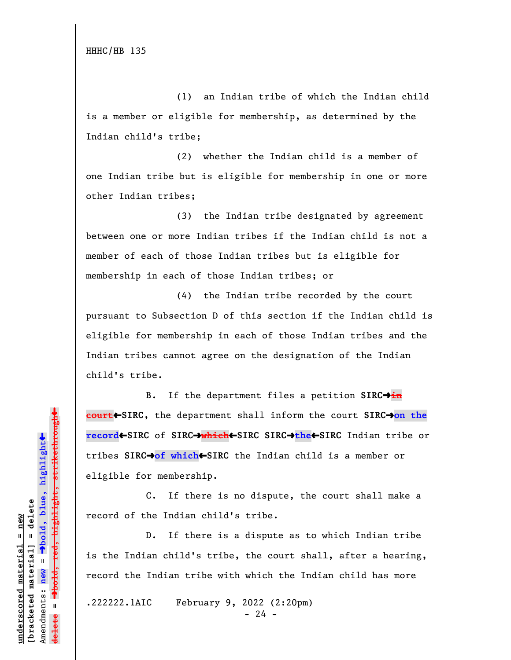HHHC/HB 135

(1) an Indian tribe of which the Indian child is a member or eligible for membership, as determined by the Indian child's tribe;

(2) whether the Indian child is a member of one Indian tribe but is eligible for membership in one or more other Indian tribes;

(3) the Indian tribe designated by agreement between one or more Indian tribes if the Indian child is not a member of each of those Indian tribes but is eligible for membership in each of those Indian tribes; or

(4) the Indian tribe recorded by the court pursuant to Subsection D of this section if the Indian child is eligible for membership in each of those Indian tribes and the Indian tribes cannot agree on the designation of the Indian child's tribe.

B. If the department files a petition SIRC<sup>+</sup>in **court**»**SIRC**, the department shall inform the court **SIRC**º**on the record**»**SIRC** of **SIRC**º**which**»**SIRC SIRC**º**the**»**SIRC** Indian tribe or tribes **SIRC**º**of which**»**SIRC** the Indian child is a member or eligible for membership.

C. If there is no dispute, the court shall make a record of the Indian child's tribe.

D. If there is a dispute as to which Indian tribe is the Indian child's tribe, the court shall, after a hearing, record the Indian tribe with which the Indian child has more

.222222.1AIC February 9, 2022 (2:20pm)

 $- 24 -$ 

 $\ddag$ º**bold, red, highlight, strikethrough**  $\ddot{\bullet}$ º**bold, blue, highlight**  $b$ racketed material] = delete **[bracketed material] = delete** inderscored material = new **underscored material = new** Amendments: **new** =  $\mathbf{I}$  $\frac{1}{2}$ Amendments: new  $\mathbf{I}$ **delete =**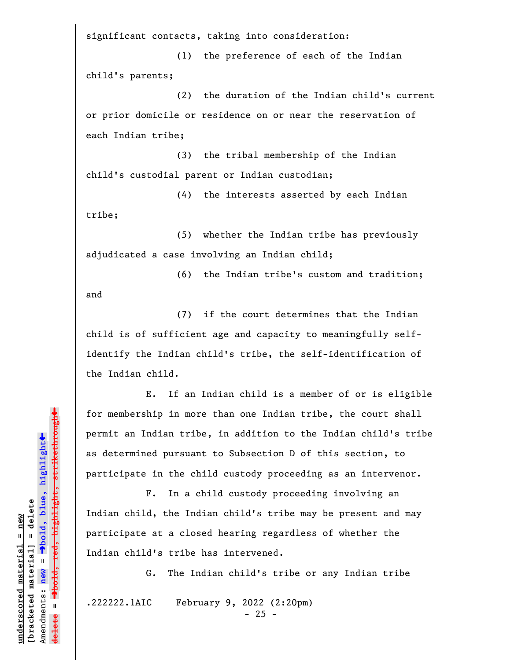significant contacts, taking into consideration:

(1) the preference of each of the Indian child's parents;

(2) the duration of the Indian child's current or prior domicile or residence on or near the reservation of each Indian tribe;

(3) the tribal membership of the Indian child's custodial parent or Indian custodian;

(4) the interests asserted by each Indian tribe;

(5) whether the Indian tribe has previously adjudicated a case involving an Indian child;

(6) the Indian tribe's custom and tradition; and

(7) if the court determines that the Indian child is of sufficient age and capacity to meaningfully selfidentify the Indian child's tribe, the self-identification of the Indian child.

E. If an Indian child is a member of or is eligible for membership in more than one Indian tribe, the court shall permit an Indian tribe, in addition to the Indian child's tribe as determined pursuant to Subsection D of this section, to participate in the child custody proceeding as an intervenor.

F. In a child custody proceeding involving an Indian child, the Indian child's tribe may be present and may participate at a closed hearing regardless of whether the Indian child's tribe has intervened.

G. The Indian child's tribe or any Indian tribe

.222222.1AIC February 9, 2022 (2:20pm)

- 25 -

 $\ddag$ º**bold, red, highlight, strikethrough**  $\ddot{\bullet}$ º**bold, blue, highlight**  $b$ racketed material] = delete **[bracketed material] = delete** inderscored material = new **underscored material = new** Amendments: **new** = Amendments: new =  $\mathbf{I}$ **delete =**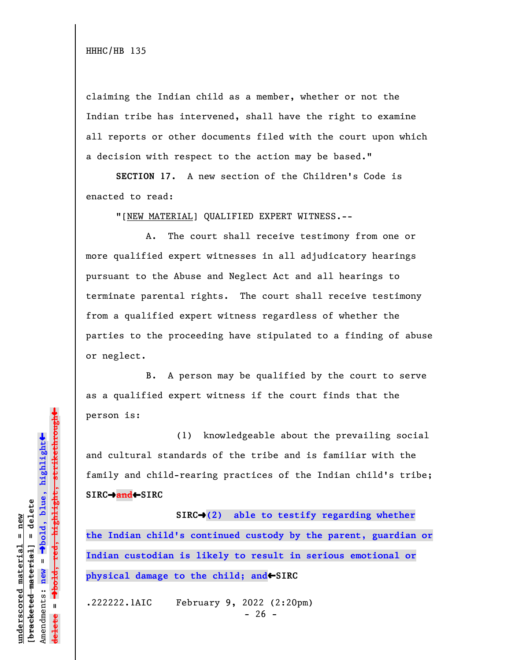HHHC/HB 135

claiming the Indian child as a member, whether or not the Indian tribe has intervened, shall have the right to examine all reports or other documents filed with the court upon which a decision with respect to the action may be based."

**SECTION 17.** A new section of the Children's Code is enacted to read:

"[NEW MATERIAL] QUALIFIED EXPERT WITNESS.--

A. The court shall receive testimony from one or more qualified expert witnesses in all adjudicatory hearings pursuant to the Abuse and Neglect Act and all hearings to terminate parental rights. The court shall receive testimony from a qualified expert witness regardless of whether the parties to the proceeding have stipulated to a finding of abuse or neglect.

B. A person may be qualified by the court to serve as a qualified expert witness if the court finds that the person is:

(1) knowledgeable about the prevailing social and cultural standards of the tribe and is familiar with the family and child-rearing practices of the Indian child's tribe; **SIRC**º**and**»**SIRC**

SIRC<sup>+</sup>(2) able to testify regarding whether **the Indian child's continued custody by the parent, guardian or Indian custodian is likely to result in serious emotional or physical damage to the child; and**SIRC

.222222.1AIC February 9, 2022 (2:20pm)  $- 26 -$ 

 $\ddag$ º**bold, red, highlight, strikethrough**  $\ddot{\bullet}$ º**bold, blue, highlight**  $b$ racketed material] = delete **[bracketed material] = delete** inderscored material = new **underscored material = new** Amendments: **new** =  $\mathbf{I}$ Amendments: new  $\mathbf{u}$ **delete =** lelete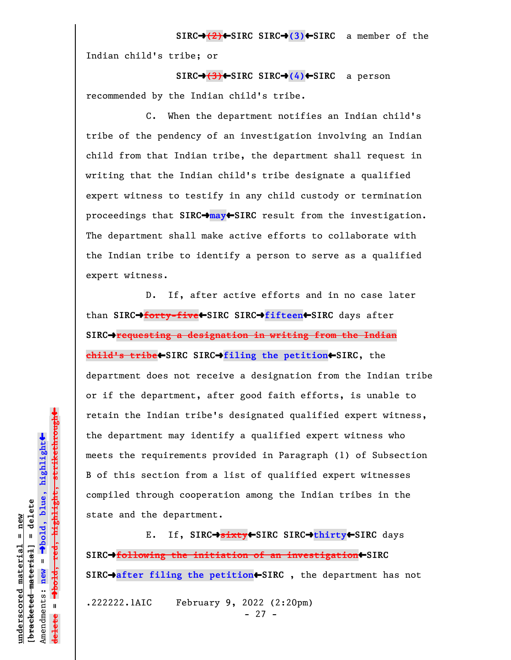**SIRC**º**(2)**»**SIRC SIRC**º**(3)**»**SIRC** a member of the Indian child's tribe; or

**SIRC**º**(3)**»**SIRC SIRC**º**(4)**»**SIRC** a person recommended by the Indian child's tribe.

C. When the department notifies an Indian child's tribe of the pendency of an investigation involving an Indian child from that Indian tribe, the department shall request in writing that the Indian child's tribe designate a qualified expert witness to testify in any child custody or termination proceedings that **SIRC**º**may**»**SIRC** result from the investigation. The department shall make active efforts to collaborate with the Indian tribe to identify a person to serve as a qualified expert witness.

D. If, after active efforts and in no case later than SIRC→forty-five←SIRC SIRC→fifteen←SIRC days after **SIRC**º**requesting a designation in writing from the Indian child's tribe**»**SIRC SIRC**º**filing the petition**»**SIRC**, the department does not receive a designation from the Indian tribe or if the department, after good faith efforts, is unable to retain the Indian tribe's designated qualified expert witness, the department may identify a qualified expert witness who meets the requirements provided in Paragraph (1) of Subsection B of this section from a list of qualified expert witnesses compiled through cooperation among the Indian tribes in the state and the department.

E. If, **SIRC**º**sixty**»**SIRC SIRC**º**thirty**»**SIRC** days **SIRC**º**following the initiation of an investigation**»**SIRC SIRC**º**after filing the petition**»**SIRC** , the department has not .222222.1AIC February 9, 2022 (2:20pm) - 27 -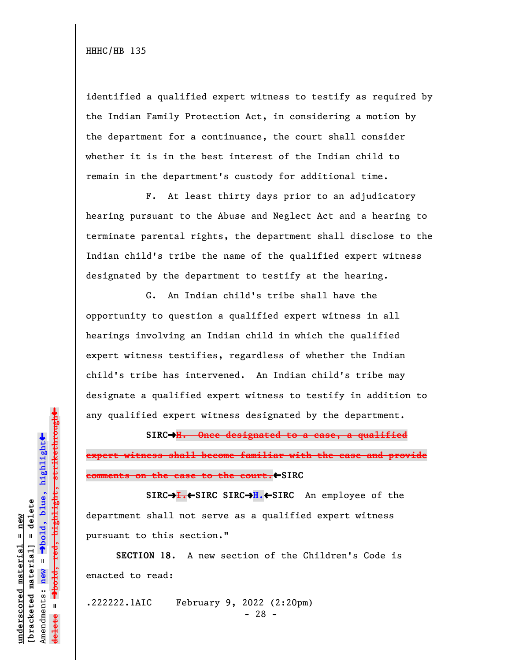identified a qualified expert witness to testify as required by the Indian Family Protection Act, in considering a motion by the department for a continuance, the court shall consider whether it is in the best interest of the Indian child to remain in the department's custody for additional time.

F. At least thirty days prior to an adjudicatory hearing pursuant to the Abuse and Neglect Act and a hearing to terminate parental rights, the department shall disclose to the Indian child's tribe the name of the qualified expert witness designated by the department to testify at the hearing.

G. An Indian child's tribe shall have the opportunity to question a qualified expert witness in all hearings involving an Indian child in which the qualified expert witness testifies, regardless of whether the Indian child's tribe has intervened. An Indian child's tribe may designate a qualified expert witness to testify in addition to any qualified expert witness designated by the department.

**SIRC**º**H. Once designated to a case, a qualified expert witness shall become familiar with the case and provide comments on the case to the court.**»**SIRC**

**SIRC**º**I.**»**SIRC SIRC**º**H.**»**SIRC** An employee of the department shall not serve as a qualified expert witness pursuant to this section."

**SECTION 18.** A new section of the Children's Code is enacted to read:

.222222.1AIC February 9, 2022 (2:20pm)

- 28 -

 $\ddag$ º**bold, red, highlight, strikethrough**  $\ddot{\bullet}$ º**bold, blue, highlight**  $b$ racketed material] = delete **[bracketed material] = delete** inderscored material = new **underscored material = new** Amendments: new = Amendments: **new** =  $\mathbf{u}$ **delete =** lelete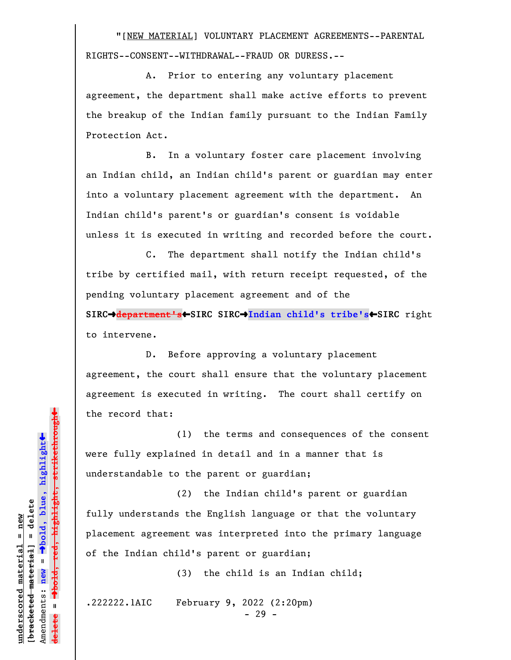"[NEW MATERIAL] VOLUNTARY PLACEMENT AGREEMENTS--PARENTAL RIGHTS--CONSENT--WITHDRAWAL--FRAUD OR DURESS.--

A. Prior to entering any voluntary placement agreement, the department shall make active efforts to prevent the breakup of the Indian family pursuant to the Indian Family Protection Act.

B. In a voluntary foster care placement involving an Indian child, an Indian child's parent or guardian may enter into a voluntary placement agreement with the department. An Indian child's parent's or guardian's consent is voidable unless it is executed in writing and recorded before the court.

C. The department shall notify the Indian child's tribe by certified mail, with return receipt requested, of the pending voluntary placement agreement and of the **SIRC**º**department's**»**SIRC SIRC**º**Indian child's tribe's**»**SIRC** right to intervene.

D. Before approving a voluntary placement agreement, the court shall ensure that the voluntary placement agreement is executed in writing. The court shall certify on the record that:

(1) the terms and consequences of the consent were fully explained in detail and in a manner that is understandable to the parent or guardian;

(2) the Indian child's parent or guardian fully understands the English language or that the voluntary placement agreement was interpreted into the primary language of the Indian child's parent or guardian;

(3) the child is an Indian child;

.222222.1AIC February 9, 2022 (2:20pm)

- 29 -

 $\ddag$ º**bold, red, highlight, strikethrough**  $\ddot{\bullet}$ º**bold, blue, highlight**  $b$ racketed material] = delete **[bracketed material] = delete** inderscored material = new **underscored material = new** Amendments: new = Amendments: **new** =  $\mathbf{I}$ **delete =** lelete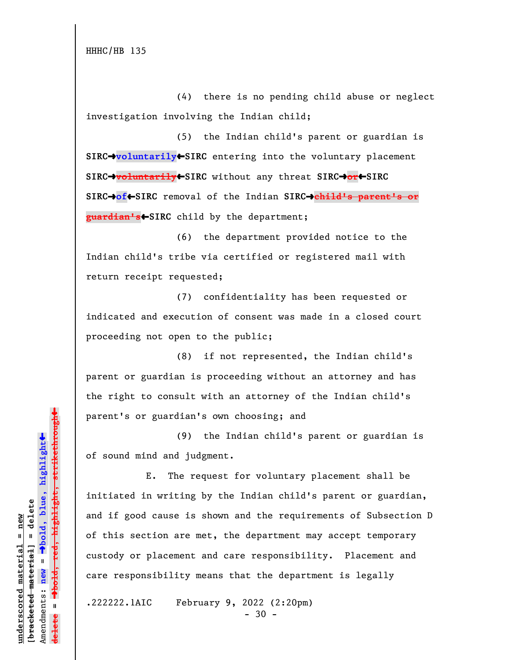HHHC/HB 135

(4) there is no pending child abuse or neglect investigation involving the Indian child;

(5) the Indian child's parent or guardian is **SIRC**º**voluntarily**»**SIRC** entering into the voluntary placement **SIRC**º**voluntarily**»**SIRC** without any threat **SIRC**º**or**»**SIRC SIRC**º**of**»**SIRC** removal of the Indian **SIRC**º**child's parent's or guardian's**»**SIRC** child by the department;

(6) the department provided notice to the Indian child's tribe via certified or registered mail with return receipt requested;

(7) confidentiality has been requested or indicated and execution of consent was made in a closed court proceeding not open to the public;

(8) if not represented, the Indian child's parent or guardian is proceeding without an attorney and has the right to consult with an attorney of the Indian child's parent's or guardian's own choosing; and

(9) the Indian child's parent or guardian is of sound mind and judgment.

E. The request for voluntary placement shall be initiated in writing by the Indian child's parent or guardian, and if good cause is shown and the requirements of Subsection D of this section are met, the department may accept temporary custody or placement and care responsibility. Placement and care responsibility means that the department is legally

.222222.1AIC February 9, 2022 (2:20pm)

 $-30 -$ 

 $\ddag$ º**bold, red, highlight, strikethrough**  $\ddot{\bullet}$ º**bold, blue, highlight**  $b$ racketed material] = delete **[bracketed material] = delete** inderscored material = new **underscored material = new** Amendments: **new** =  $\mathbf{I}$ Amendments: new  $\mathbf{u}$ **delete =** lelete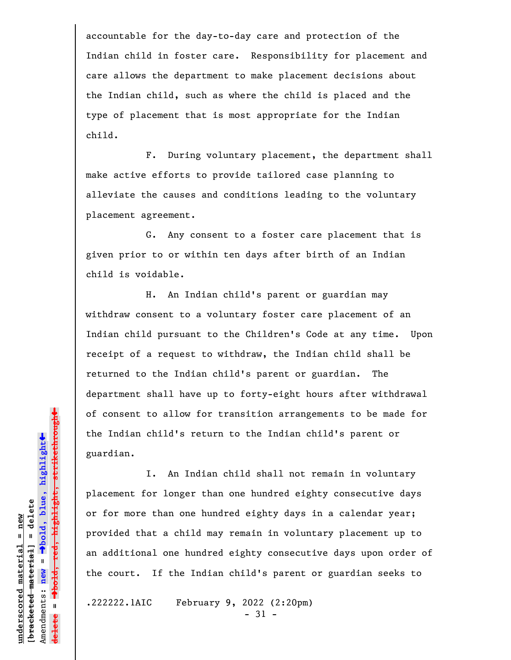accountable for the day-to-day care and protection of the Indian child in foster care. Responsibility for placement and care allows the department to make placement decisions about the Indian child, such as where the child is placed and the type of placement that is most appropriate for the Indian child.

F. During voluntary placement, the department shall make active efforts to provide tailored case planning to alleviate the causes and conditions leading to the voluntary placement agreement.

G. Any consent to a foster care placement that is given prior to or within ten days after birth of an Indian child is voidable.

H. An Indian child's parent or guardian may withdraw consent to a voluntary foster care placement of an Indian child pursuant to the Children's Code at any time. Upon receipt of a request to withdraw, the Indian child shall be returned to the Indian child's parent or guardian. The department shall have up to forty-eight hours after withdrawal of consent to allow for transition arrangements to be made for the Indian child's return to the Indian child's parent or guardian.

I. An Indian child shall not remain in voluntary placement for longer than one hundred eighty consecutive days or for more than one hundred eighty days in a calendar year; provided that a child may remain in voluntary placement up to an additional one hundred eighty consecutive days upon order of the court. If the Indian child's parent or guardian seeks to

.222222.1AIC February 9, 2022 (2:20pm)

- 31 -

 $\ddag$ º**bold, red, highlight, strikethrough**  $\ddot{\bullet}$ º**bold, blue, highlight**  $b$ racketed material] = delete **[bracketed material] = delete** inderscored material = new **underscored material = new** Amendments: **new** =  $\mathbf{I}$ Amendments: new  $\mathbf{I}$ **delete =**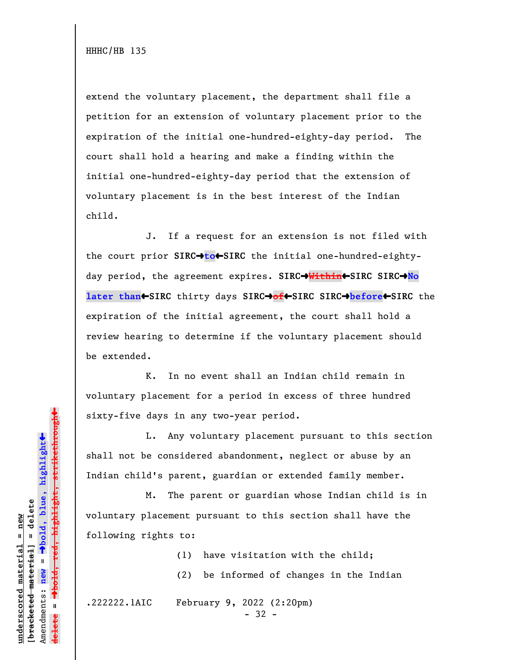extend the voluntary placement, the department shall file a petition for an extension of voluntary placement prior to the expiration of the initial one-hundred-eighty-day period. The court shall hold a hearing and make a finding within the initial one-hundred-eighty-day period that the extension of voluntary placement is in the best interest of the Indian child.

J. If a request for an extension is not filed with the court prior **SIRC**<sup>+</sup>to<sup>+</sup>SIRC the initial one-hundred-eightyday period, the agreement expires. **SIRC**º**Within**»**SIRC SIRC**º**No later than**»**SIRC** thirty days **SIRC**º**of**»**SIRC SIRC**º**before**»**SIRC** the expiration of the initial agreement, the court shall hold a review hearing to determine if the voluntary placement should be extended.

K. In no event shall an Indian child remain in voluntary placement for a period in excess of three hundred sixty-five days in any two-year period.

L. Any voluntary placement pursuant to this section shall not be considered abandonment, neglect or abuse by an Indian child's parent, guardian or extended family member.

M. The parent or guardian whose Indian child is in voluntary placement pursuant to this section shall have the following rights to:

> (1) have visitation with the child; (2) be informed of changes in the Indian

.222222.1AIC February 9, 2022 (2:20pm)

- 32 -

 $\ddag$ º**bold, red, highlight, strikethrough**  $\ddot{\bullet}$ º**bold, blue, highlight**  $b$ racketed material] = delete **[bracketed material] = delete** inderscored material = new **underscored material = new** Amendments: **new** = Amendments: new =  $\mathbf{u}$ **delete =**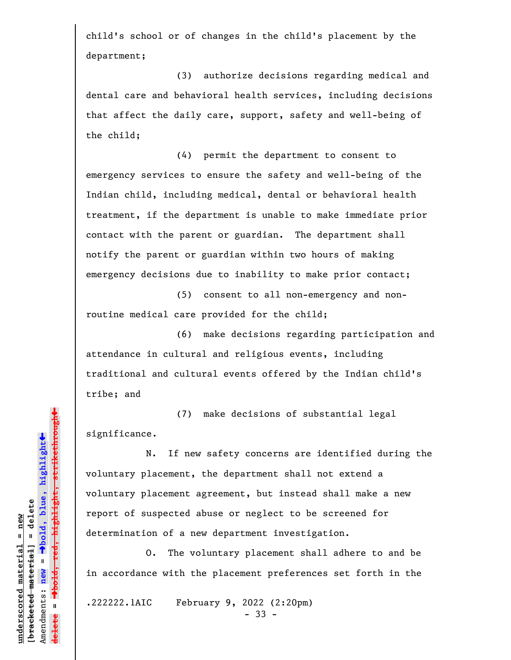child's school or of changes in the child's placement by the department;

(3) authorize decisions regarding medical and dental care and behavioral health services, including decisions that affect the daily care, support, safety and well-being of the child;

(4) permit the department to consent to emergency services to ensure the safety and well-being of the Indian child, including medical, dental or behavioral health treatment, if the department is unable to make immediate prior contact with the parent or guardian. The department shall notify the parent or guardian within two hours of making emergency decisions due to inability to make prior contact;

(5) consent to all non-emergency and nonroutine medical care provided for the child;

(6) make decisions regarding participation and attendance in cultural and religious events, including traditional and cultural events offered by the Indian child's tribe; and

(7) make decisions of substantial legal significance.

N. If new safety concerns are identified during the voluntary placement, the department shall not extend a voluntary placement agreement, but instead shall make a new report of suspected abuse or neglect to be screened for determination of a new department investigation.

O. The voluntary placement shall adhere to and be in accordance with the placement preferences set forth in the

.222222.1AIC February 9, 2022 (2:20pm)

- 33 -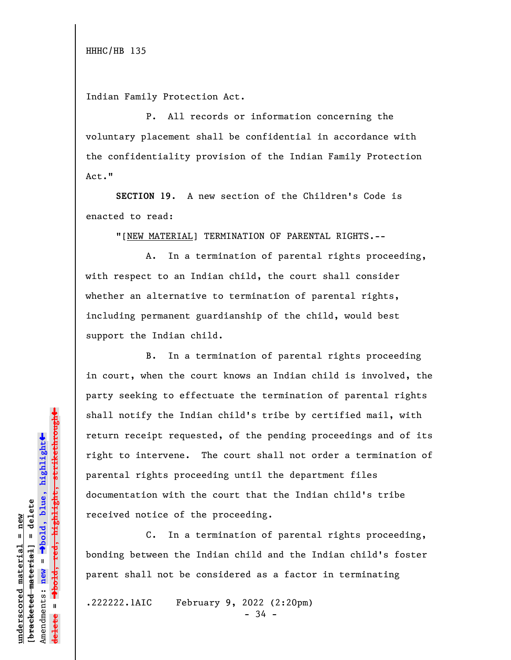Indian Family Protection Act.

P. All records or information concerning the voluntary placement shall be confidential in accordance with the confidentiality provision of the Indian Family Protection Act."

**SECTION 19**. A new section of the Children's Code is enacted to read:

"[NEW MATERIAL] TERMINATION OF PARENTAL RIGHTS.--

A. In a termination of parental rights proceeding, with respect to an Indian child, the court shall consider whether an alternative to termination of parental rights, including permanent guardianship of the child, would best support the Indian child.

B. In a termination of parental rights proceeding in court, when the court knows an Indian child is involved, the party seeking to effectuate the termination of parental rights shall notify the Indian child's tribe by certified mail, with return receipt requested, of the pending proceedings and of its right to intervene. The court shall not order a termination of parental rights proceeding until the department files documentation with the court that the Indian child's tribe received notice of the proceeding.

C. In a termination of parental rights proceeding, bonding between the Indian child and the Indian child's foster parent shall not be considered as a factor in terminating

.222222.1AIC February 9, 2022 (2:20pm)

- 34 -

 $\ddag$ º**bold, red, highlight, strikethrough**  $\ddot{\bullet}$ º**bold, blue, highlight**  $b$ racketed material] = delete **[bracketed material] = delete** inderscored material = new **underscored material = new**  $\mathbf{I}$ Amendments: **new** = Amendments: new  $\mathbf{u}$ **delete =**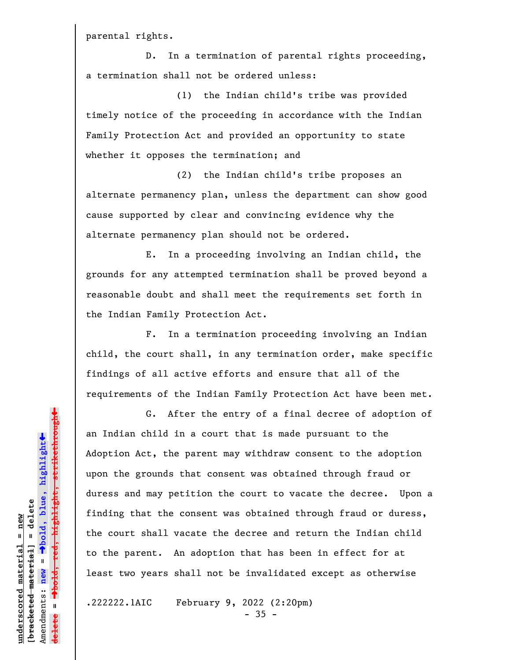parental rights.

D. In a termination of parental rights proceeding, a termination shall not be ordered unless:

(1) the Indian child's tribe was provided timely notice of the proceeding in accordance with the Indian Family Protection Act and provided an opportunity to state whether it opposes the termination; and

(2) the Indian child's tribe proposes an alternate permanency plan, unless the department can show good cause supported by clear and convincing evidence why the alternate permanency plan should not be ordered.

E. In a proceeding involving an Indian child, the grounds for any attempted termination shall be proved beyond a reasonable doubt and shall meet the requirements set forth in the Indian Family Protection Act.

F. In a termination proceeding involving an Indian child, the court shall, in any termination order, make specific findings of all active efforts and ensure that all of the requirements of the Indian Family Protection Act have been met.

G. After the entry of a final decree of adoption of an Indian child in a court that is made pursuant to the Adoption Act, the parent may withdraw consent to the adoption upon the grounds that consent was obtained through fraud or duress and may petition the court to vacate the decree. Upon a finding that the consent was obtained through fraud or duress, the court shall vacate the decree and return the Indian child to the parent. An adoption that has been in effect for at least two years shall not be invalidated except as otherwise

.222222.1AIC February 9, 2022 (2:20pm)

 $-35 -$ 

 $\ddag$ º**bold, red, highlight, strikethrough**  $\ddot{\bullet}$ º**bold, blue, highlight**  $b$ racketed material] = delete **[bracketed material] = delete** inderscored material = new **underscored material = new** Amendments: **new** = Amendments: new =  $\mathbf{I}$ **delete =**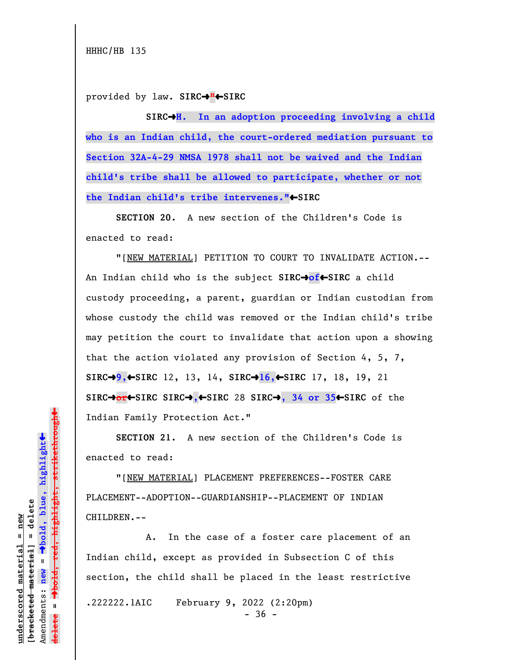HHHC/HB 135

provided by law. **SIRC**º**"**»**SIRC**

SIRC<sup>+</sup>H. In an adoption proceeding involving a child **who is an Indian child, the court-ordered mediation pursuant to Section 32A-4-29 NMSA 1978 shall not be waived and the Indian child's tribe shall be allowed to participate, whether or not** the Indian child's tribe intervenes."<sup>•</sup>SIRC

**SECTION 20.** A new section of the Children's Code is enacted to read:

"[NEW MATERIAL] PETITION TO COURT TO INVALIDATE ACTION.-- An Indian child who is the subject **SIRC**º**of**»**SIRC** a child custody proceeding, a parent, guardian or Indian custodian from whose custody the child was removed or the Indian child's tribe may petition the court to invalidate that action upon a showing that the action violated any provision of Section 4, 5, 7, **SIRC**º**9,**»**SIRC** 12, 13, 14, **SIRC**º**16,**»**SIRC** 17, 18, 19, 21 **SIRC**º**or**»**SIRC SIRC**º**,**»**SIRC** 28 **SIRC**º**, 34 or 35**»**SIRC** of the Indian Family Protection Act."

**SECTION 21.** A new section of the Children's Code is enacted to read:

"[NEW MATERIAL] PLACEMENT PREFERENCES--FOSTER CARE PLACEMENT--ADOPTION--GUARDIANSHIP--PLACEMENT OF INDIAN CHILDREN.--

A. In the case of a foster care placement of an Indian child, except as provided in Subsection C of this section, the child shall be placed in the least restrictive

.222222.1AIC February 9, 2022 (2:20pm)

 $-36 -$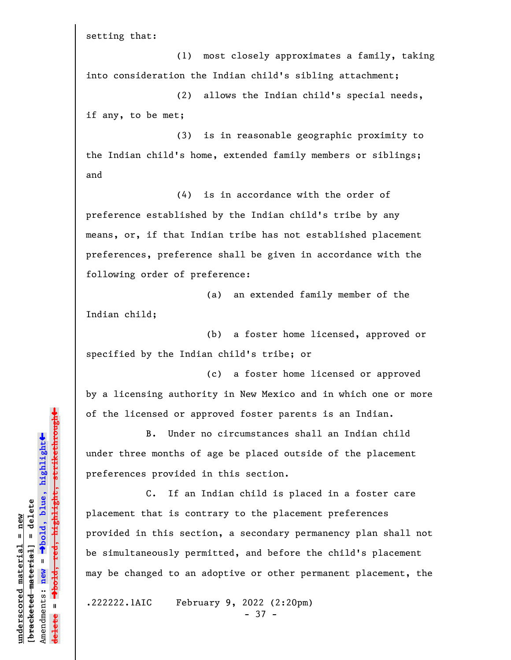setting that:

(1) most closely approximates a family, taking into consideration the Indian child's sibling attachment;

(2) allows the Indian child's special needs, if any, to be met;

(3) is in reasonable geographic proximity to the Indian child's home, extended family members or siblings; and

(4) is in accordance with the order of preference established by the Indian child's tribe by any means, or, if that Indian tribe has not established placement preferences, preference shall be given in accordance with the following order of preference:

(a) an extended family member of the Indian child;

(b) a foster home licensed, approved or specified by the Indian child's tribe; or

(c) a foster home licensed or approved by a licensing authority in New Mexico and in which one or more of the licensed or approved foster parents is an Indian.

B. Under no circumstances shall an Indian child under three months of age be placed outside of the placement preferences provided in this section.

C. If an Indian child is placed in a foster care placement that is contrary to the placement preferences provided in this section, a secondary permanency plan shall not be simultaneously permitted, and before the child's placement may be changed to an adoptive or other permanent placement, the

.222222.1AIC February 9, 2022 (2:20pm)

- 37 -

»<del>highlight, strikethrough</del> º**bold, red, highlight, strikethrough**  $\ddot{\bullet}$ º**bold, blue, highlight**  $b$ racketed material] = delete **[bracketed material] = delete** inderscored material = new **underscored material = new** Amendments: **new** =  $\bar{\mathbf{H}}$ new Amendments:  $\mathbf{u}$ **delete =**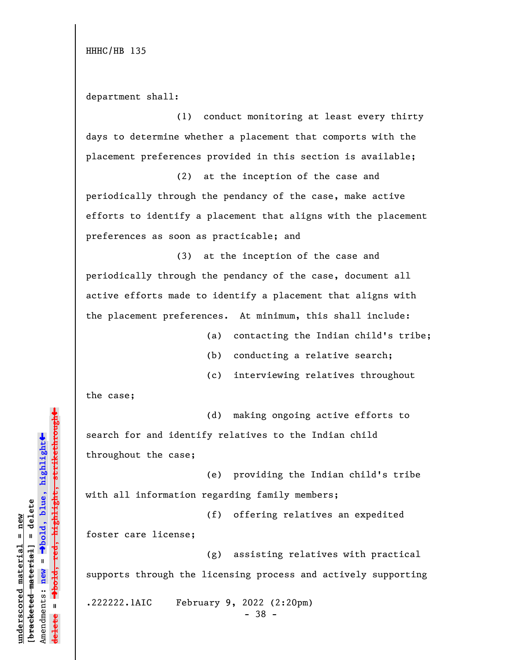department shall:

(1) conduct monitoring at least every thirty days to determine whether a placement that comports with the placement preferences provided in this section is available;

(2) at the inception of the case and periodically through the pendancy of the case, make active efforts to identify a placement that aligns with the placement preferences as soon as practicable; and

(3) at the inception of the case and periodically through the pendancy of the case, document all active efforts made to identify a placement that aligns with the placement preferences. At minimum, this shall include:

- (a) contacting the Indian child's tribe;
- (b) conducting a relative search;
- (c) interviewing relatives throughout

the case;

(d) making ongoing active efforts to search for and identify relatives to the Indian child throughout the case;

(e) providing the Indian child's tribe with all information regarding family members;

(f) offering relatives an expedited foster care license;

(g) assisting relatives with practical supports through the licensing process and actively supporting

.222222.1AIC February 9, 2022 (2:20pm)

- 38 -

»º**bold, red, highlight, strikethrough** highlight, strikethrou  $\ddot{\bullet}$ º**bold, blue, highlight**  $b$ racketed material] = delete **[bracketed material] = delete** inderscored material = new **underscored material = new** Amendments: **new** = Amendments: new =  $\mathbf{u}$ **delete =** lelete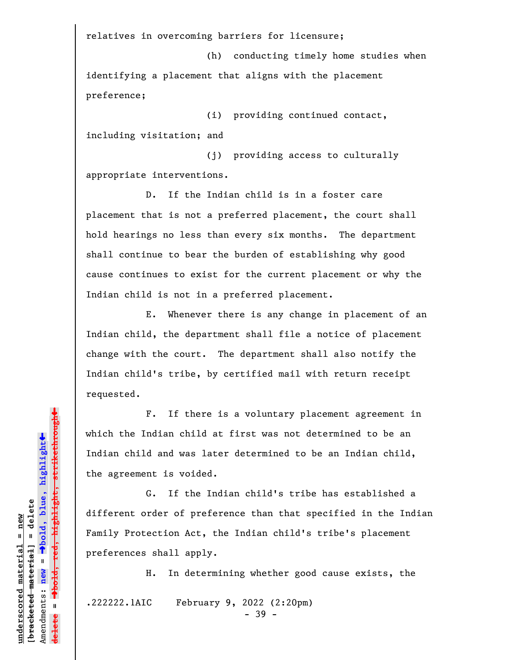relatives in overcoming barriers for licensure;

(h) conducting timely home studies when identifying a placement that aligns with the placement preference;

(i) providing continued contact, including visitation; and

(j) providing access to culturally appropriate interventions.

D. If the Indian child is in a foster care placement that is not a preferred placement, the court shall hold hearings no less than every six months. The department shall continue to bear the burden of establishing why good cause continues to exist for the current placement or why the Indian child is not in a preferred placement.

E. Whenever there is any change in placement of an Indian child, the department shall file a notice of placement change with the court. The department shall also notify the Indian child's tribe, by certified mail with return receipt requested.

F. If there is a voluntary placement agreement in which the Indian child at first was not determined to be an Indian child and was later determined to be an Indian child, the agreement is voided.

G. If the Indian child's tribe has established a different order of preference than that specified in the Indian Family Protection Act, the Indian child's tribe's placement preferences shall apply.

H. In determining whether good cause exists, the

.222222.1AIC February 9, 2022 (2:20pm)

- 39 -

 $\ddag$ º**bold, red, highlight, strikethrough**  $\ddot{\bullet}$ º**bold, blue, highlight**  $b$ racketed material] = delete **[bracketed material] = delete** inderscored material = new **underscored material = new** Amendments: **new** =  $\mathbf{I}$ Amendments: new  $\mathbf{I}$ **delete =**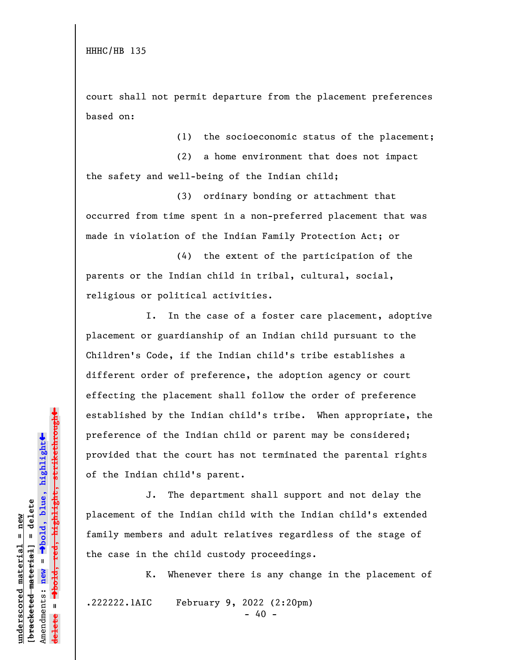court shall not permit departure from the placement preferences based on:

(1) the socioeconomic status of the placement;

(2) a home environment that does not impact the safety and well-being of the Indian child;

(3) ordinary bonding or attachment that occurred from time spent in a non-preferred placement that was made in violation of the Indian Family Protection Act; or

(4) the extent of the participation of the parents or the Indian child in tribal, cultural, social, religious or political activities.

I. In the case of a foster care placement, adoptive placement or guardianship of an Indian child pursuant to the Children's Code, if the Indian child's tribe establishes a different order of preference, the adoption agency or court effecting the placement shall follow the order of preference established by the Indian child's tribe. When appropriate, the preference of the Indian child or parent may be considered; provided that the court has not terminated the parental rights of the Indian child's parent.

J. The department shall support and not delay the placement of the Indian child with the Indian child's extended family members and adult relatives regardless of the stage of the case in the child custody proceedings.

K. Whenever there is any change in the placement of

.222222.1AIC February 9, 2022 (2:20pm)

 $- 40 -$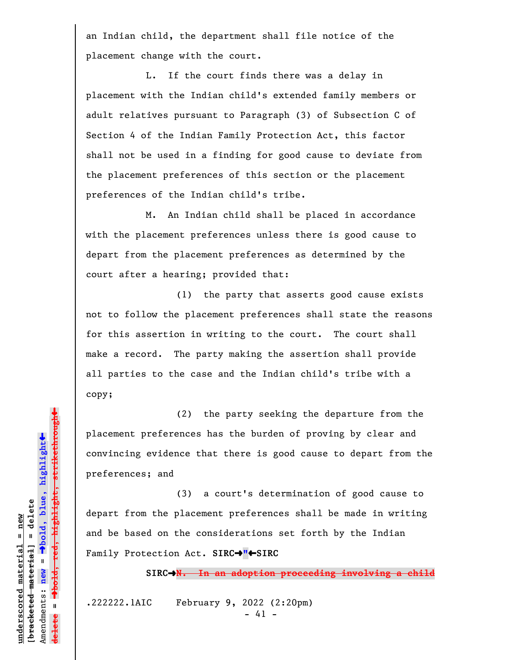an Indian child, the department shall file notice of the placement change with the court.

L. If the court finds there was a delay in placement with the Indian child's extended family members or adult relatives pursuant to Paragraph (3) of Subsection C of Section 4 of the Indian Family Protection Act, this factor shall not be used in a finding for good cause to deviate from the placement preferences of this section or the placement preferences of the Indian child's tribe.

M. An Indian child shall be placed in accordance with the placement preferences unless there is good cause to depart from the placement preferences as determined by the court after a hearing; provided that:

(1) the party that asserts good cause exists not to follow the placement preferences shall state the reasons for this assertion in writing to the court. The court shall make a record. The party making the assertion shall provide all parties to the case and the Indian child's tribe with a copy;

(2) the party seeking the departure from the placement preferences has the burden of proving by clear and convincing evidence that there is good cause to depart from the preferences; and

(3) a court's determination of good cause to depart from the placement preferences shall be made in writing and be based on the considerations set forth by the Indian Family Protection Act. **SIRC**º**"**»**SIRC**

**SIRC**º**N. In an adoption proceeding involving a child**

.222222.1AIC February 9, 2022 (2:20pm) - 41 -

hold, red, highlight, strikethrough º**bold, red, highlight, strikethrough** º**bold, blue, highlight**  $b$ racketed material] = delete **[bracketed material] = delete** inderscored material = new **underscored material = new** Amendments: **new** =  $\mathbf{I}$ Amendments: new  $\mathbf{I}$ **delete =**

 $\ddot{\bullet}$ 

»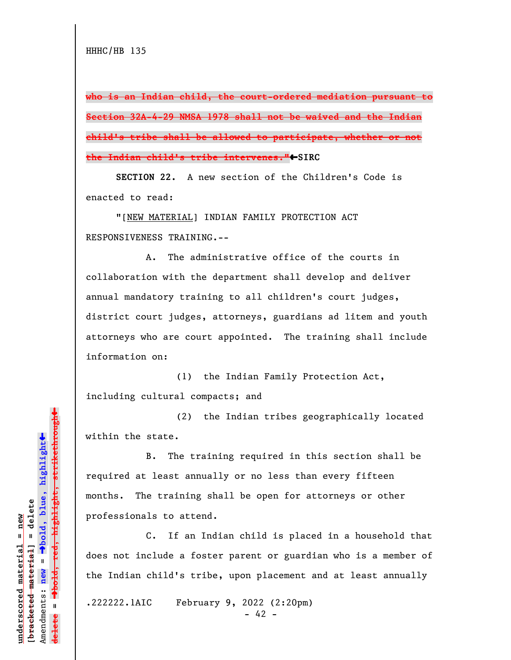**who is an Indian child, the court-ordered mediation pursuant to Section 32A-4-29 NMSA 1978 shall not be waived and the Indian child's tribe shall be allowed to participate, whether or not the Indian child's tribe intervenes."**»**SIRC**

**SECTION 22.** A new section of the Children's Code is enacted to read:

"[NEW MATERIAL] INDIAN FAMILY PROTECTION ACT RESPONSIVENESS TRAINING.--

A. The administrative office of the courts in collaboration with the department shall develop and deliver annual mandatory training to all children's court judges, district court judges, attorneys, guardians ad litem and youth attorneys who are court appointed. The training shall include information on:

(1) the Indian Family Protection Act, including cultural compacts; and

(2) the Indian tribes geographically located within the state.

B. The training required in this section shall be required at least annually or no less than every fifteen months. The training shall be open for attorneys or other professionals to attend.

C. If an Indian child is placed in a household that does not include a foster parent or guardian who is a member of the Indian child's tribe, upon placement and at least annually

.222222.1AIC February 9, 2022 (2:20pm)

 $- 42 -$ 

 $\ddag$ º**bold, red, highlight, strikethrough**  $\ddot{\bullet}$ º**bold, blue, highlight**  $\frac{1}{2}$ bracketed material = delete **[bracketed material] = delete** inderscored material = new **underscored material = new** Amendments: **new** =  $\mathbf{I}$ Amendments: new  $\mathbf{I}$ **delete =**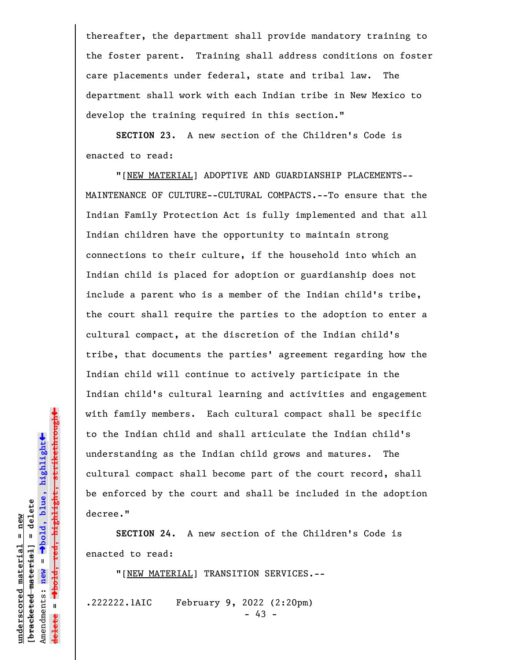thereafter, the department shall provide mandatory training to the foster parent. Training shall address conditions on foster care placements under federal, state and tribal law. The department shall work with each Indian tribe in New Mexico to develop the training required in this section."

**SECTION 23.** A new section of the Children's Code is enacted to read:

"[NEW MATERIAL] ADOPTIVE AND GUARDIANSHIP PLACEMENTS-- MAINTENANCE OF CULTURE--CULTURAL COMPACTS.--To ensure that the Indian Family Protection Act is fully implemented and that all Indian children have the opportunity to maintain strong connections to their culture, if the household into which an Indian child is placed for adoption or guardianship does not include a parent who is a member of the Indian child's tribe, the court shall require the parties to the adoption to enter a cultural compact, at the discretion of the Indian child's tribe, that documents the parties' agreement regarding how the Indian child will continue to actively participate in the Indian child's cultural learning and activities and engagement with family members. Each cultural compact shall be specific to the Indian child and shall articulate the Indian child's understanding as the Indian child grows and matures. The cultural compact shall become part of the court record, shall be enforced by the court and shall be included in the adoption decree."

**SECTION 24.** A new section of the Children's Code is enacted to read:

"[NEW MATERIAL] TRANSITION SERVICES.--

.222222.1AIC February 9, 2022 (2:20pm)

- 43 -

 $\ddag$ º**bold, red, highlight, strikethrough**  $\ddot{\bullet}$ º**bold, blue, highlight**  $b$ racketed material] = delete **[bracketed material] = delete**  $anderscored material = new$ **underscored material = new** Amendments: new = Amendments: **new** =  $\mathbf{u}$ **delete =** lelete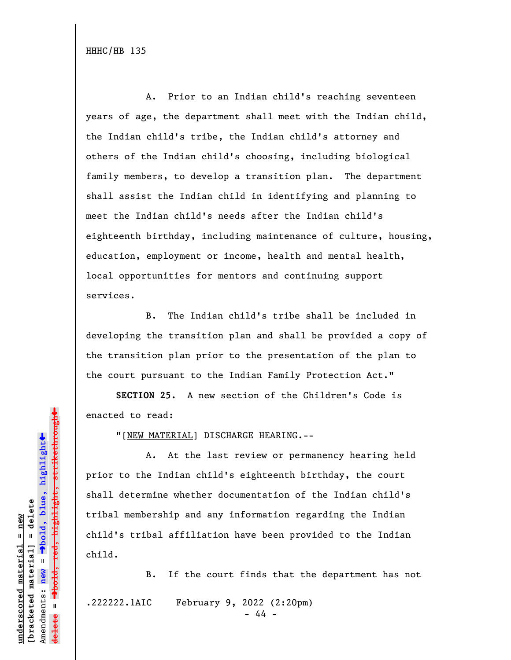A. Prior to an Indian child's reaching seventeen years of age, the department shall meet with the Indian child, the Indian child's tribe, the Indian child's attorney and others of the Indian child's choosing, including biological family members, to develop a transition plan. The department shall assist the Indian child in identifying and planning to meet the Indian child's needs after the Indian child's eighteenth birthday, including maintenance of culture, housing, education, employment or income, health and mental health, local opportunities for mentors and continuing support services.

B. The Indian child's tribe shall be included in developing the transition plan and shall be provided a copy of the transition plan prior to the presentation of the plan to the court pursuant to the Indian Family Protection Act."

**SECTION 25.** A new section of the Children's Code is enacted to read:

"[NEW MATERIAL] DISCHARGE HEARING.--

A. At the last review or permanency hearing held prior to the Indian child's eighteenth birthday, the court shall determine whether documentation of the Indian child's tribal membership and any information regarding the Indian child's tribal affiliation have been provided to the Indian child.

B. If the court finds that the department has not .222222.1AIC February 9, 2022 (2:20pm)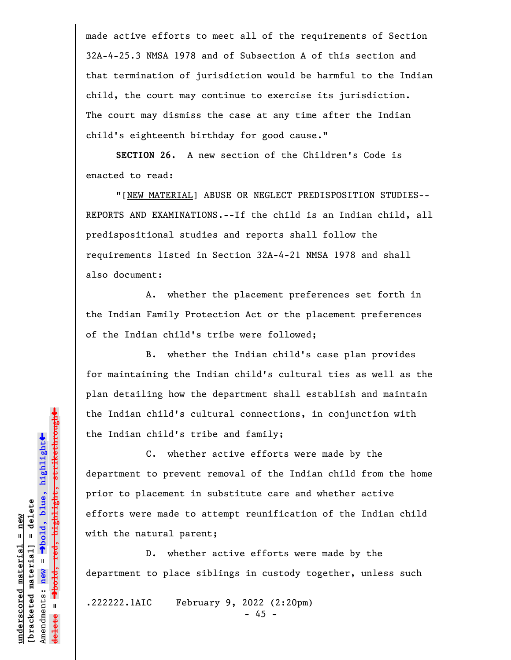made active efforts to meet all of the requirements of Section 32A-4-25.3 NMSA 1978 and of Subsection A of this section and that termination of jurisdiction would be harmful to the Indian child, the court may continue to exercise its jurisdiction. The court may dismiss the case at any time after the Indian child's eighteenth birthday for good cause."

**SECTION 26.** A new section of the Children's Code is enacted to read:

"[NEW MATERIAL] ABUSE OR NEGLECT PREDISPOSITION STUDIES-- REPORTS AND EXAMINATIONS.--If the child is an Indian child, all predispositional studies and reports shall follow the requirements listed in Section 32A-4-21 NMSA 1978 and shall also document:

A. whether the placement preferences set forth in the Indian Family Protection Act or the placement preferences of the Indian child's tribe were followed;

B. whether the Indian child's case plan provides for maintaining the Indian child's cultural ties as well as the plan detailing how the department shall establish and maintain the Indian child's cultural connections, in conjunction with the Indian child's tribe and family;

C. whether active efforts were made by the department to prevent removal of the Indian child from the home prior to placement in substitute care and whether active efforts were made to attempt reunification of the Indian child with the natural parent;

D. whether active efforts were made by the department to place siblings in custody together, unless such

.222222.1AIC February 9, 2022 (2:20pm)

- 45 -

 $\ddag$ º**bold, red, highlight, strikethrough**  $\ddot{\bullet}$ º**bold, blue, highlight**  $b$ racketed material] = delete **[bracketed material] = delete** inderscored material = new **underscored material = new** Amendments: new = Amendments: **new** =  $\mathbf{u}$ **delete =**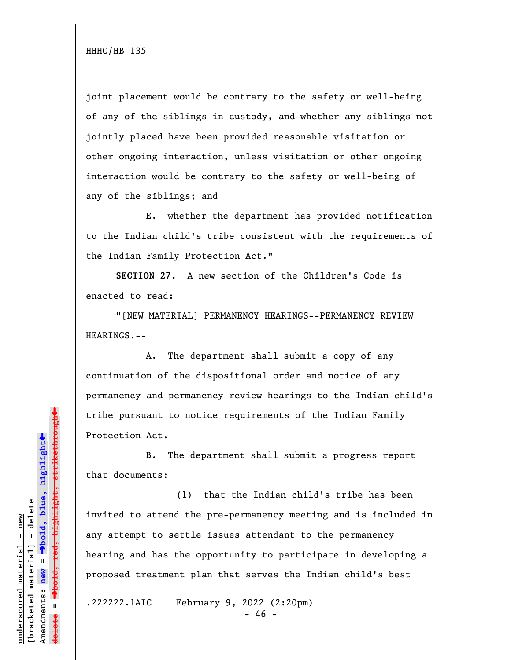joint placement would be contrary to the safety or well-being of any of the siblings in custody, and whether any siblings not jointly placed have been provided reasonable visitation or other ongoing interaction, unless visitation or other ongoing interaction would be contrary to the safety or well-being of any of the siblings; and

E. whether the department has provided notification to the Indian child's tribe consistent with the requirements of the Indian Family Protection Act."

**SECTION 27.** A new section of the Children's Code is enacted to read:

"[NEW MATERIAL] PERMANENCY HEARINGS--PERMANENCY REVIEW HEARINGS.--

A. The department shall submit a copy of any continuation of the dispositional order and notice of any permanency and permanency review hearings to the Indian child's tribe pursuant to notice requirements of the Indian Family Protection Act.

B. The department shall submit a progress report that documents:

(1) that the Indian child's tribe has been invited to attend the pre-permanency meeting and is included in any attempt to settle issues attendant to the permanency hearing and has the opportunity to participate in developing a proposed treatment plan that serves the Indian child's best

.222222.1AIC February 9, 2022 (2:20pm)

- 46 -

 $\ddag$ º**bold, red, highlight, strikethrough**  $\ddot{\bullet}$ º**bold, blue, highlight**  $b$ racketed material] = delete **[bracketed material] = delete** inderscored material = new **underscored material = new**  $\mathbf{I}$ Amendments: **new** = Amendments: new  $\mathbf{I}$ **delete =** <del>ielete</del>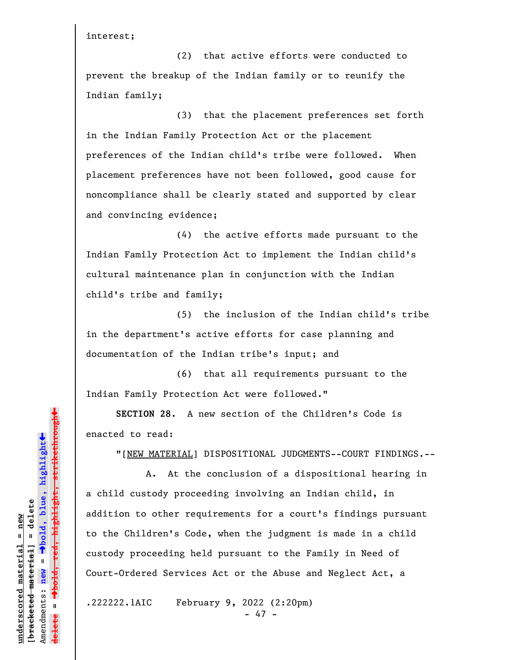interest;

(2) that active efforts were conducted to prevent the breakup of the Indian family or to reunify the Indian family;

(3) that the placement preferences set forth in the Indian Family Protection Act or the placement preferences of the Indian child's tribe were followed. When placement preferences have not been followed, good cause for noncompliance shall be clearly stated and supported by clear and convincing evidence;

(4) the active efforts made pursuant to the Indian Family Protection Act to implement the Indian child's cultural maintenance plan in conjunction with the Indian child's tribe and family;

(5) the inclusion of the Indian child's tribe in the department's active efforts for case planning and documentation of the Indian tribe's input; and

(6) that all requirements pursuant to the Indian Family Protection Act were followed."

**SECTION 28.** A new section of the Children's Code is enacted to read:

"[NEW MATERIAL] DISPOSITIONAL JUDGMENTS--COURT FINDINGS.--

A. At the conclusion of a dispositional hearing in a child custody proceeding involving an Indian child, in addition to other requirements for a court's findings pursuant to the Children's Code, when the judgment is made in a child custody proceeding held pursuant to the Family in Need of Court-Ordered Services Act or the Abuse and Neglect Act, a

.222222.1AIC February 9, 2022 (2:20pm) - 47 -

º**bold, red, highlight, strikethrough**  $\ddot{\bullet}$ º**bold, blue, highlight**  $b$ racketed material] = delete **[bracketed material] = delete** inderscored material = new **underscored material = new** Amendments: **new** =  $\mathbf{I}$ Amendments: new  $\mathbf{I}$ **delete =**

 $\ddag$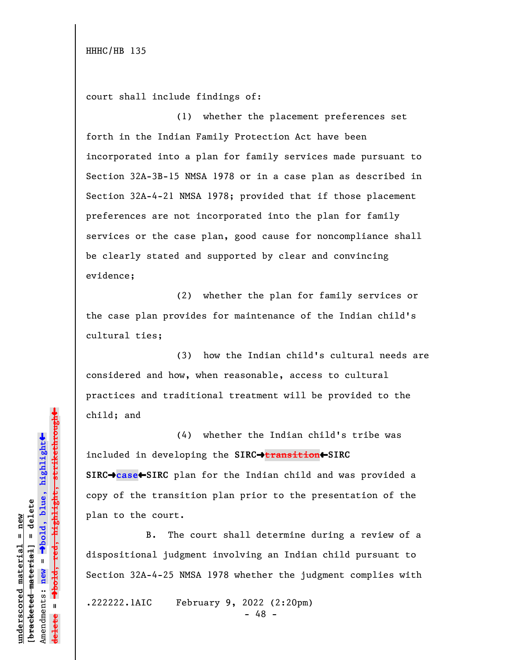court shall include findings of:

(1) whether the placement preferences set forth in the Indian Family Protection Act have been incorporated into a plan for family services made pursuant to Section 32A-3B-15 NMSA 1978 or in a case plan as described in Section 32A-4-21 NMSA 1978; provided that if those placement preferences are not incorporated into the plan for family services or the case plan, good cause for noncompliance shall be clearly stated and supported by clear and convincing evidence;

(2) whether the plan for family services or the case plan provides for maintenance of the Indian child's cultural ties;

(3) how the Indian child's cultural needs are considered and how, when reasonable, access to cultural practices and traditional treatment will be provided to the child; and

(4) whether the Indian child's tribe was included in developing the **SIRC**º**transition**»**SIRC SIRC**º**case**»**SIRC** plan for the Indian child and was provided a copy of the transition plan prior to the presentation of the plan to the court.

B. The court shall determine during a review of a dispositional judgment involving an Indian child pursuant to Section 32A-4-25 NMSA 1978 whether the judgment complies with

.222222.1AIC February 9, 2022 (2:20pm)

- 48 -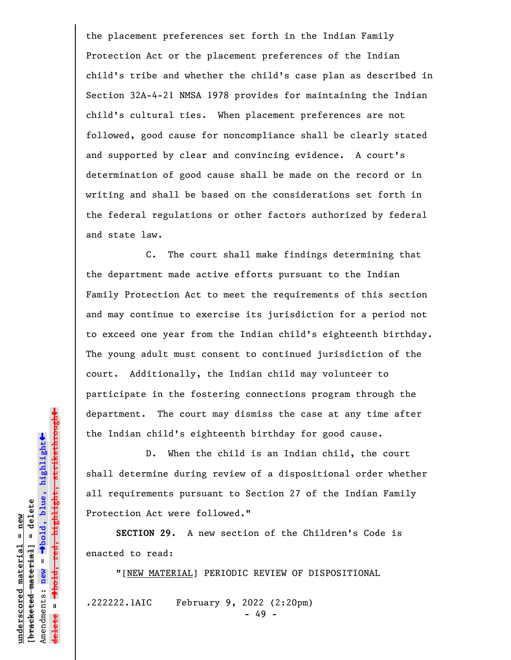the placement preferences set forth in the Indian Family Protection Act or the placement preferences of the Indian child's tribe and whether the child's case plan as described in Section 32A-4-21 NMSA 1978 provides for maintaining the Indian child's cultural ties. When placement preferences are not followed, good cause for noncompliance shall be clearly stated and supported by clear and convincing evidence. A court's determination of good cause shall be made on the record or in writing and shall be based on the considerations set forth in the federal regulations or other factors authorized by federal and state law.

C. The court shall make findings determining that the department made active efforts pursuant to the Indian Family Protection Act to meet the requirements of this section and may continue to exercise its jurisdiction for a period not to exceed one year from the Indian child's eighteenth birthday. The young adult must consent to continued jurisdiction of the court. Additionally, the Indian child may volunteer to participate in the fostering connections program through the department. The court may dismiss the case at any time after the Indian child's eighteenth birthday for good cause.

D. When the child is an Indian child, the court shall determine during review of a dispositional order whether all requirements pursuant to Section 27 of the Indian Family Protection Act were followed."

**SECTION 29.** A new section of the Children's Code is enacted to read:

"[NEW MATERIAL] PERIODIC REVIEW OF DISPOSITIONAL

.222222.1AIC February 9, 2022 (2:20pm)

- 49 -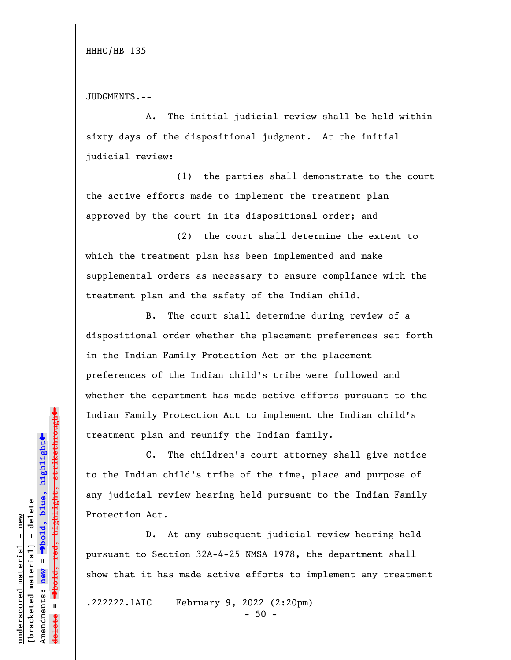JUDGMENTS.--

A. The initial judicial review shall be held within sixty days of the dispositional judgment. At the initial judicial review:

(1) the parties shall demonstrate to the court the active efforts made to implement the treatment plan approved by the court in its dispositional order; and

(2) the court shall determine the extent to which the treatment plan has been implemented and make supplemental orders as necessary to ensure compliance with the treatment plan and the safety of the Indian child.

B. The court shall determine during review of a dispositional order whether the placement preferences set forth in the Indian Family Protection Act or the placement preferences of the Indian child's tribe were followed and whether the department has made active efforts pursuant to the Indian Family Protection Act to implement the Indian child's treatment plan and reunify the Indian family.

C. The children's court attorney shall give notice to the Indian child's tribe of the time, place and purpose of any judicial review hearing held pursuant to the Indian Family Protection Act.

D. At any subsequent judicial review hearing held pursuant to Section 32A-4-25 NMSA 1978, the department shall show that it has made active efforts to implement any treatment

.222222.1AIC February 9, 2022 (2:20pm)

 $-50 -$ 

 $\ddag$ º**bold, red, highlight, strikethrough**  $\ddot{\bullet}$ º**bold, blue, highlight**  $b$ racketed material] = delete **[bracketed material] = delete** inderscored material = new **underscored material = new** Amendments: **new** =  $\bar{\mathbf{u}}$ Amendments: new  $\mathbf{I}$ **delete =** <del>ielete</del>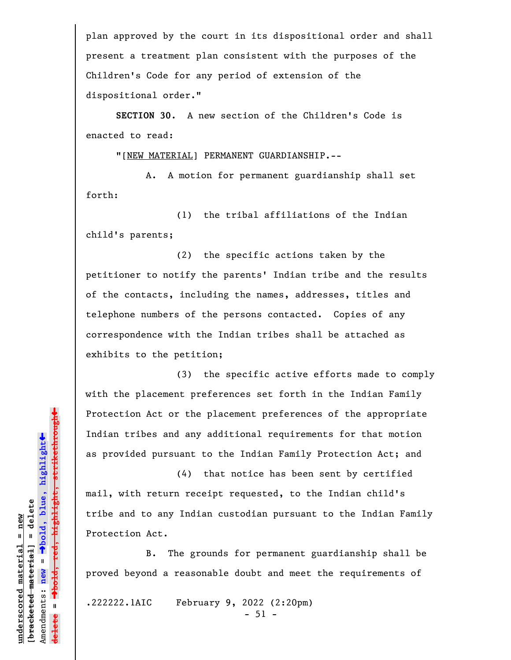plan approved by the court in its dispositional order and shall present a treatment plan consistent with the purposes of the Children's Code for any period of extension of the dispositional order."

**SECTION 30**. A new section of the Children's Code is enacted to read:

"[NEW MATERIAL] PERMANENT GUARDIANSHIP.--

A. A motion for permanent guardianship shall set forth:

(1) the tribal affiliations of the Indian child's parents;

(2) the specific actions taken by the petitioner to notify the parents' Indian tribe and the results of the contacts, including the names, addresses, titles and telephone numbers of the persons contacted. Copies of any correspondence with the Indian tribes shall be attached as exhibits to the petition;

(3) the specific active efforts made to comply with the placement preferences set forth in the Indian Family Protection Act or the placement preferences of the appropriate Indian tribes and any additional requirements for that motion as provided pursuant to the Indian Family Protection Act; and

(4) that notice has been sent by certified mail, with return receipt requested, to the Indian child's tribe and to any Indian custodian pursuant to the Indian Family Protection Act.

B. The grounds for permanent guardianship shall be proved beyond a reasonable doubt and meet the requirements of

.222222.1AIC February 9, 2022 (2:20pm)

- 51 -

 $\ddag$ º**bold, red, highlight, strikethrough**  $\ddot{\bullet}$ º**bold, blue, highlight**  $b$ racketed material] = delete **[bracketed material] = delete** inderscored material = new **underscored material = new** Amendments: **new** =  $\mathbf{I}$ Amendments: new  $\mathbf{I}$ **delete =**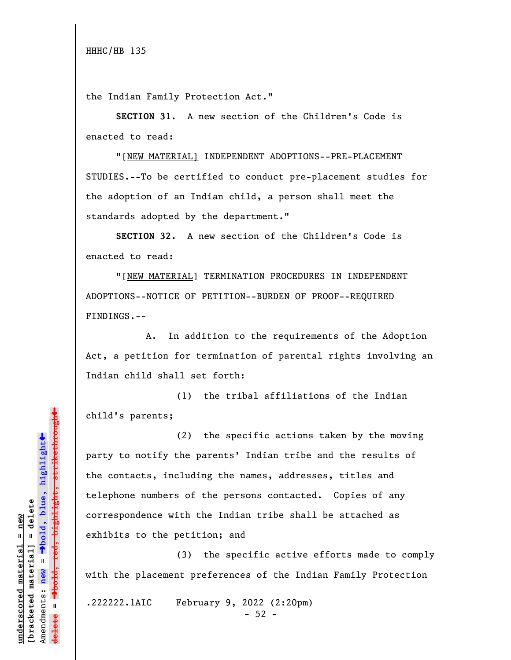the Indian Family Protection Act."

**SECTION 31.** A new section of the Children's Code is enacted to read:

"[NEW MATERIAL] INDEPENDENT ADOPTIONS--PRE-PLACEMENT STUDIES.--To be certified to conduct pre-placement studies for the adoption of an Indian child, a person shall meet the standards adopted by the department."

**SECTION 32.** A new section of the Children's Code is enacted to read:

"[NEW MATERIAL] TERMINATION PROCEDURES IN INDEPENDENT ADOPTIONS--NOTICE OF PETITION--BURDEN OF PROOF--REQUIRED FINDINGS.--

A. In addition to the requirements of the Adoption Act, a petition for termination of parental rights involving an Indian child shall set forth:

(1) the tribal affiliations of the Indian child's parents;

(2) the specific actions taken by the moving party to notify the parents' Indian tribe and the results of the contacts, including the names, addresses, titles and telephone numbers of the persons contacted. Copies of any correspondence with the Indian tribe shall be attached as exhibits to the petition; and

(3) the specific active efforts made to comply with the placement preferences of the Indian Family Protection

.222222.1AIC February 9, 2022 (2:20pm)

 $-52 -$ 

 $\ddag$ º**bold, red, highlight, strikethrough**  $\ddot{\bullet}$ º**bold, blue, highlight**  $b$ racketed material] = delete **[bracketed material] = delete** inderscored material = new **underscored material = new** Amendments: new = Amendments: **new** =  $\mathbf{u}$ **delete =**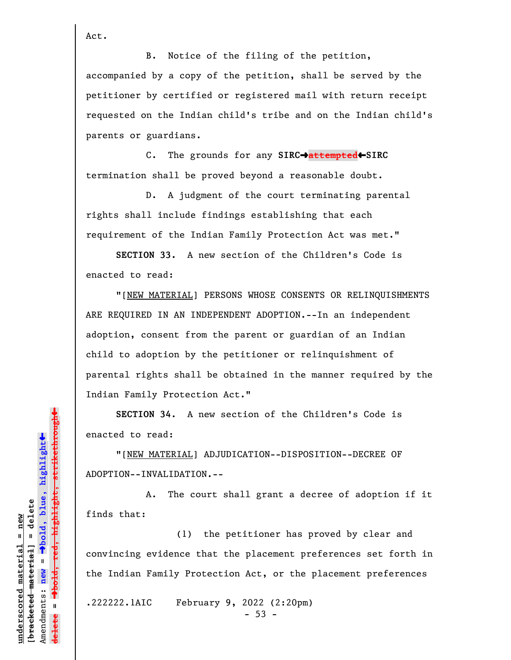Act.

B. Notice of the filing of the petition, accompanied by a copy of the petition, shall be served by the petitioner by certified or registered mail with return receipt requested on the Indian child's tribe and on the Indian child's parents or guardians.

C. The grounds for any **SIRC**º**attempted**»**SIRC** termination shall be proved beyond a reasonable doubt.

D. A judgment of the court terminating parental rights shall include findings establishing that each requirement of the Indian Family Protection Act was met."

**SECTION 33.** A new section of the Children's Code is enacted to read:

"[NEW MATERIAL] PERSONS WHOSE CONSENTS OR RELINQUISHMENTS ARE REQUIRED IN AN INDEPENDENT ADOPTION.--In an independent adoption, consent from the parent or guardian of an Indian child to adoption by the petitioner or relinquishment of parental rights shall be obtained in the manner required by the Indian Family Protection Act."

**SECTION 34**. A new section of the Children's Code is enacted to read:

"[NEW MATERIAL] ADJUDICATION--DISPOSITION--DECREE OF ADOPTION--INVALIDATION.--

A. The court shall grant a decree of adoption if it finds that:

(1) the petitioner has proved by clear and convincing evidence that the placement preferences set forth in the Indian Family Protection Act, or the placement preferences

.222222.1AIC February 9, 2022 (2:20pm)

 $-53 -$ 

 $\ddag$ º**bold, red, highlight, strikethrough**  $\ddot{\bullet}$ º**bold, blue, highlight**  $b$ racketed material] = delete **[bracketed material] = delete** inderscored material = new **underscored material = new** Amendments: **new** =  $\bar{\mathbf{u}}$ Amendments: new  $\mathbf{I}$ **delete =**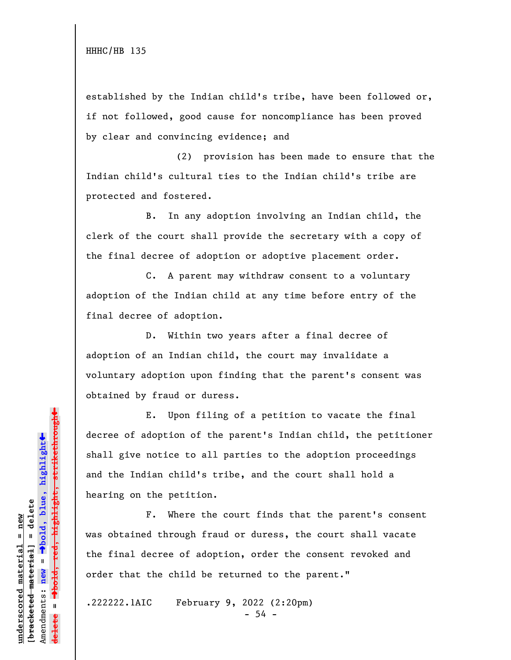established by the Indian child's tribe, have been followed or, if not followed, good cause for noncompliance has been proved by clear and convincing evidence; and

(2) provision has been made to ensure that the Indian child's cultural ties to the Indian child's tribe are protected and fostered.

B. In any adoption involving an Indian child, the clerk of the court shall provide the secretary with a copy of the final decree of adoption or adoptive placement order.

C. A parent may withdraw consent to a voluntary adoption of the Indian child at any time before entry of the final decree of adoption.

D. Within two years after a final decree of adoption of an Indian child, the court may invalidate a voluntary adoption upon finding that the parent's consent was obtained by fraud or duress.

E. Upon filing of a petition to vacate the final decree of adoption of the parent's Indian child, the petitioner shall give notice to all parties to the adoption proceedings and the Indian child's tribe, and the court shall hold a hearing on the petition.

F. Where the court finds that the parent's consent was obtained through fraud or duress, the court shall vacate the final decree of adoption, order the consent revoked and order that the child be returned to the parent."

.222222.1AIC February 9, 2022 (2:20pm)

- 54 -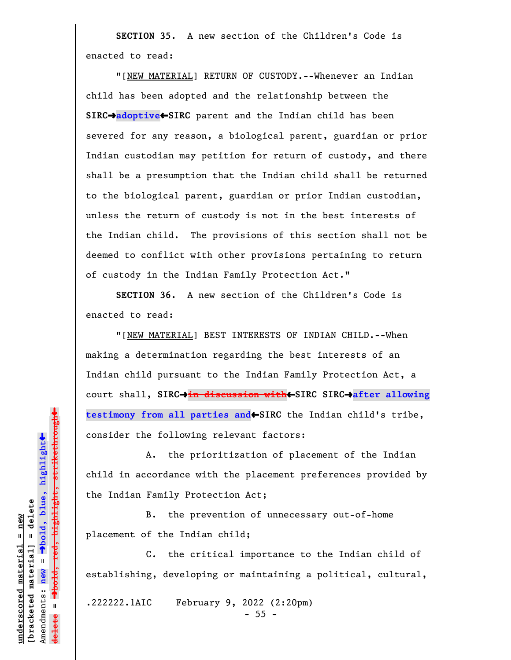**SECTION 35**. A new section of the Children's Code is enacted to read:

"[NEW MATERIAL] RETURN OF CUSTODY.--Whenever an Indian child has been adopted and the relationship between the **SIRC**º**adoptive**»**SIRC** parent and the Indian child has been severed for any reason, a biological parent, guardian or prior Indian custodian may petition for return of custody, and there shall be a presumption that the Indian child shall be returned to the biological parent, guardian or prior Indian custodian, unless the return of custody is not in the best interests of the Indian child. The provisions of this section shall not be deemed to conflict with other provisions pertaining to return of custody in the Indian Family Protection Act."

**SECTION 36.** A new section of the Children's Code is enacted to read:

"[NEW MATERIAL] BEST INTERESTS OF INDIAN CHILD.--When making a determination regarding the best interests of an Indian child pursuant to the Indian Family Protection Act, a court shall, SIRC→in discussion with←SIRC SIRC→after allowing **testimony from all parties and**»**SIRC** the Indian child's tribe, consider the following relevant factors:

A. the prioritization of placement of the Indian child in accordance with the placement preferences provided by the Indian Family Protection Act;

B. the prevention of unnecessary out-of-home placement of the Indian child;

C. the critical importance to the Indian child of establishing, developing or maintaining a political, cultural,

.222222.1AIC February 9, 2022 (2:20pm)

- 55 -

 $\ddag$ º**bold, red, highlight, strikethrough**  $\ddot{\bullet}$ º**bold, blue, highlight**  $b$ racketed material] = delete **[bracketed material] = delete** inderscored material = new **underscored material = new** Amendments: new = Amendments: **new** =  $\mathbf{I}$ **delete =** lelete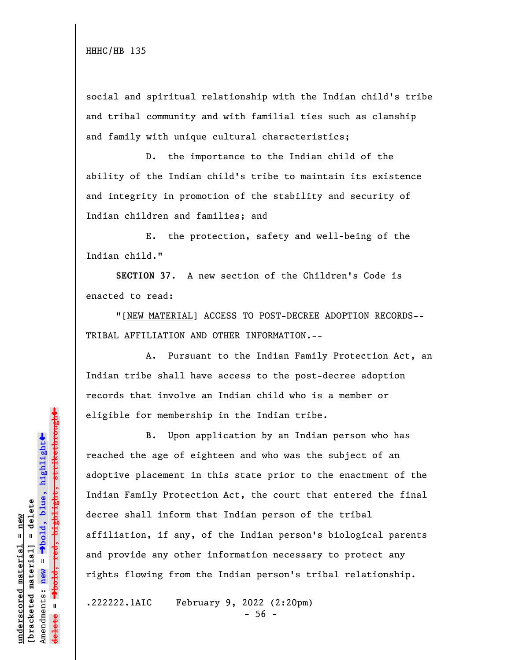social and spiritual relationship with the Indian child's tribe and tribal community and with familial ties such as clanship and family with unique cultural characteristics;

D. the importance to the Indian child of the ability of the Indian child's tribe to maintain its existence and integrity in promotion of the stability and security of Indian children and families; and

E. the protection, safety and well-being of the Indian child."

**SECTION 37.** A new section of the Children's Code is enacted to read:

"[NEW MATERIAL] ACCESS TO POST-DECREE ADOPTION RECORDS-- TRIBAL AFFILIATION AND OTHER INFORMATION.--

A. Pursuant to the Indian Family Protection Act, an Indian tribe shall have access to the post-decree adoption records that involve an Indian child who is a member or eligible for membership in the Indian tribe.

B. Upon application by an Indian person who has reached the age of eighteen and who was the subject of an adoptive placement in this state prior to the enactment of the Indian Family Protection Act, the court that entered the final decree shall inform that Indian person of the tribal affiliation, if any, of the Indian person's biological parents and provide any other information necessary to protect any rights flowing from the Indian person's tribal relationship.

.222222.1AIC February 9, 2022 (2:20pm)

- 56 -

 $\ddag$ º**bold, red, highlight, strikethrough**  $\ddot{\bullet}$ º**bold, blue, highlight**  $b$ racketed material] = delete **[bracketed material] = delete** inderscored material = new **underscored material = new** Amendments: **new** =  $\bar{\mathbf{u}}$ Amendments: new  $\mathbf{u}$ **delete =**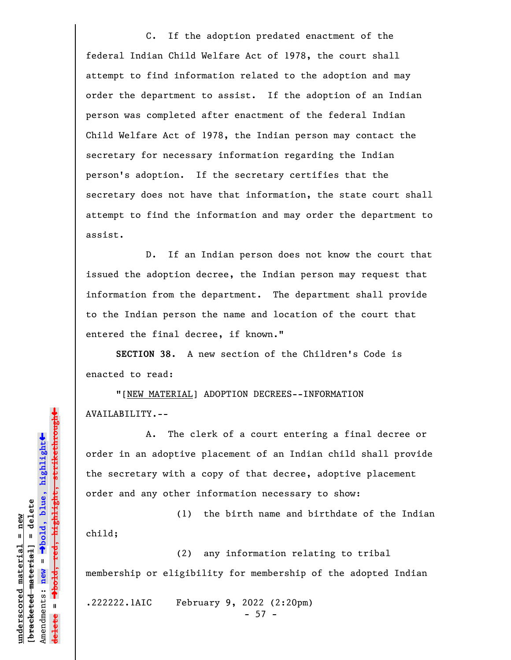C. If the adoption predated enactment of the federal Indian Child Welfare Act of 1978, the court shall attempt to find information related to the adoption and may order the department to assist. If the adoption of an Indian person was completed after enactment of the federal Indian Child Welfare Act of 1978, the Indian person may contact the secretary for necessary information regarding the Indian person's adoption. If the secretary certifies that the secretary does not have that information, the state court shall attempt to find the information and may order the department to assist.

D. If an Indian person does not know the court that issued the adoption decree, the Indian person may request that information from the department. The department shall provide to the Indian person the name and location of the court that entered the final decree, if known."

**SECTION 38.** A new section of the Children's Code is enacted to read:

"[NEW MATERIAL] ADOPTION DECREES--INFORMATION AVAILABILITY.--

A. The clerk of a court entering a final decree or order in an adoptive placement of an Indian child shall provide the secretary with a copy of that decree, adoptive placement order and any other information necessary to show:

(1) the birth name and birthdate of the Indian child;

(2) any information relating to tribal membership or eligibility for membership of the adopted Indian

.222222.1AIC February 9, 2022 (2:20pm)

- 57 -

 $\ddag$ º**bold, red, highlight, strikethrough**  $\ddot{\bullet}$ º**bold, blue, highlight**  $b$ racketed material] = delete **[bracketed material] = delete** inderscored material = new **underscored material = new** Amendments: **new** = Amendments: new =  $\mathbf{I}$ **delete =**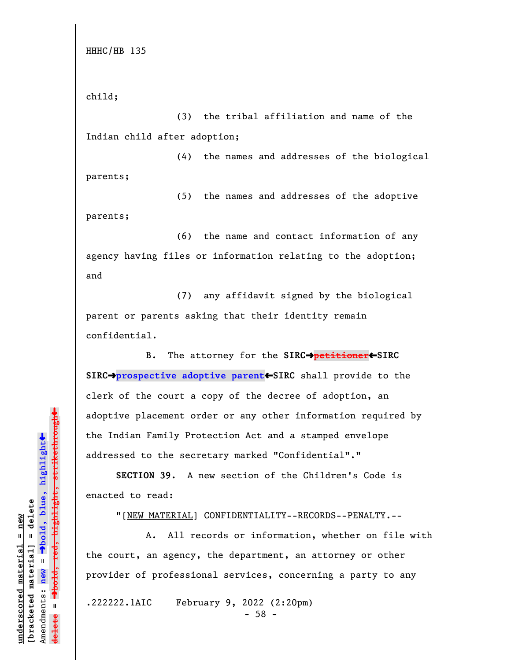child;

(3) the tribal affiliation and name of the Indian child after adoption;

(4) the names and addresses of the biological parents;

(5) the names and addresses of the adoptive parents;

(6) the name and contact information of any agency having files or information relating to the adoption; and

(7) any affidavit signed by the biological parent or parents asking that their identity remain confidential.

B. The attorney for the **SIRC**º**petitioner**»**SIRC SIRC**º**prospective adoptive parent**»**SIRC** shall provide to the clerk of the court a copy of the decree of adoption, an adoptive placement order or any other information required by the Indian Family Protection Act and a stamped envelope addressed to the secretary marked "Confidential"."

**SECTION 39.** A new section of the Children's Code is enacted to read:

"[NEW MATERIAL] CONFIDENTIALITY--RECORDS--PENALTY.--

A. All records or information, whether on file with the court, an agency, the department, an attorney or other provider of professional services, concerning a party to any

.222222.1AIC February 9, 2022 (2:20pm)

- 58 -

 $\ddag$ º**bold, red, highlight, strikethrough**  $\ddot{\bullet}$ º**bold, blue, highlight**  $b$ racketed material] = delete **[bracketed material] = delete** inderscored material = new **underscored material = new** Amendments: new = Amendments: **new** =  $\mathbf{u}$ **delete =** lelete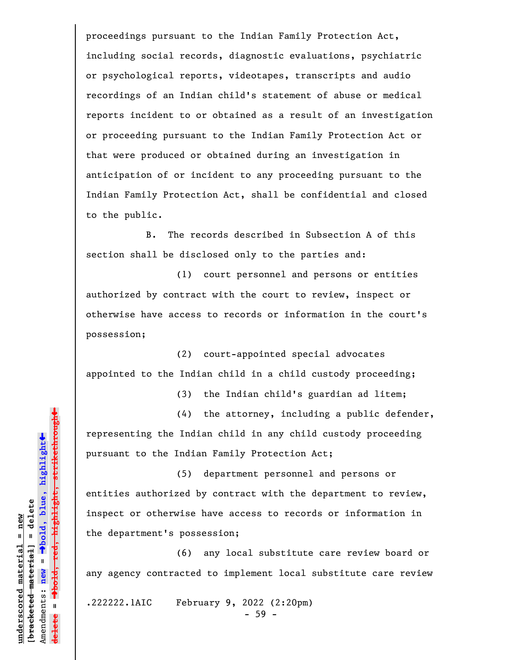proceedings pursuant to the Indian Family Protection Act, including social records, diagnostic evaluations, psychiatric or psychological reports, videotapes, transcripts and audio recordings of an Indian child's statement of abuse or medical reports incident to or obtained as a result of an investigation or proceeding pursuant to the Indian Family Protection Act or that were produced or obtained during an investigation in anticipation of or incident to any proceeding pursuant to the Indian Family Protection Act, shall be confidential and closed to the public.

B. The records described in Subsection A of this section shall be disclosed only to the parties and:

(1) court personnel and persons or entities authorized by contract with the court to review, inspect or otherwise have access to records or information in the court's possession;

(2) court-appointed special advocates appointed to the Indian child in a child custody proceeding;

(3) the Indian child's guardian ad litem;

(4) the attorney, including a public defender, representing the Indian child in any child custody proceeding pursuant to the Indian Family Protection Act;

(5) department personnel and persons or entities authorized by contract with the department to review, inspect or otherwise have access to records or information in the department's possession;

(6) any local substitute care review board or any agency contracted to implement local substitute care review

.222222.1AIC February 9, 2022 (2:20pm)

- 59 -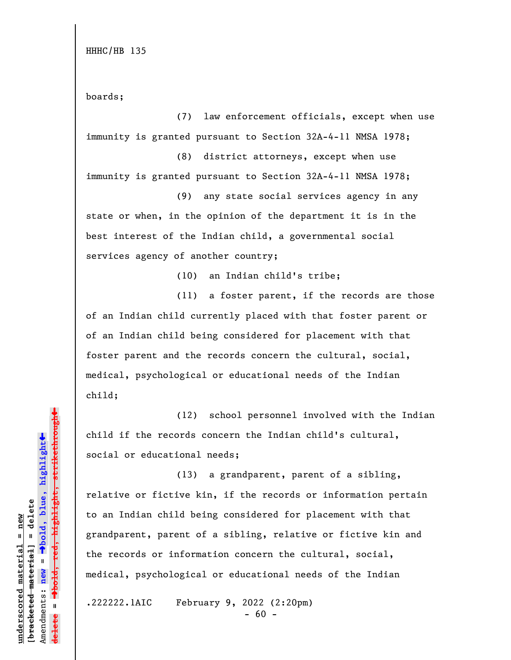boards;

(7) law enforcement officials, except when use immunity is granted pursuant to Section 32A-4-11 NMSA 1978;

(8) district attorneys, except when use immunity is granted pursuant to Section 32A-4-11 NMSA 1978;

(9) any state social services agency in any state or when, in the opinion of the department it is in the best interest of the Indian child, a governmental social services agency of another country;

(10) an Indian child's tribe;

(11) a foster parent, if the records are those of an Indian child currently placed with that foster parent or of an Indian child being considered for placement with that foster parent and the records concern the cultural, social, medical, psychological or educational needs of the Indian child;

(12) school personnel involved with the Indian child if the records concern the Indian child's cultural, social or educational needs;

(13) a grandparent, parent of a sibling, relative or fictive kin, if the records or information pertain to an Indian child being considered for placement with that grandparent, parent of a sibling, relative or fictive kin and the records or information concern the cultural, social, medical, psychological or educational needs of the Indian

.222222.1AIC February 9, 2022 (2:20pm)

 $- 60 -$ 

»highlight, strikethrough º**bold, red, highlight, strikethrough**  $\ddot{\bullet}$ º**bold, blue, highlight**  $b$ racketed material] = delete **[bracketed material] = delete** inderscored material = new **underscored material = new** Amendments: **new** =  $\bar{\mathbf{u}}$ Amendments: new  $\mathbf{u}$ **delete =** lelete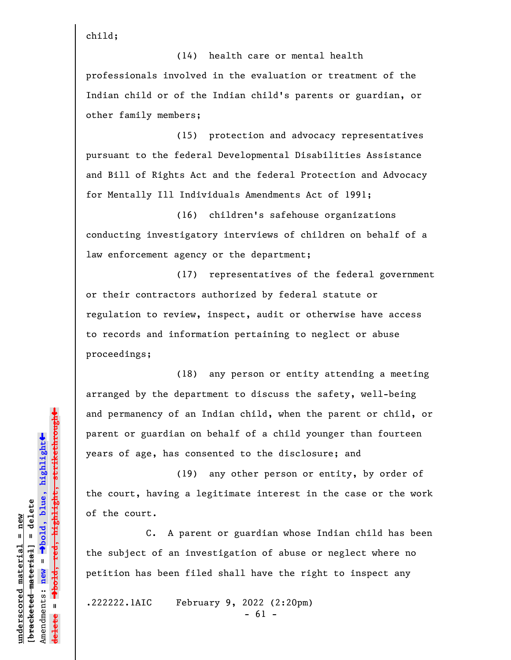child;

(14) health care or mental health professionals involved in the evaluation or treatment of the Indian child or of the Indian child's parents or guardian, or other family members;

(15) protection and advocacy representatives pursuant to the federal Developmental Disabilities Assistance and Bill of Rights Act and the federal Protection and Advocacy for Mentally Ill Individuals Amendments Act of 1991;

(16) children's safehouse organizations conducting investigatory interviews of children on behalf of a law enforcement agency or the department;

(17) representatives of the federal government or their contractors authorized by federal statute or regulation to review, inspect, audit or otherwise have access to records and information pertaining to neglect or abuse proceedings;

(18) any person or entity attending a meeting arranged by the department to discuss the safety, well-being and permanency of an Indian child, when the parent or child, or parent or guardian on behalf of a child younger than fourteen years of age, has consented to the disclosure; and

(19) any other person or entity, by order of the court, having a legitimate interest in the case or the work of the court.

C. A parent or guardian whose Indian child has been the subject of an investigation of abuse or neglect where no petition has been filed shall have the right to inspect any

.222222.1AIC February 9, 2022 (2:20pm)

- 61 -

 $\ddag$ º**bold, red, highlight, strikethrough**  $\ddot{\bullet}$ º**bold, blue, highlight**  $b$ racketed material] = delete **[bracketed material] = delete** inderscored material = new **underscored material = new** Amendments: **new** =  $\bar{\mathbf{u}}$ Amendments: new  $\mathbf{u}$ **delete =** <del>ielete</del>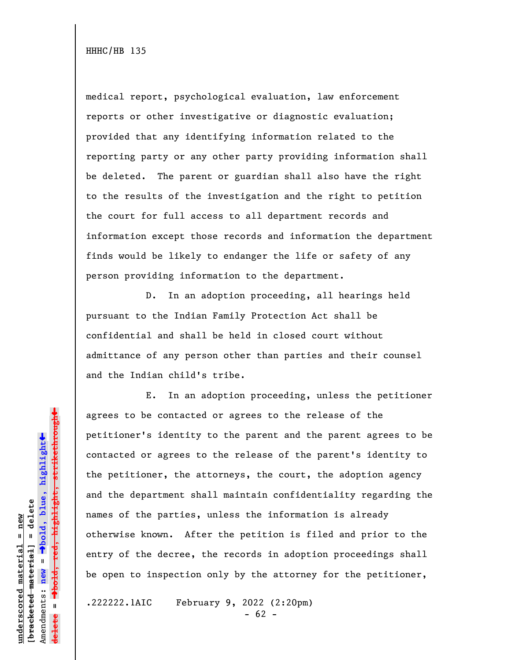medical report, psychological evaluation, law enforcement reports or other investigative or diagnostic evaluation; provided that any identifying information related to the reporting party or any other party providing information shall be deleted. The parent or guardian shall also have the right to the results of the investigation and the right to petition the court for full access to all department records and information except those records and information the department finds would be likely to endanger the life or safety of any person providing information to the department.

D. In an adoption proceeding, all hearings held pursuant to the Indian Family Protection Act shall be confidential and shall be held in closed court without admittance of any person other than parties and their counsel and the Indian child's tribe.

E. In an adoption proceeding, unless the petitioner agrees to be contacted or agrees to the release of the petitioner's identity to the parent and the parent agrees to be contacted or agrees to the release of the parent's identity to the petitioner, the attorneys, the court, the adoption agency and the department shall maintain confidentiality regarding the names of the parties, unless the information is already otherwise known. After the petition is filed and prior to the entry of the decree, the records in adoption proceedings shall be open to inspection only by the attorney for the petitioner,

.222222.1AIC February 9, 2022 (2:20pm)

 $- 62 -$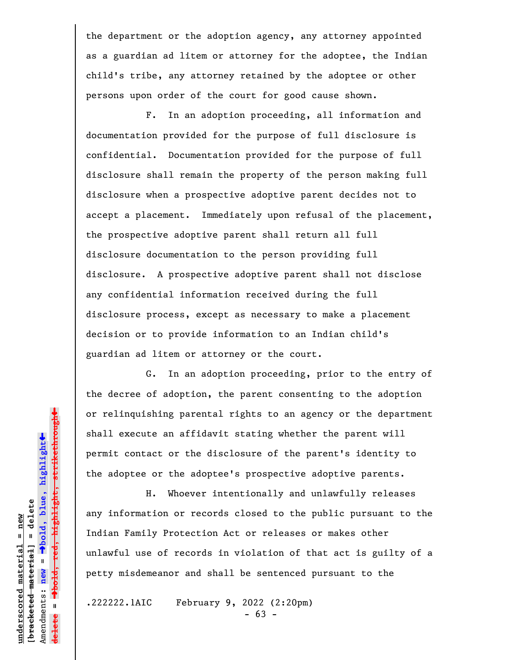the department or the adoption agency, any attorney appointed as a guardian ad litem or attorney for the adoptee, the Indian child's tribe, any attorney retained by the adoptee or other persons upon order of the court for good cause shown.

F. In an adoption proceeding, all information and documentation provided for the purpose of full disclosure is confidential. Documentation provided for the purpose of full disclosure shall remain the property of the person making full disclosure when a prospective adoptive parent decides not to accept a placement. Immediately upon refusal of the placement, the prospective adoptive parent shall return all full disclosure documentation to the person providing full disclosure. A prospective adoptive parent shall not disclose any confidential information received during the full disclosure process, except as necessary to make a placement decision or to provide information to an Indian child's guardian ad litem or attorney or the court.

G. In an adoption proceeding, prior to the entry of the decree of adoption, the parent consenting to the adoption or relinquishing parental rights to an agency or the department shall execute an affidavit stating whether the parent will permit contact or the disclosure of the parent's identity to the adoptee or the adoptee's prospective adoptive parents.

H. Whoever intentionally and unlawfully releases any information or records closed to the public pursuant to the Indian Family Protection Act or releases or makes other unlawful use of records in violation of that act is guilty of a petty misdemeanor and shall be sentenced pursuant to the

.222222.1AIC February 9, 2022 (2:20pm)

- 63 -

 $\ddag$ º**bold, red, highlight, strikethrough**  $\ddot{\bullet}$ º**bold, blue, highlight**  $b$ racketed material] = delete **[bracketed material] = delete** inderscored material = new **underscored material = new** Amendments: new = Amendments: **new** =  $\mathbf{I}$ **delete =** <del>ielete</del>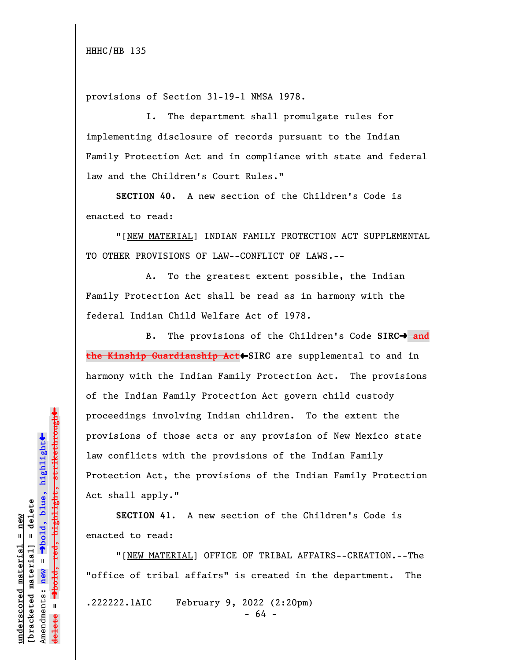provisions of Section 31-19-1 NMSA 1978.

I. The department shall promulgate rules for implementing disclosure of records pursuant to the Indian Family Protection Act and in compliance with state and federal law and the Children's Court Rules."

**SECTION 40.** A new section of the Children's Code is enacted to read:

"[NEW MATERIAL] INDIAN FAMILY PROTECTION ACT SUPPLEMENTAL TO OTHER PROVISIONS OF LAW--CONFLICT OF LAWS.--

A. To the greatest extent possible, the Indian Family Protection Act shall be read as in harmony with the federal Indian Child Welfare Act of 1978.

B. The provisions of the Children's Code SIRC<sup>+</sup> and **the Kinship Guardianship Act**»**SIRC** are supplemental to and in harmony with the Indian Family Protection Act. The provisions of the Indian Family Protection Act govern child custody proceedings involving Indian children. To the extent the provisions of those acts or any provision of New Mexico state law conflicts with the provisions of the Indian Family Protection Act, the provisions of the Indian Family Protection Act shall apply."

**SECTION 41**. A new section of the Children's Code is enacted to read:

"[NEW MATERIAL] OFFICE OF TRIBAL AFFAIRS--CREATION.--The "office of tribal affairs" is created in the department. The .222222.1AIC February 9, 2022 (2:20pm) - 64 -

 $\ddag$ º**bold, red, highlight, strikethrough**  $\ddot{\bullet}$ º**bold, blue, highlight**  $b$ racketed material] = delete **[bracketed material] = delete** inderscored material = new **underscored material = new** Amendments: **new** = Amendments: new =  $\mathbf{u}$ **delete =**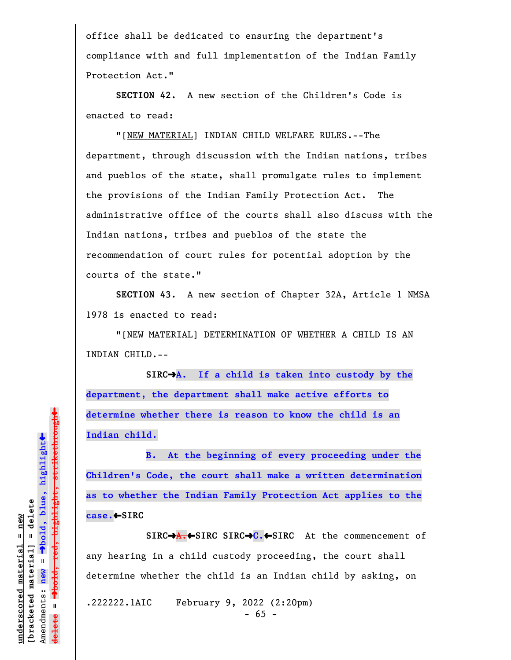office shall be dedicated to ensuring the department's compliance with and full implementation of the Indian Family Protection Act."

**SECTION 42.** A new section of the Children's Code is enacted to read:

"[NEW MATERIAL] INDIAN CHILD WELFARE RULES.--The department, through discussion with the Indian nations, tribes and pueblos of the state, shall promulgate rules to implement the provisions of the Indian Family Protection Act. The administrative office of the courts shall also discuss with the Indian nations, tribes and pueblos of the state the recommendation of court rules for potential adoption by the courts of the state."

**SECTION 43.** A new section of Chapter 32A, Article 1 NMSA 1978 is enacted to read:

"[NEW MATERIAL] DETERMINATION OF WHETHER A CHILD IS AN INDIAN CHILD.--

**SIRC**º**A. If a child is taken into custody by the department, the department shall make active efforts to determine whether there is reason to know the child is an Indian child.**

**B. At the beginning of every proceeding under the Children's Code, the court shall make a written determination as to whether the Indian Family Protection Act applies to the case.**»**SIRC**

**SIRC**º**A.**»**SIRC SIRC**º**C.**»**SIRC** At the commencement of any hearing in a child custody proceeding, the court shall determine whether the child is an Indian child by asking, on

.222222.1AIC February 9, 2022 (2:20pm)

- 65 -

 $\ddag$ º**bold, red, highlight, strikethrough**  $\ddot{\bullet}$ º**bold, blue, highlight**  $b$ racketed material] = delete **[bracketed material] = delete** inderscored material = new **underscored material = new**  $\mathbf{I}$ Amendments: **new** = Amendments: new  $\mathbf{u}$ **delete =**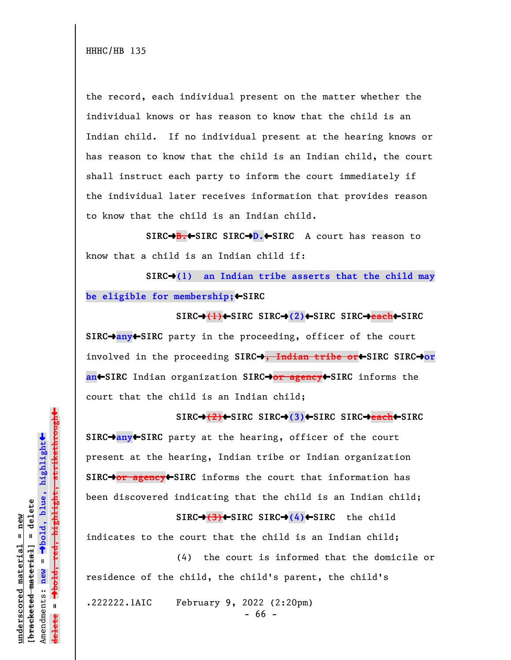the record, each individual present on the matter whether the individual knows or has reason to know that the child is an Indian child. If no individual present at the hearing knows or has reason to know that the child is an Indian child, the court shall instruct each party to inform the court immediately if the individual later receives information that provides reason to know that the child is an Indian child.

**SIRC**º**B.**»**SIRC SIRC**º**D.**»**SIRC** A court has reason to know that a child is an Indian child if:

SIRC<sup>+</sup>(1) an Indian tribe asserts that the child may **be eligible for membership;** SIRC

**SIRC**º**(1)**»**SIRC SIRC**º**(2)**»**SIRC SIRC**º**each**»**SIRC SIRC**º**any**»**SIRC** party in the proceeding, officer of the court involved in the proceeding **SIRC**º**, Indian tribe or**»**SIRC SIRC**º**or an**»**SIRC** Indian organization **SIRC**º**or agency**»**SIRC** informs the court that the child is an Indian child;

**SIRC**º**(2)**»**SIRC SIRC**º**(3)**»**SIRC SIRC**º**each**»**SIRC SIRC**º**any**»**SIRC** party at the hearing, officer of the court present at the hearing, Indian tribe or Indian organization **SIRC**º**or agency**»**SIRC** informs the court that information has been discovered indicating that the child is an Indian child;

**SIRC**º**(3)**»**SIRC SIRC**º**(4)**»**SIRC** the child indicates to the court that the child is an Indian child;

(4) the court is informed that the domicile or residence of the child, the child's parent, the child's

.222222.1AIC February 9, 2022 (2:20pm)

- 66 -

 $\ddag$ º**bold, red, highlight, strikethrough**  $\ddot{\bullet}$ º**bold, blue, highlight**  $b$ racketed material] = delete **[bracketed material] = delete** inderscored material = new **underscored material = new** Amendments: **new** = Amendments: new =  $\mathbf{u}$ **delete =** <del>ielete</del>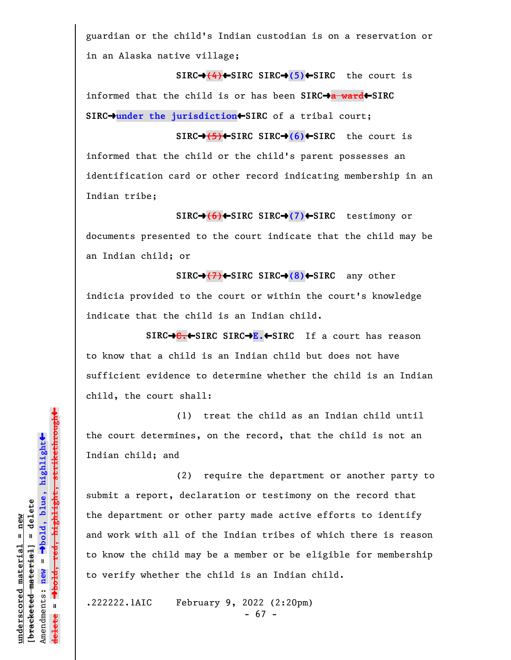guardian or the child's Indian custodian is on a reservation or in an Alaska native village;

**SIRC**º**(4)**»**SIRC SIRC**º**(5)**»**SIRC** the court is informed that the child is or has been SIRC $\rightarrow$ a ward $\leftarrow$ SIRC **SIRC**º**under the jurisdiction**»**SIRC** of a tribal court;

**SIRC**º**(5)**»**SIRC SIRC**º**(6)**»**SIRC** the court is informed that the child or the child's parent possesses an identification card or other record indicating membership in an Indian tribe;

**SIRC**º**(6)**»**SIRC SIRC**º**(7)**»**SIRC** testimony or documents presented to the court indicate that the child may be an Indian child; or

**SIRC**º**(7)**»**SIRC SIRC**º**(8)**»**SIRC** any other indicia provided to the court or within the court's knowledge indicate that the child is an Indian child.

**SIRC**º**C.**»**SIRC SIRC**º**E.**»**SIRC** If a court has reason to know that a child is an Indian child but does not have sufficient evidence to determine whether the child is an Indian child, the court shall:

(1) treat the child as an Indian child until the court determines, on the record, that the child is not an Indian child; and

(2) require the department or another party to submit a report, declaration or testimony on the record that the department or other party made active efforts to identify and work with all of the Indian tribes of which there is reason to know the child may be a member or be eligible for membership to verify whether the child is an Indian child.

.222222.1AIC February 9, 2022 (2:20pm)

- 67 -

 $\ddag$ º**bold, red, highlight, strikethrough**  $\ddot{\bullet}$ º**bold, blue, highlight**  $b$ racketed material] = delete **[bracketed material] = delete** inderscored material = new **underscored material = new** Amendments: new = Amendments: **new** =  $\mathbf{I}$ **delete =** <del>ielete</del>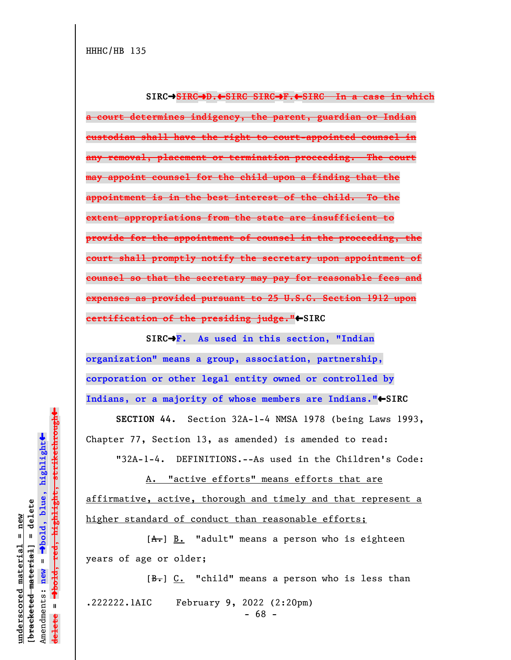**SIRC**º**SIRC**º**D.**»**SIRC SIRC**º**F.**»**SIRC In a case in which a court determines indigency, the parent, guardian or Indian custodian shall have the right to court-appointed counsel in any removal, placement or termination proceeding. The court may appoint counsel for the child upon a finding that the appointment is in the best interest of the child. To the extent appropriations from the state are insufficient to provide for the appointment of counsel in the proceeding, the court shall promptly notify the secretary upon appointment of counsel so that the secretary may pay for reasonable fees and expenses as provided pursuant to 25 U.S.C. Section 1912 upon certification of the presiding judge."**•SIRC

**SIRC**º**F. As used in this section, "Indian organization" means a group, association, partnership, corporation or other legal entity owned or controlled by** Indians, or a majority of whose members are Indians."<sup>\*</sup>SIRC

**SECTION 44.** Section 32A-1-4 NMSA 1978 (being Laws 1993, Chapter 77, Section 13, as amended) is amended to read:

"32A-1-4. DEFINITIONS.--As used in the Children's Code:

A. "active efforts" means efforts that are affirmative, active, thorough and timely and that represent a higher standard of conduct than reasonable efforts;

 $[A<sub>+</sub>]$   $\underline{B.}$  "adult" means a person who is eighteen years of age or older;

 $[B<sub>1</sub>]$  C. "child" means a person who is less than .222222.1AIC February 9, 2022 (2:20pm) - 68 -

º**bold, red, highlight, strikethrough**  $\ddot{\bullet}$ º**bold, blue, highlight** bracketed material] = delete **[bracketed material] = delete** inderscored material = new **underscored material = new**  $\mathbf{I}$ Amendments: **new** = Amendments: new  $\mathbf{I}$ **delete =** lelete

 $\ddag$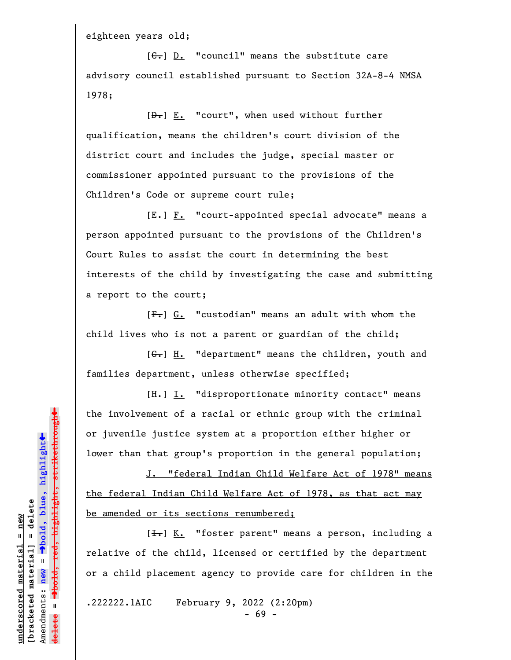eighteen years old;

 $[G<sub>1</sub>]$   $\underline{D.}$  "council" means the substitute care advisory council established pursuant to Section 32A-8-4 NMSA 1978;

[D.] E. "court", when used without further qualification, means the children's court division of the district court and includes the judge, special master or commissioner appointed pursuant to the provisions of the Children's Code or supreme court rule;

 $[E_r]$   $F.$  "court-appointed special advocate" means a person appointed pursuant to the provisions of the Children's Court Rules to assist the court in determining the best interests of the child by investigating the case and submitting a report to the court;

[F.] G. "custodian" means an adult with whom the child lives who is not a parent or guardian of the child;

[G.] H. "department" means the children, youth and families department, unless otherwise specified;

[H.] I. "disproportionate minority contact" means the involvement of a racial or ethnic group with the criminal or juvenile justice system at a proportion either higher or lower than that group's proportion in the general population;

J. "federal Indian Child Welfare Act of 1978" means the federal Indian Child Welfare Act of 1978, as that act may be amended or its sections renumbered;

 $[\frac{1}{\sqrt{1}}]$  K. "foster parent" means a person, including a relative of the child, licensed or certified by the department or a child placement agency to provide care for children in the

.222222.1AIC February 9, 2022 (2:20pm)

- 69 -

 $\ddag$ º**bold, red, highlight, strikethrough**  $\ddot{\bullet}$ º**bold, blue, highlight**  $b$ racketed material] = delete **[bracketed material] = delete** inderscored material = new **underscored material = new** Amendments: **new** =  $\mathbf{I}$ Amendments: new **delete =**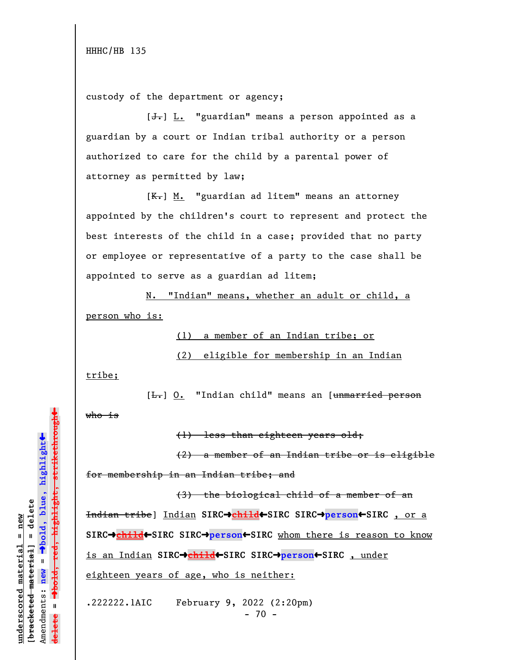custody of the department or agency;

 $[\frac{1}{\sqrt{1}}]$  L. "guardian" means a person appointed as a guardian by a court or Indian tribal authority or a person authorized to care for the child by a parental power of attorney as permitted by law;

 $[K-]$  M. "guardian ad litem" means an attorney appointed by the children's court to represent and protect the best interests of the child in a case; provided that no party or employee or representative of a party to the case shall be appointed to serve as a guardian ad litem;

N. "Indian" means, whether an adult or child, a person who is:

(1) a member of an Indian tribe; or

(2) eligible for membership in an Indian

tribe;

[<del>L.</del>] O. "Indian child" means an [unmarried person who is

(1) less than eighteen years old;

(2) a member of an Indian tribe or is eligible for membership in an Indian tribe; and

(3) the biological child of a member of an Indian tribe] Indian **SIRC**º**child**»**SIRC SIRC**º**person**»**SIRC** , or a **SIRC→child←SIRC** SIRC→person←SIRC whom there is reason to know is an Indian **SIRC**º**child**»**SIRC SIRC**º**person**»**SIRC** , under eighteen years of age, who is neither:

.222222.1AIC February 9, 2022 (2:20pm)  $- 70 -$ 

 $\rightarrow$ bold, red, highlight, strikethrough º**bold, red, highlight, strikethrough**  $\ddot{\bullet}$ º**bold, blue, highlight** bracketed material] = delete **[bracketed material] = delete** inderscored material = new **underscored material = new** Amendments: **new** =  $\bar{\mathbf{u}}$ Amendments: new **delete = lelete** 

»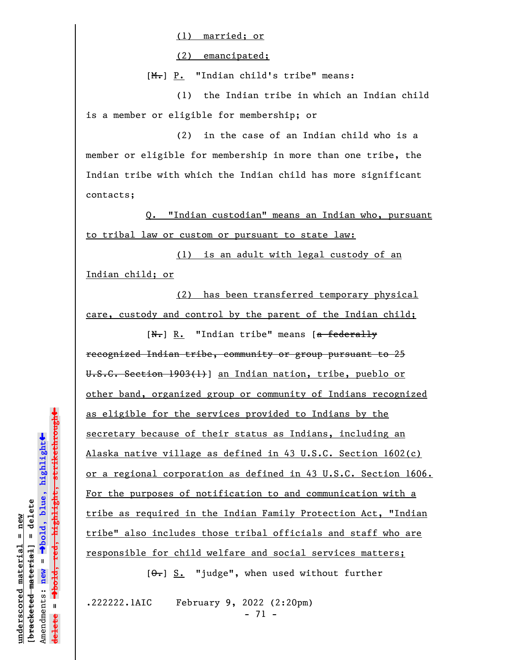(1) married; or

(2) emancipated;

 $[M_{\tau}]$  P. "Indian child's tribe" means:

(1) the Indian tribe in which an Indian child is a member or eligible for membership; or

(2) in the case of an Indian child who is a member or eligible for membership in more than one tribe, the Indian tribe with which the Indian child has more significant contacts;

Q. "Indian custodian" means an Indian who, pursuant to tribal law or custom or pursuant to state law:

(1) is an adult with legal custody of an Indian child; or

(2) has been transferred temporary physical care, custody and control by the parent of the Indian child;

 $[N-]$  R. "Indian tribe" means [a federally recognized Indian tribe, community or group pursuant to 25 U.S.C. Section 1903(1)] an Indian nation, tribe, pueblo or other band, organized group or community of Indians recognized as eligible for the services provided to Indians by the secretary because of their status as Indians, including an Alaska native village as defined in 43 U.S.C. Section 1602(c) or a regional corporation as defined in 43 U.S.C. Section 1606. For the purposes of notification to and communication with a tribe as required in the Indian Family Protection Act, "Indian tribe" also includes those tribal officials and staff who are responsible for child welfare and social services matters;

 $[ $\theta$  -] S. "judge", when used without further$ 

.222222.1AIC February 9, 2022 (2:20pm) - 71 -

 $\ddag$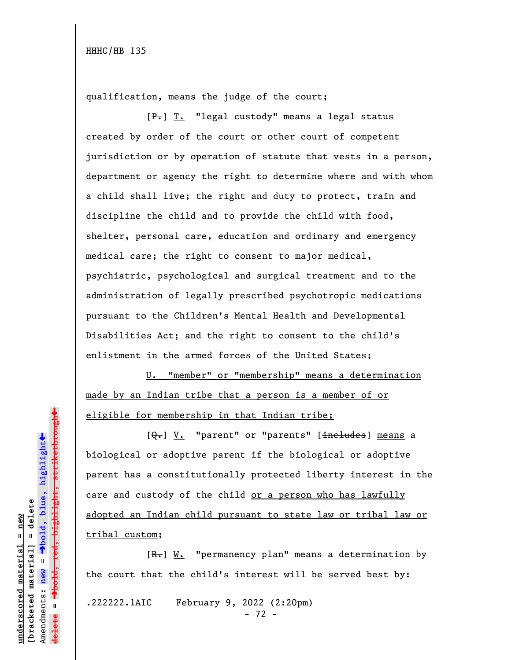qualification, means the judge of the court;

[P.] T. "legal custody" means a legal status created by order of the court or other court of competent jurisdiction or by operation of statute that vests in a person, department or agency the right to determine where and with whom a child shall live; the right and duty to protect, train and discipline the child and to provide the child with food, shelter, personal care, education and ordinary and emergency medical care; the right to consent to major medical, psychiatric, psychological and surgical treatment and to the administration of legally prescribed psychotropic medications pursuant to the Children's Mental Health and Developmental Disabilities Act; and the right to consent to the child's enlistment in the armed forces of the United States;

U. "member" or "membership" means a determination made by an Indian tribe that a person is a member of or eligible for membership in that Indian tribe;

[Q.] V. "parent" or "parents" [includes] means a biological or adoptive parent if the biological or adoptive parent has a constitutionally protected liberty interest in the care and custody of the child or a person who has lawfully adopted an Indian child pursuant to state law or tribal law or tribal custom;

 $[R-]$  W. "permanency plan" means a determination by the court that the child's interest will be served best by:

.222222.1AIC February 9, 2022 (2:20pm)

- 72 -

 $\ddag$ º**bold, red, highlight, strikethrough**  $\ddot{\bullet}$ º**bold, blue, highlight**  $b$ racketed material] = delete **[bracketed material] = delete** inderscored material = new **underscored material = new** Amendments: new = Amendments: **new** =  $\mathbf{u}$ **delete =** <del>ielete</del>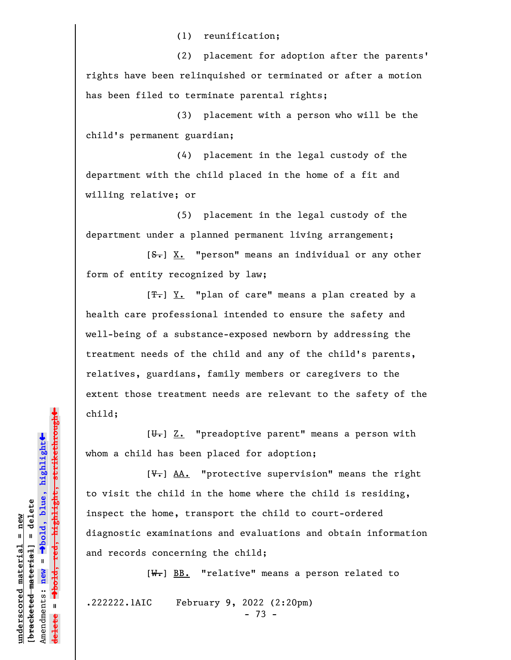(1) reunification;

(2) placement for adoption after the parents' rights have been relinquished or terminated or after a motion has been filed to terminate parental rights;

(3) placement with a person who will be the child's permanent guardian;

(4) placement in the legal custody of the department with the child placed in the home of a fit and willing relative; or

(5) placement in the legal custody of the department under a planned permanent living arrangement;

 $[**S**$ . "person" means an individual or any other form of entity recognized by law;

 $[T<sub>•</sub>]$   $Y<sub>•</sub>$  "plan of care" means a plan created by a health care professional intended to ensure the safety and well-being of a substance-exposed newborn by addressing the treatment needs of the child and any of the child's parents, relatives, guardians, family members or caregivers to the extent those treatment needs are relevant to the safety of the child;

 $[\theta_{\tau}]$   $\underline{Z.}$  "preadoptive parent" means a person with whom a child has been placed for adoption;

 $[\nabla_{\bullet}]$  AA. "protective supervision" means the right to visit the child in the home where the child is residing, inspect the home, transport the child to court-ordered diagnostic examinations and evaluations and obtain information and records concerning the child;

 $[W_{\bullet}]$  BB. "relative" means a person related to

.222222.1AIC February 9, 2022 (2:20pm)

- 73 -

»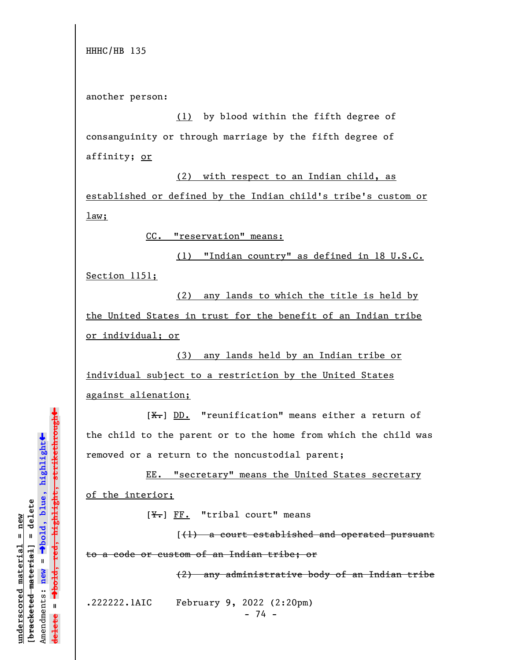HHHC/HB 135

another person:

(1) by blood within the fifth degree of consanguinity or through marriage by the fifth degree of affinity; or

(2) with respect to an Indian child, as established or defined by the Indian child's tribe's custom or law;

CC. "reservation" means:

(1) "Indian country" as defined in 18 U.S.C. Section 1151;

(2) any lands to which the title is held by the United States in trust for the benefit of an Indian tribe or individual; or

(3) any lands held by an Indian tribe or individual subject to a restriction by the United States against alienation;

 $[X<sub>1</sub>]$  DD. "reunification" means either a return of the child to the parent or to the home from which the child was removed or a return to the noncustodial parent;

EE. "secretary" means the United States secretary of the interior;

 $[\frac{Y}{T}]$  FF. "tribal court" means

 $(1)$  a court established and operated pursuant to a code or custom of an Indian tribe; or

(2) any administrative body of an Indian tribe

.222222.1AIC February 9, 2022 (2:20pm)

- 74 -

 $\ddag$ º**bold, red, highlight, strikethrough**  $\ddot{\bullet}$ º**bold, blue, highlight**  $b$ racketed material] = delete **[bracketed material] = delete** inderscored material = new **underscored material = new** Amendments: new = Amendments: **new** =  $\mathbf{I}$ **delete =** lelete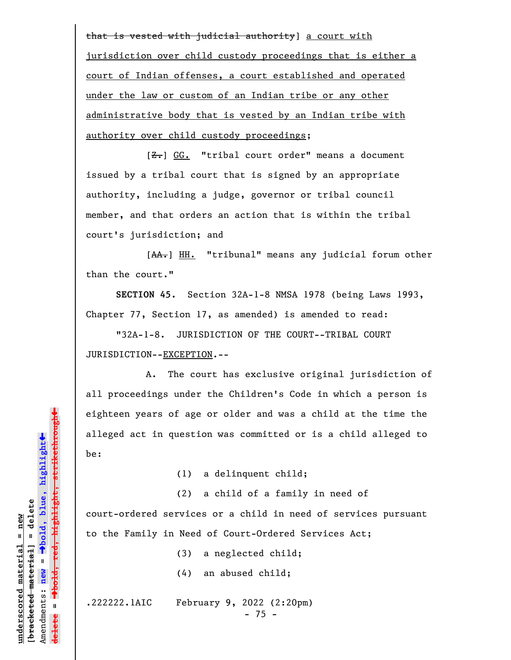that is vested with judicial authority] a court with jurisdiction over child custody proceedings that is either a court of Indian offenses, a court established and operated under the law or custom of an Indian tribe or any other administrative body that is vested by an Indian tribe with authority over child custody proceedings;

 $[**Z**]<sub>1</sub>$  GG. "tribal court order" means a document issued by a tribal court that is signed by an appropriate authority, including a judge, governor or tribal council member, and that orders an action that is within the tribal court's jurisdiction; and

[AA.] HH. "tribunal" means any judicial forum other than the court."

**SECTION 45.** Section 32A-1-8 NMSA 1978 (being Laws 1993, Chapter 77, Section 17, as amended) is amended to read:

"32A-1-8. JURISDICTION OF THE COURT--TRIBAL COURT JURISDICTION--EXCEPTION.--

A. The court has exclusive original jurisdiction of all proceedings under the Children's Code in which a person is eighteen years of age or older and was a child at the time the alleged act in question was committed or is a child alleged to be:

(1) a delinquent child;

(2) a child of a family in need of court-ordered services or a child in need of services pursuant

to the Family in Need of Court-Ordered Services Act;

(3) a neglected child;

(4) an abused child;

.222222.1AIC February 9, 2022 (2:20pm)

- 75 -

º**bold, red, highlight, strikethrough** highlight, strikethrough  $\ddot{\bullet}$ º**bold, blue, highlight** bracketed material] = delete **[bracketed material] = delete**  $anderscored material = new$ **underscored material = new** Amendments: **new** =  $\bar{\mathbf{u}}$ Amendments: new **delete =**

»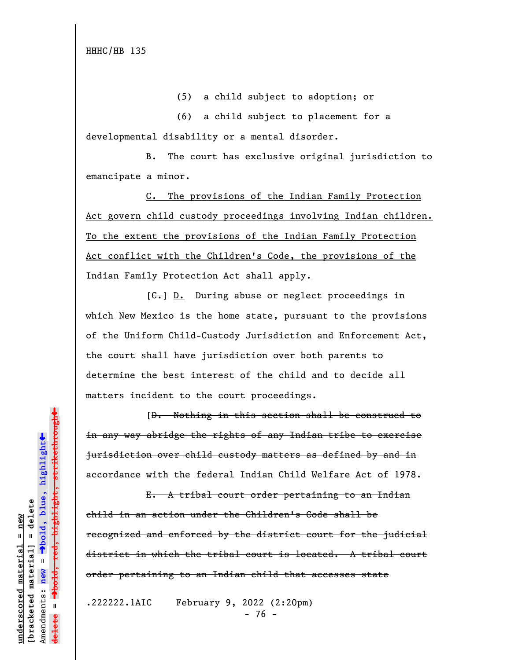HHHC/HB 135

(5) a child subject to adoption; or

(6) a child subject to placement for a developmental disability or a mental disorder.

B. The court has exclusive original jurisdiction to emancipate a minor.

C. The provisions of the Indian Family Protection Act govern child custody proceedings involving Indian children. To the extent the provisions of the Indian Family Protection Act conflict with the Children's Code, the provisions of the Indian Family Protection Act shall apply.

 $[G<sub>1</sub>]$   $\underline{D.}$  During abuse or neglect proceedings in which New Mexico is the home state, pursuant to the provisions of the Uniform Child-Custody Jurisdiction and Enforcement Act, the court shall have jurisdiction over both parents to determine the best interest of the child and to decide all matters incident to the court proceedings.

[D. Nothing in this section shall be construed to in any way abridge the rights of any Indian tribe to exercise jurisdiction over child custody matters as defined by and in accordance with the federal Indian Child Welfare Act of 1978.

E. A tribal court order pertaining to an Indian child in an action under the Children's Code shall be recognized and enforced by the district court for the judicial district in which the tribal court is located. A tribal court order pertaining to an Indian child that accesses state

.222222.1AIC February 9, 2022 (2:20pm) - 76 -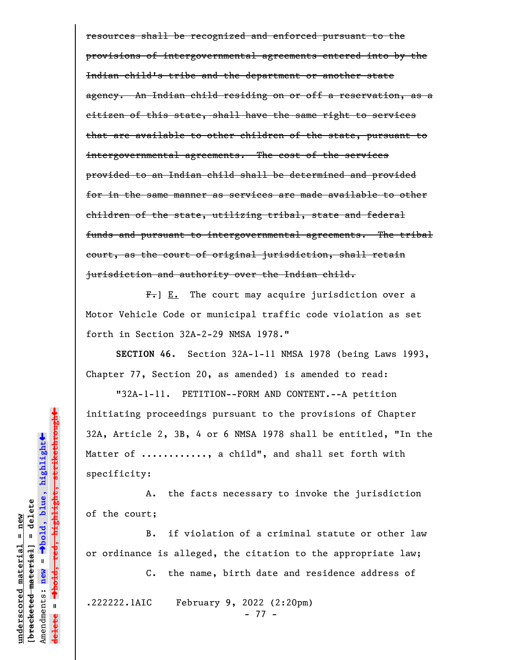resources shall be recognized and enforced pursuant to the provisions of intergovernmental agreements entered into by the Indian child's tribe and the department or another state agency. An Indian child residing on or off a reservation, as a citizen of this state, shall have the same right to services that are available to other children of the state, pursuant to intergovernmental agreements. The cost of the services provided to an Indian child shall be determined and provided for in the same manner as services are made available to other children of the state, utilizing tribal, state and federal funds and pursuant to intergovernmental agreements. The tribal court, as the court of original jurisdiction, shall retain jurisdiction and authority over the Indian child.

 $F_{\bullet}$ ] E. The court may acquire jurisdiction over a Motor Vehicle Code or municipal traffic code violation as set forth in Section 32A-2-29 NMSA 1978."

**SECTION 46.** Section 32A-1-11 NMSA 1978 (being Laws 1993, Chapter 77, Section 20, as amended) is amended to read:

"32A-1-11. PETITION--FORM AND CONTENT.--A petition initiating proceedings pursuant to the provisions of Chapter 32A, Article 2, 3B, 4 or 6 NMSA 1978 shall be entitled, "In the Matter of ..........., a child", and shall set forth with specificity:

A. the facts necessary to invoke the jurisdiction of the court;

B. if violation of a criminal statute or other law or ordinance is alleged, the citation to the appropriate law;

C. the name, birth date and residence address of

.222222.1AIC February 9, 2022 (2:20pm)

- 77 -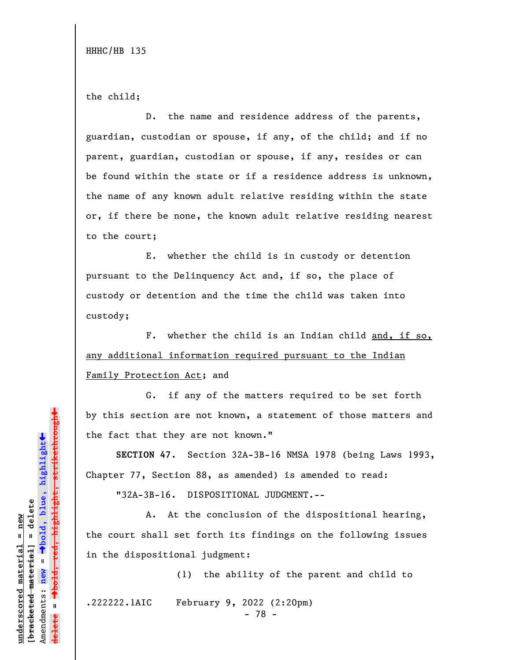HHHC/HB 135

the child;

D. the name and residence address of the parents, guardian, custodian or spouse, if any, of the child; and if no parent, guardian, custodian or spouse, if any, resides or can be found within the state or if a residence address is unknown, the name of any known adult relative residing within the state or, if there be none, the known adult relative residing nearest to the court;

E. whether the child is in custody or detention pursuant to the Delinquency Act and, if so, the place of custody or detention and the time the child was taken into custody;

F. whether the child is an Indian child and, if so, any additional information required pursuant to the Indian Family Protection Act; and

G. if any of the matters required to be set forth by this section are not known, a statement of those matters and the fact that they are not known."

**SECTION 47.** Section 32A-3B-16 NMSA 1978 (being Laws 1993, Chapter 77, Section 88, as amended) is amended to read:

"32A-3B-16. DISPOSITIONAL JUDGMENT.--

A. At the conclusion of the dispositional hearing, the court shall set forth its findings on the following issues in the dispositional judgment:

(1) the ability of the parent and child to

.222222.1AIC February 9, 2022 (2:20pm)

- 78 -

º**bold, red, highlight, strikethrough**  $\ddot{\bullet}$ º**bold, blue, highlight**  $b$ racketed material] = delete **[bracketed material] = delete** inderscored material = new **underscored material = new** Amendments: **new** =  $\mathbf{I}$ Amendments: new **delete =**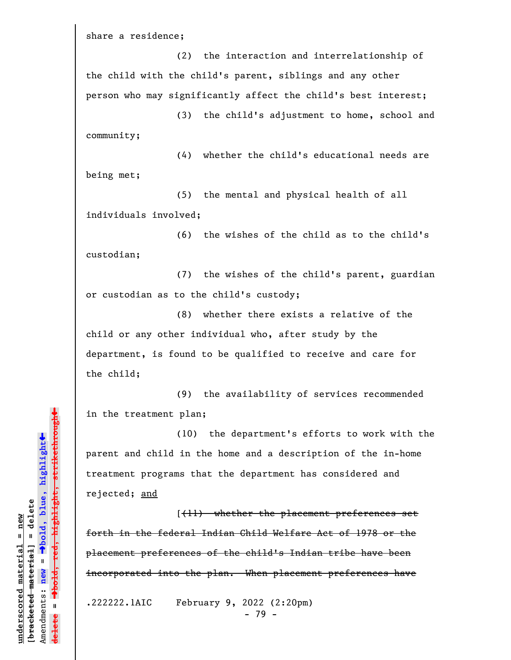share a residence;

(2) the interaction and interrelationship of the child with the child's parent, siblings and any other person who may significantly affect the child's best interest;

(3) the child's adjustment to home, school and community;

(4) whether the child's educational needs are being met;

(5) the mental and physical health of all individuals involved;

(6) the wishes of the child as to the child's custodian;

(7) the wishes of the child's parent, guardian or custodian as to the child's custody;

(8) whether there exists a relative of the child or any other individual who, after study by the department, is found to be qualified to receive and care for the child;

(9) the availability of services recommended in the treatment plan;

(10) the department's efforts to work with the parent and child in the home and a description of the in-home treatment programs that the department has considered and rejected; and

[(11) whether the placement preferences set forth in the federal Indian Child Welfare Act of 1978 or the placement preferences of the child's Indian tribe have been incorporated into the plan. When placement preferences have

.222222.1AIC February 9, 2022 (2:20pm) - 79 -

º**bold, red, highlight, strikethrough**  $\ddot{\bullet}$ º**bold, blue, highlight**  $b$ racketed material] = delete **[bracketed material] = delete** inderscored material = new **underscored material = new Ted,** Amendments: **new** = Amendments: new =  $\mathbf{I}$ **delete =**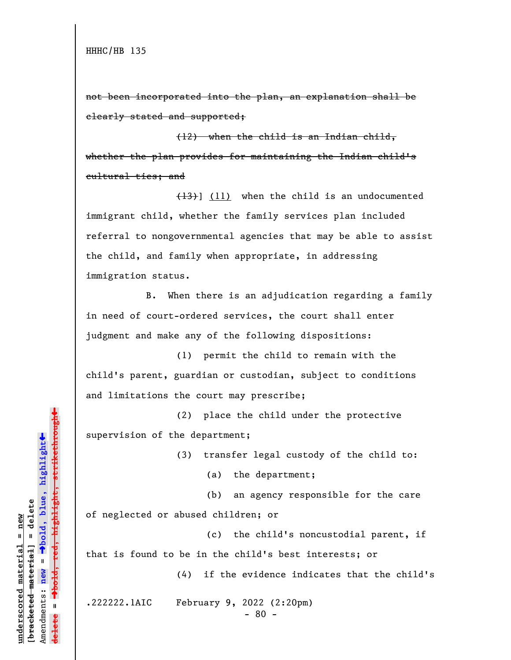not been incorporated into the plan, an explanation shall be clearly stated and supported;

(12) when the child is an Indian child, whether the plan provides for maintaining the Indian child's cultural ties; and

 $(13)$ ] (11) when the child is an undocumented immigrant child, whether the family services plan included referral to nongovernmental agencies that may be able to assist the child, and family when appropriate, in addressing immigration status.

B. When there is an adjudication regarding a family in need of court-ordered services, the court shall enter judgment and make any of the following dispositions:

(1) permit the child to remain with the child's parent, guardian or custodian, subject to conditions and limitations the court may prescribe;

(2) place the child under the protective supervision of the department;

(3) transfer legal custody of the child to:

(a) the department;

(b) an agency responsible for the care

of neglected or abused children; or

(c) the child's noncustodial parent, if

that is found to be in the child's best interests; or

(4) if the evidence indicates that the child's

.222222.1AIC February 9, 2022 (2:20pm)

- 80 -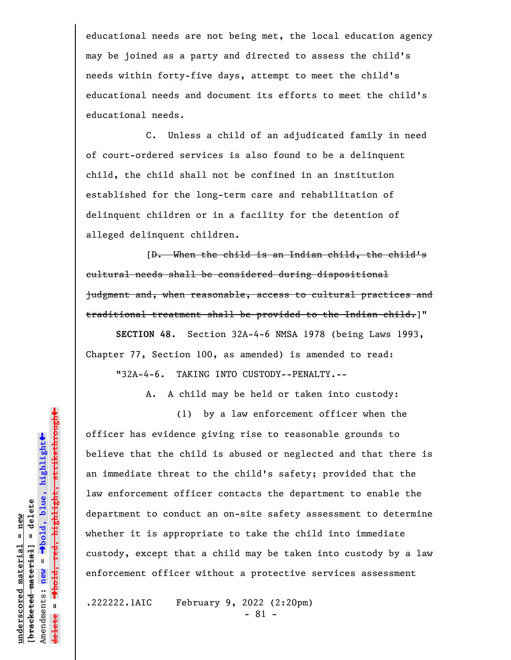educational needs are not being met, the local education agency may be joined as a party and directed to assess the child's needs within forty-five days, attempt to meet the child's educational needs and document its efforts to meet the child's educational needs.

C. Unless a child of an adjudicated family in need of court-ordered services is also found to be a delinquent child, the child shall not be confined in an institution established for the long-term care and rehabilitation of delinquent children or in a facility for the detention of alleged delinquent children.

[D. When the child is an Indian child, the child's cultural needs shall be considered during dispositional judgment and, when reasonable, access to cultural practices and traditional treatment shall be provided to the Indian child.]"

**SECTION 48.** Section 32A-4-6 NMSA 1978 (being Laws 1993, Chapter 77, Section 100, as amended) is amended to read: "32A-4-6. TAKING INTO CUSTODY--PENALTY.--

A. A child may be held or taken into custody:

(1) by a law enforcement officer when the officer has evidence giving rise to reasonable grounds to believe that the child is abused or neglected and that there is an immediate threat to the child's safety; provided that the law enforcement officer contacts the department to enable the department to conduct an on-site safety assessment to determine whether it is appropriate to take the child into immediate custody, except that a child may be taken into custody by a law enforcement officer without a protective services assessment

.222222.1AIC February 9, 2022 (2:20pm)

- 81 -

 $\ddag$ º**bold, red, highlight, strikethrough**  $\ddot{\bullet}$ º**bold, blue, highlight**  $b$ racketed material] = delete **[bracketed material] = delete** inderscored material = new **underscored material = new** Amendments: **new** =  $\mathbf{I}$ Amendments: new **delete =**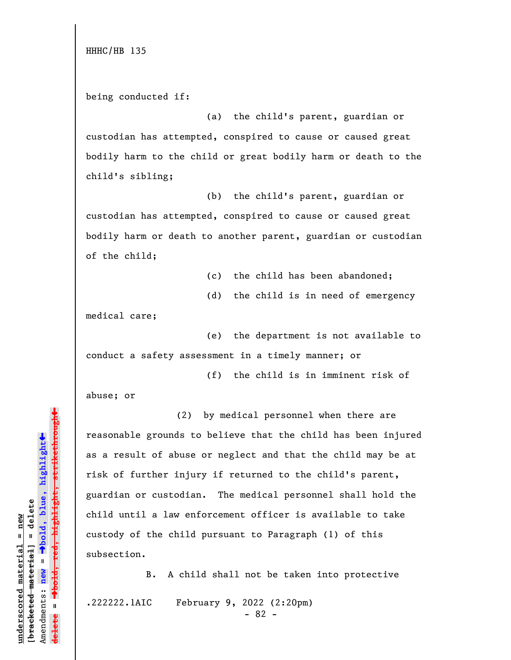HHHC/HB 135

being conducted if:

(a) the child's parent, guardian or custodian has attempted, conspired to cause or caused great bodily harm to the child or great bodily harm or death to the child's sibling;

(b) the child's parent, guardian or custodian has attempted, conspired to cause or caused great bodily harm or death to another parent, guardian or custodian of the child;

(c) the child has been abandoned;

(d) the child is in need of emergency

medical care;

(e) the department is not available to conduct a safety assessment in a timely manner; or

(f) the child is in imminent risk of

abuse; or

(2) by medical personnel when there are reasonable grounds to believe that the child has been injured as a result of abuse or neglect and that the child may be at risk of further injury if returned to the child's parent, guardian or custodian. The medical personnel shall hold the child until a law enforcement officer is available to take custody of the child pursuant to Paragraph (1) of this subsection.

B. A child shall not be taken into protective .222222.1AIC February 9, 2022 (2:20pm)

- 82 -

highlight, strikethrough º**bold, red, highlight, strikethrough** º**bold, blue, highlight**  $b$ racketed material] = delete **[bracketed material] = delete** Amendments: **new** = Amendments: new =  $\mathbf{u}$ **delete =** lelete

 $\ddot{\bullet}$ 

»

**underscored material = new**

inderscored material = new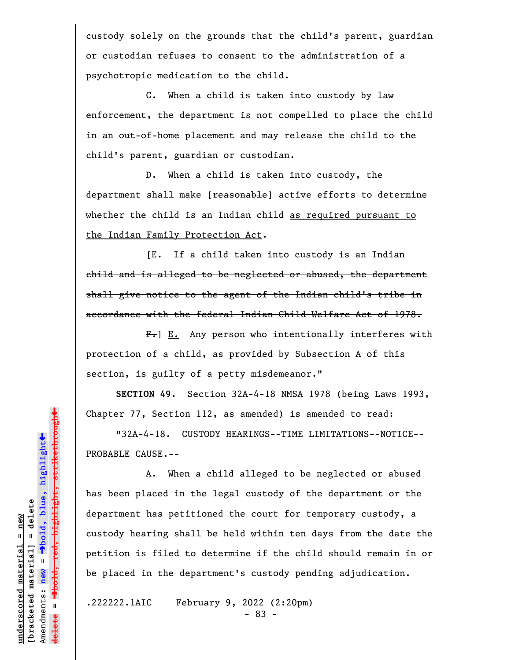custody solely on the grounds that the child's parent, guardian or custodian refuses to consent to the administration of a psychotropic medication to the child.

C. When a child is taken into custody by law enforcement, the department is not compelled to place the child in an out-of-home placement and may release the child to the child's parent, guardian or custodian.

D. When a child is taken into custody, the department shall make [reasonable] active efforts to determine whether the child is an Indian child as required pursuant to the Indian Family Protection Act.

[E. If a child taken into custody is an Indian child and is alleged to be neglected or abused, the department shall give notice to the agent of the Indian child's tribe in accordance with the federal Indian Child Welfare Act of 1978.

 $F_{\tau}$ ] E. Any person who intentionally interferes with protection of a child, as provided by Subsection A of this section, is guilty of a petty misdemeanor."

**SECTION 49.** Section 32A-4-18 NMSA 1978 (being Laws 1993, Chapter 77, Section 112, as amended) is amended to read:

"32A-4-18. CUSTODY HEARINGS--TIME LIMITATIONS--NOTICE-- PROBABLE CAUSE.--

A. When a child alleged to be neglected or abused has been placed in the legal custody of the department or the department has petitioned the court for temporary custody, a custody hearing shall be held within ten days from the date the petition is filed to determine if the child should remain in or be placed in the department's custody pending adjudication.

.222222.1AIC February 9, 2022 (2:20pm)

- 83 -

 $\ddag$ º**bold, red, highlight, strikethrough**  $\ddot{\bullet}$ º**bold, blue, highlight**  $b$ racketed material] = delete **[bracketed material] = delete** inderscored material = new **underscored material = new** Amendments: **new** =  $\mathbf{I}$ Amendments: new  $\mathbf{I}$ **delete =**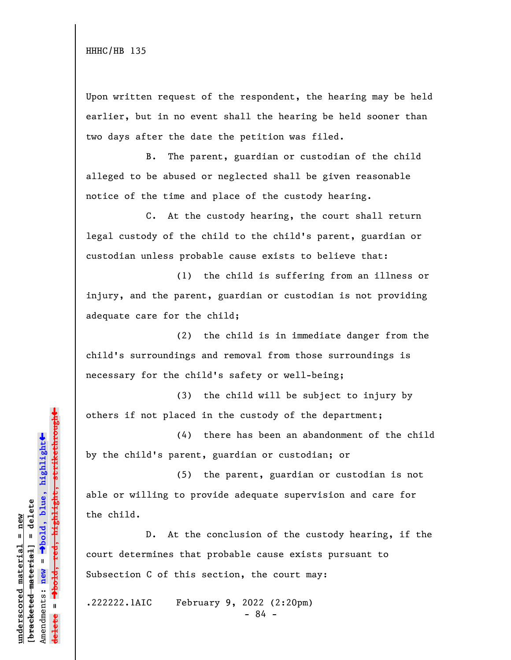Upon written request of the respondent, the hearing may be held earlier, but in no event shall the hearing be held sooner than two days after the date the petition was filed.

B. The parent, guardian or custodian of the child alleged to be abused or neglected shall be given reasonable notice of the time and place of the custody hearing.

C. At the custody hearing, the court shall return legal custody of the child to the child's parent, guardian or custodian unless probable cause exists to believe that:

(1) the child is suffering from an illness or injury, and the parent, guardian or custodian is not providing adequate care for the child;

(2) the child is in immediate danger from the child's surroundings and removal from those surroundings is necessary for the child's safety or well-being;

(3) the child will be subject to injury by others if not placed in the custody of the department;

(4) there has been an abandonment of the child by the child's parent, guardian or custodian; or

(5) the parent, guardian or custodian is not able or willing to provide adequate supervision and care for the child.

D. At the conclusion of the custody hearing, if the court determines that probable cause exists pursuant to Subsection C of this section, the court may:

.222222.1AIC February 9, 2022 (2:20pm)

- 84 -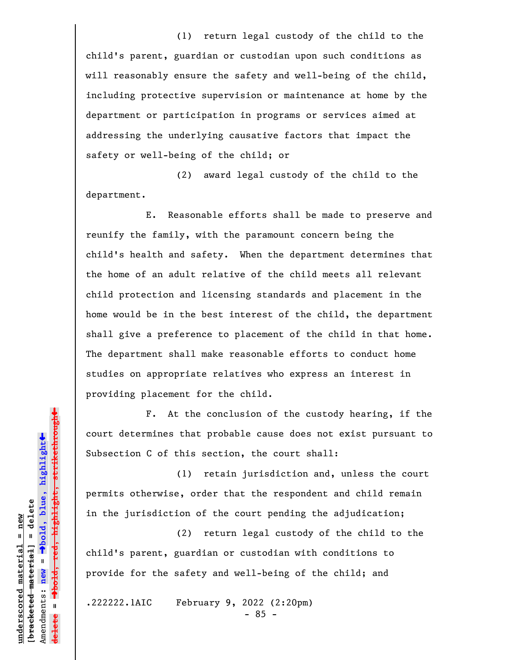(1) return legal custody of the child to the child's parent, guardian or custodian upon such conditions as will reasonably ensure the safety and well-being of the child, including protective supervision or maintenance at home by the department or participation in programs or services aimed at addressing the underlying causative factors that impact the safety or well-being of the child; or

(2) award legal custody of the child to the department.

E. Reasonable efforts shall be made to preserve and reunify the family, with the paramount concern being the child's health and safety. When the department determines that the home of an adult relative of the child meets all relevant child protection and licensing standards and placement in the home would be in the best interest of the child, the department shall give a preference to placement of the child in that home. The department shall make reasonable efforts to conduct home studies on appropriate relatives who express an interest in providing placement for the child.

F. At the conclusion of the custody hearing, if the court determines that probable cause does not exist pursuant to Subsection C of this section, the court shall:

(1) retain jurisdiction and, unless the court permits otherwise, order that the respondent and child remain in the jurisdiction of the court pending the adjudication;

(2) return legal custody of the child to the child's parent, guardian or custodian with conditions to provide for the safety and well-being of the child; and

.222222.1AIC February 9, 2022 (2:20pm)

- 85 -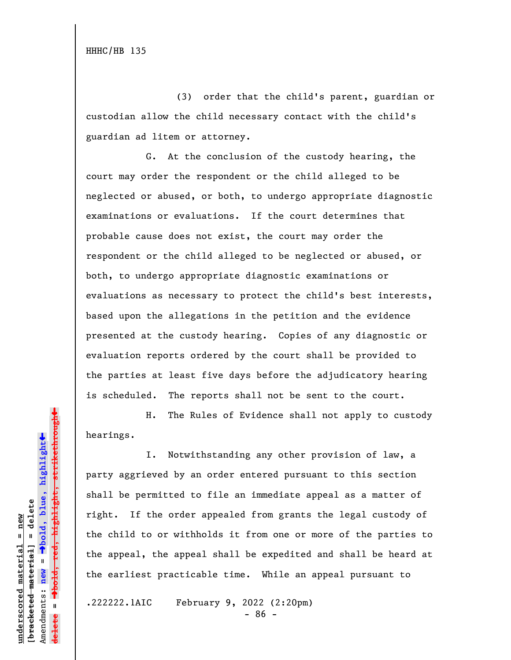HHHC/HB 135

(3) order that the child's parent, guardian or custodian allow the child necessary contact with the child's guardian ad litem or attorney.

G. At the conclusion of the custody hearing, the court may order the respondent or the child alleged to be neglected or abused, or both, to undergo appropriate diagnostic examinations or evaluations. If the court determines that probable cause does not exist, the court may order the respondent or the child alleged to be neglected or abused, or both, to undergo appropriate diagnostic examinations or evaluations as necessary to protect the child's best interests, based upon the allegations in the petition and the evidence presented at the custody hearing. Copies of any diagnostic or evaluation reports ordered by the court shall be provided to the parties at least five days before the adjudicatory hearing is scheduled. The reports shall not be sent to the court.

H. The Rules of Evidence shall not apply to custody hearings.

I. Notwithstanding any other provision of law, a party aggrieved by an order entered pursuant to this section shall be permitted to file an immediate appeal as a matter of right. If the order appealed from grants the legal custody of the child to or withholds it from one or more of the parties to the appeal, the appeal shall be expedited and shall be heard at the earliest practicable time. While an appeal pursuant to

.222222.1AIC February 9, 2022 (2:20pm)

- 86 -

 $\ddag$ º**bold, red, highlight, strikethrough**  $\ddot{\bullet}$ º**bold, blue, highlight**  $b$ racketed material] = delete **[bracketed material] = delete** inderscored material = new **underscored material = new** Amendments: **new** =  $\mathbf{I}$ Amendments: new  $\mathbf{I}$ **delete =**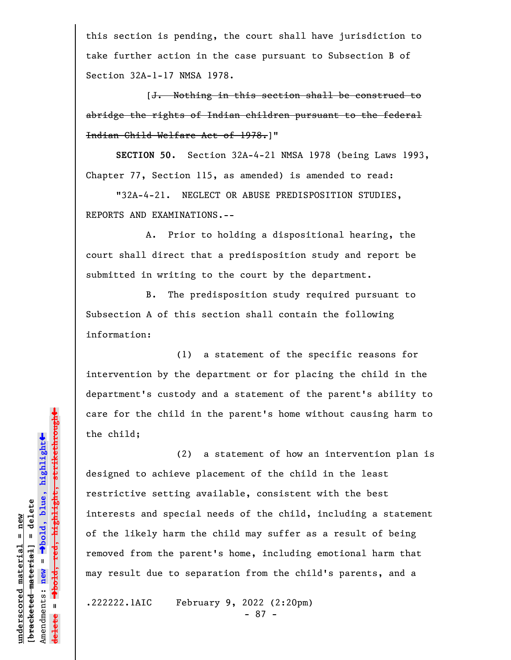this section is pending, the court shall have jurisdiction to take further action in the case pursuant to Subsection B of Section 32A-1-17 NMSA 1978.

[J. Nothing in this section shall be construed to abridge the rights of Indian children pursuant to the federal Indian Child Welfare Act of 1978.]"

**SECTION 50.** Section 32A-4-21 NMSA 1978 (being Laws 1993, Chapter 77, Section 115, as amended) is amended to read:

"32A-4-21. NEGLECT OR ABUSE PREDISPOSITION STUDIES, REPORTS AND EXAMINATIONS.--

A. Prior to holding a dispositional hearing, the court shall direct that a predisposition study and report be submitted in writing to the court by the department.

B. The predisposition study required pursuant to Subsection A of this section shall contain the following information:

(1) a statement of the specific reasons for intervention by the department or for placing the child in the department's custody and a statement of the parent's ability to care for the child in the parent's home without causing harm to the child;

(2) a statement of how an intervention plan is designed to achieve placement of the child in the least restrictive setting available, consistent with the best interests and special needs of the child, including a statement of the likely harm the child may suffer as a result of being removed from the parent's home, including emotional harm that may result due to separation from the child's parents, and a

.222222.1AIC February 9, 2022 (2:20pm)

- 87 -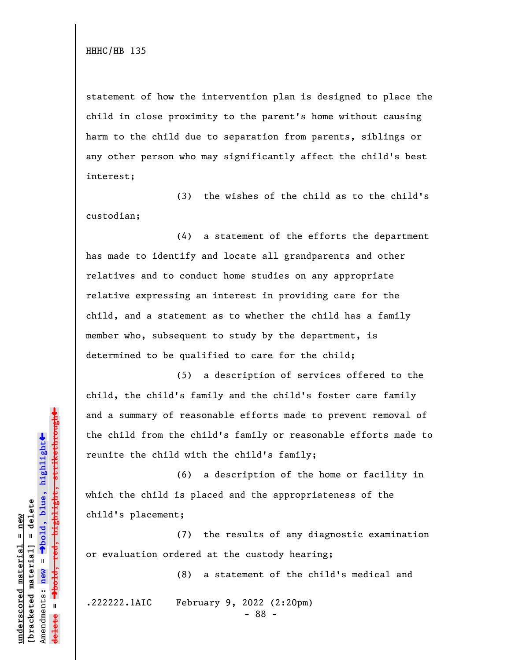statement of how the intervention plan is designed to place the child in close proximity to the parent's home without causing harm to the child due to separation from parents, siblings or any other person who may significantly affect the child's best interest;

(3) the wishes of the child as to the child's custodian;

(4) a statement of the efforts the department has made to identify and locate all grandparents and other relatives and to conduct home studies on any appropriate relative expressing an interest in providing care for the child, and a statement as to whether the child has a family member who, subsequent to study by the department, is determined to be qualified to care for the child;

(5) a description of services offered to the child, the child's family and the child's foster care family and a summary of reasonable efforts made to prevent removal of the child from the child's family or reasonable efforts made to reunite the child with the child's family;

(6) a description of the home or facility in which the child is placed and the appropriateness of the child's placement;

(7) the results of any diagnostic examination or evaluation ordered at the custody hearing;

(8) a statement of the child's medical and

.222222.1AIC February 9, 2022 (2:20pm)

- 88 -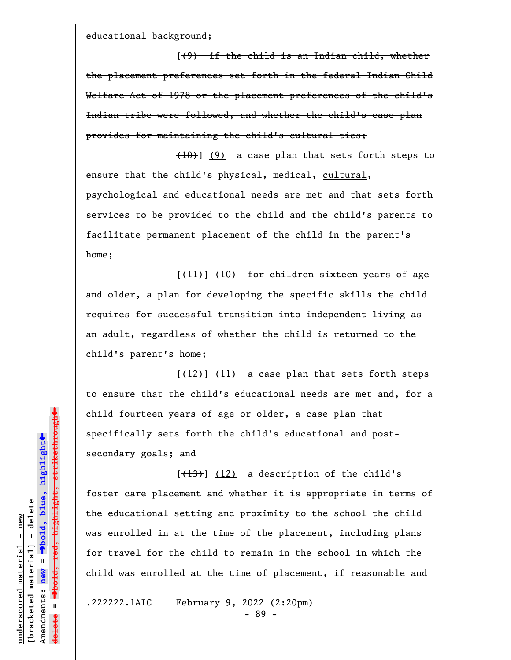educational background;

[(9) if the child is an Indian child, whether the placement preferences set forth in the federal Indian Child Welfare Act of 1978 or the placement preferences of the child's Indian tribe were followed, and whether the child's case plan provides for maintaining the child's cultural ties;

 $(10)$ ] (9) a case plan that sets forth steps to ensure that the child's physical, medical, cultural, psychological and educational needs are met and that sets forth services to be provided to the child and the child's parents to facilitate permanent placement of the child in the parent's home;

[(11)] (10) for children sixteen years of age and older, a plan for developing the specific skills the child requires for successful transition into independent living as an adult, regardless of whether the child is returned to the child's parent's home;

 $[\frac{12}{12}]$  (11) a case plan that sets forth steps to ensure that the child's educational needs are met and, for a child fourteen years of age or older, a case plan that specifically sets forth the child's educational and postsecondary goals; and

 $[\frac{13}{13}]$  (12) a description of the child's foster care placement and whether it is appropriate in terms of the educational setting and proximity to the school the child was enrolled in at the time of the placement, including plans for travel for the child to remain in the school in which the child was enrolled at the time of placement, if reasonable and

.222222.1AIC February 9, 2022 (2:20pm)

- 89 -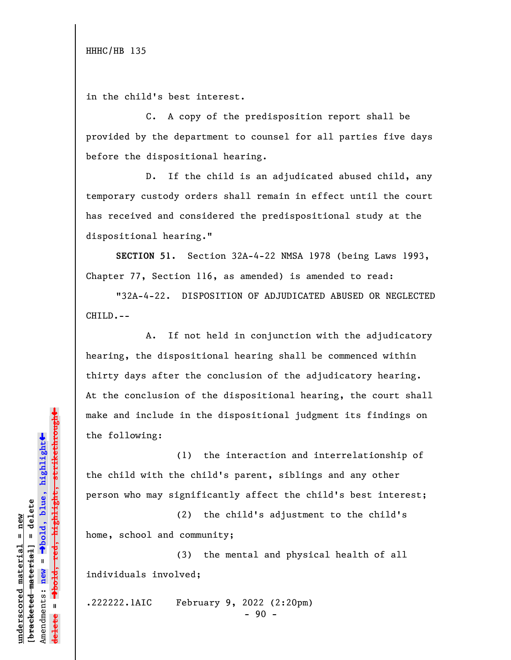in the child's best interest.

C. A copy of the predisposition report shall be provided by the department to counsel for all parties five days before the dispositional hearing.

D. If the child is an adjudicated abused child, any temporary custody orders shall remain in effect until the court has received and considered the predispositional study at the dispositional hearing."

**SECTION 51.** Section 32A-4-22 NMSA 1978 (being Laws 1993, Chapter 77, Section 116, as amended) is amended to read:

"32A-4-22. DISPOSITION OF ADJUDICATED ABUSED OR NEGLECTED CHILD.--

A. If not held in conjunction with the adjudicatory hearing, the dispositional hearing shall be commenced within thirty days after the conclusion of the adjudicatory hearing. At the conclusion of the dispositional hearing, the court shall make and include in the dispositional judgment its findings on the following:

(1) the interaction and interrelationship of the child with the child's parent, siblings and any other person who may significantly affect the child's best interest;

(2) the child's adjustment to the child's home, school and community;

(3) the mental and physical health of all individuals involved;

.222222.1AIC February 9, 2022 (2:20pm)

 $-90 -$ 

 $\ddag$ º**bold, red, highlight, strikethrough**  $\ddot{\bullet}$ º**bold, blue, highlight**  $b$ racketed material] = delete **[bracketed material] = delete** inderscored material = new **underscored material = new** Amendments: **new** =  $\mathbf{I}$ Amendments: new  $\mathbf{I}$ **delete =**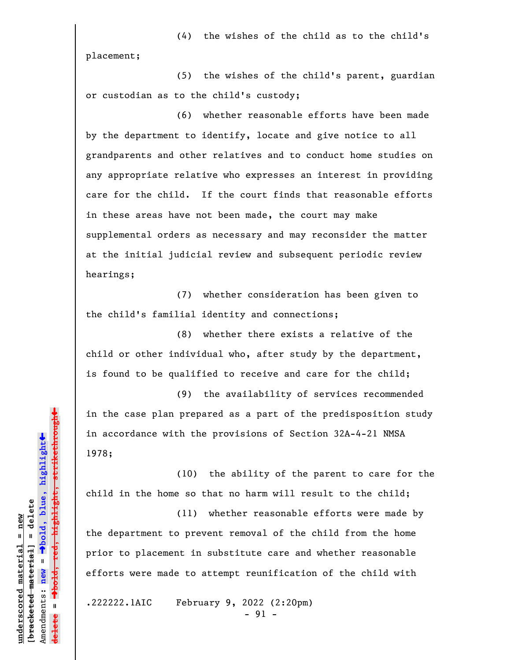(4) the wishes of the child as to the child's placement;

(5) the wishes of the child's parent, guardian or custodian as to the child's custody;

(6) whether reasonable efforts have been made by the department to identify, locate and give notice to all grandparents and other relatives and to conduct home studies on any appropriate relative who expresses an interest in providing care for the child. If the court finds that reasonable efforts in these areas have not been made, the court may make supplemental orders as necessary and may reconsider the matter at the initial judicial review and subsequent periodic review hearings;

(7) whether consideration has been given to the child's familial identity and connections;

(8) whether there exists a relative of the child or other individual who, after study by the department, is found to be qualified to receive and care for the child;

(9) the availability of services recommended in the case plan prepared as a part of the predisposition study in accordance with the provisions of Section 32A-4-21 NMSA 1978;

(10) the ability of the parent to care for the child in the home so that no harm will result to the child;

(11) whether reasonable efforts were made by the department to prevent removal of the child from the home prior to placement in substitute care and whether reasonable efforts were made to attempt reunification of the child with

.222222.1AIC February 9, 2022 (2:20pm)

- 91 -

 $\ddag$ º**bold, red, highlight, strikethrough**  $\ddot{\bullet}$ º**bold, blue, highlight**  $b$ racketed material] = delete **[bracketed material] = delete** inderscored material = new **underscored material = new** Amendments: **new** =  $\mathbf{I}$ Amendments: new  $\mathbf{u}$ **delete = lelete**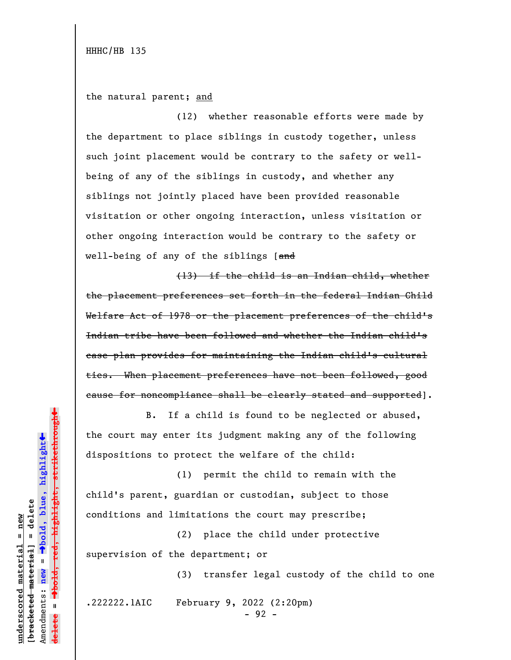the natural parent; and

(12) whether reasonable efforts were made by the department to place siblings in custody together, unless such joint placement would be contrary to the safety or wellbeing of any of the siblings in custody, and whether any siblings not jointly placed have been provided reasonable visitation or other ongoing interaction, unless visitation or other ongoing interaction would be contrary to the safety or well-being of any of the siblings [and

(13) if the child is an Indian child, whether the placement preferences set forth in the federal Indian Child Welfare Act of 1978 or the placement preferences of the child's Indian tribe have been followed and whether the Indian child's case plan provides for maintaining the Indian child's cultural ties. When placement preferences have not been followed, good cause for noncompliance shall be clearly stated and supported].

B. If a child is found to be neglected or abused, the court may enter its judgment making any of the following dispositions to protect the welfare of the child:

(1) permit the child to remain with the child's parent, guardian or custodian, subject to those conditions and limitations the court may prescribe;

(2) place the child under protective supervision of the department; or

(3) transfer legal custody of the child to one

.222222.1AIC February 9, 2022 (2:20pm)

- 92 -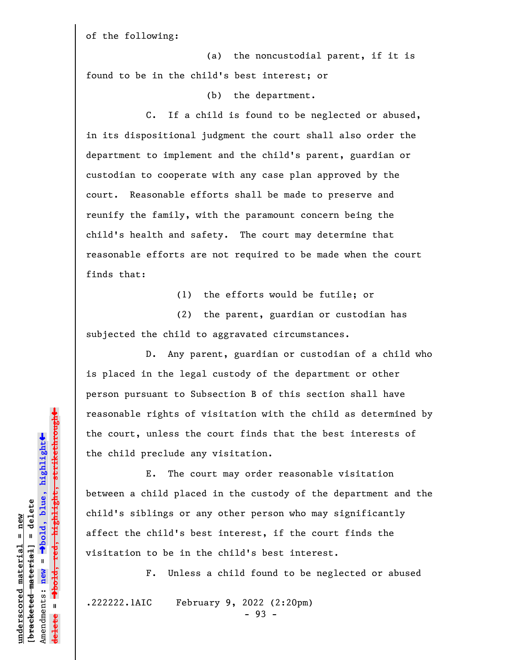of the following:

(a) the noncustodial parent, if it is found to be in the child's best interest; or

(b) the department.

C. If a child is found to be neglected or abused, in its dispositional judgment the court shall also order the department to implement and the child's parent, guardian or custodian to cooperate with any case plan approved by the court. Reasonable efforts shall be made to preserve and reunify the family, with the paramount concern being the child's health and safety. The court may determine that reasonable efforts are not required to be made when the court finds that:

(1) the efforts would be futile; or

(2) the parent, guardian or custodian has subjected the child to aggravated circumstances.

D. Any parent, guardian or custodian of a child who is placed in the legal custody of the department or other person pursuant to Subsection B of this section shall have reasonable rights of visitation with the child as determined by the court, unless the court finds that the best interests of the child preclude any visitation.

E. The court may order reasonable visitation between a child placed in the custody of the department and the child's siblings or any other person who may significantly affect the child's best interest, if the court finds the visitation to be in the child's best interest.

F. Unless a child found to be neglected or abused

.222222.1AIC February 9, 2022 (2:20pm)

**underscored material = new [bracketed material] = delete**

 $b$ racketed material] = delete inderscored material = new

Amendments: **new** =

Amendments: new  $\mathbf{u}$ 

 $\mathbf{I}$ 

**delete =**

º**bold, blue, highlight**

º**bold, red, highlight, strikethrough**

 $\ddot{\bullet}$ 

 $\ddag$ 

- 93 -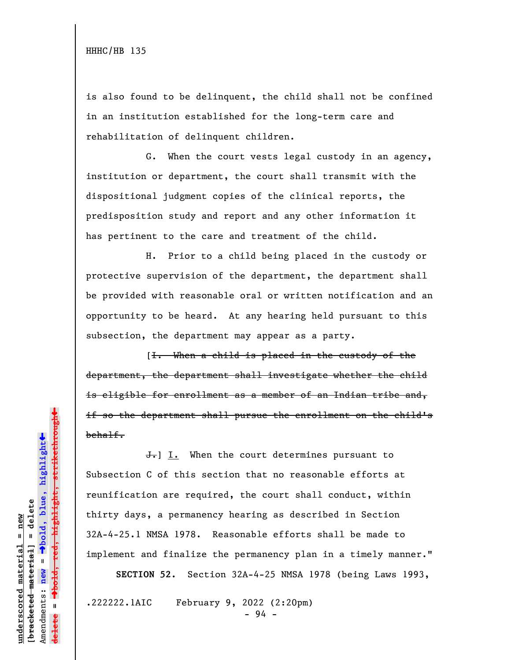is also found to be delinquent, the child shall not be confined in an institution established for the long-term care and rehabilitation of delinquent children.

G. When the court vests legal custody in an agency, institution or department, the court shall transmit with the dispositional judgment copies of the clinical reports, the predisposition study and report and any other information it has pertinent to the care and treatment of the child.

H. Prior to a child being placed in the custody or protective supervision of the department, the department shall be provided with reasonable oral or written notification and an opportunity to be heard. At any hearing held pursuant to this subsection, the department may appear as a party.

[I. When a child is placed in the custody of the department, the department shall investigate whether the child is eligible for enrollment as a member of an Indian tribe and, if so the department shall pursue the enrollment on the child's behalf.

 $\overline{J}$ . When the court determines pursuant to Subsection C of this section that no reasonable efforts at reunification are required, the court shall conduct, within thirty days, a permanency hearing as described in Section 32A-4-25.1 NMSA 1978. Reasonable efforts shall be made to implement and finalize the permanency plan in a timely manner."

**SECTION 52.** Section 32A-4-25 NMSA 1978 (being Laws 1993,

.222222.1AIC February 9, 2022 (2:20pm)

- 94 -

 $\ddag$ º**bold, red, highlight, strikethrough**  $\ddot{\bullet}$ º**bold, blue, highlight**  $b$ racketed material] = delete **[bracketed material] = delete** inderscored material = new **underscored material = new** Amendments: **new** =  $\mathbf{I}$ Amendments: new **delete =**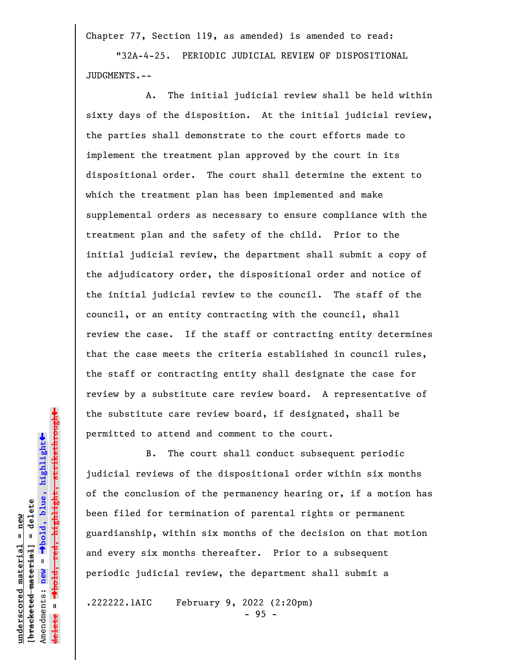Chapter 77, Section 119, as amended) is amended to read:

"32A-4-25. PERIODIC JUDICIAL REVIEW OF DISPOSITIONAL JUDGMENTS.--

A. The initial judicial review shall be held within sixty days of the disposition. At the initial judicial review, the parties shall demonstrate to the court efforts made to implement the treatment plan approved by the court in its dispositional order. The court shall determine the extent to which the treatment plan has been implemented and make supplemental orders as necessary to ensure compliance with the treatment plan and the safety of the child. Prior to the initial judicial review, the department shall submit a copy of the adjudicatory order, the dispositional order and notice of the initial judicial review to the council. The staff of the council, or an entity contracting with the council, shall review the case. If the staff or contracting entity determines that the case meets the criteria established in council rules, the staff or contracting entity shall designate the case for review by a substitute care review board. A representative of the substitute care review board, if designated, shall be permitted to attend and comment to the court.

B. The court shall conduct subsequent periodic judicial reviews of the dispositional order within six months of the conclusion of the permanency hearing or, if a motion has been filed for termination of parental rights or permanent guardianship, within six months of the decision on that motion and every six months thereafter. Prior to a subsequent periodic judicial review, the department shall submit a

.222222.1AIC February 9, 2022 (2:20pm)

- 95 -

 $\ddag$ º**bold, red, highlight, strikethrough**  $\ddot{\bullet}$ º**bold, blue, highlight**  $b$ racketed material] = delete **[bracketed material] = delete** inderscored material = new **underscored material = new** Amendments: **new** = Amendments: new =  $\mathbf{I}$ **delete =**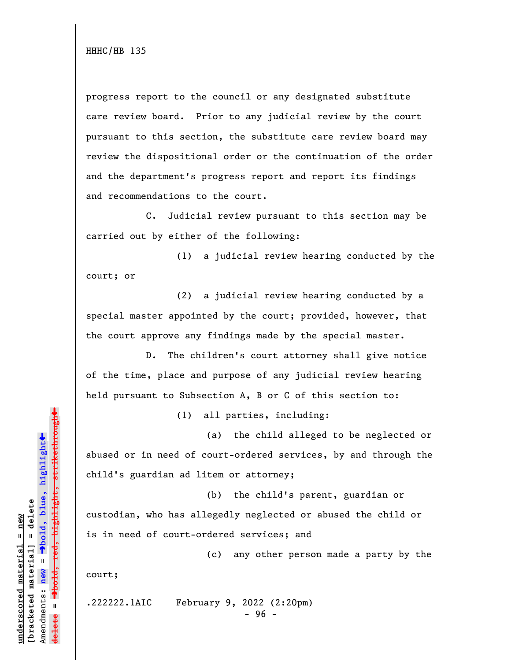progress report to the council or any designated substitute care review board. Prior to any judicial review by the court pursuant to this section, the substitute care review board may review the dispositional order or the continuation of the order and the department's progress report and report its findings and recommendations to the court.

C. Judicial review pursuant to this section may be carried out by either of the following:

(1) a judicial review hearing conducted by the court; or

(2) a judicial review hearing conducted by a special master appointed by the court; provided, however, that the court approve any findings made by the special master.

D. The children's court attorney shall give notice of the time, place and purpose of any judicial review hearing held pursuant to Subsection A, B or C of this section to:

(1) all parties, including:

(a) the child alleged to be neglected or abused or in need of court-ordered services, by and through the child's guardian ad litem or attorney;

(b) the child's parent, guardian or custodian, who has allegedly neglected or abused the child or is in need of court-ordered services; and

(c) any other person made a party by the court;

.222222.1AIC February 9, 2022 (2:20pm)

- 96 -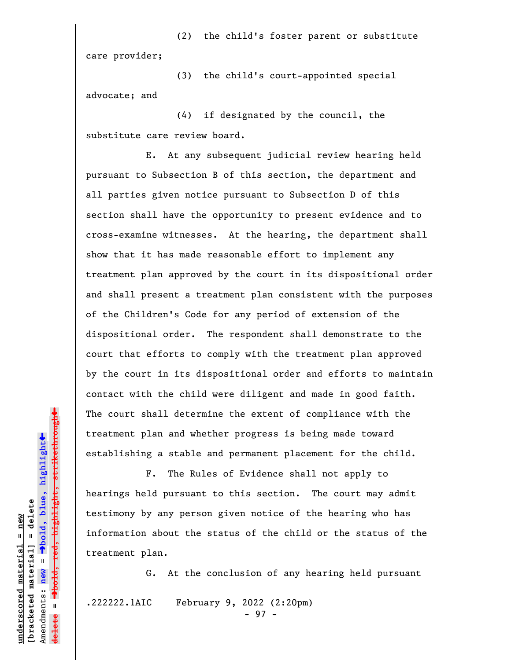(2) the child's foster parent or substitute care provider;

(3) the child's court-appointed special advocate; and

(4) if designated by the council, the substitute care review board.

E. At any subsequent judicial review hearing held pursuant to Subsection B of this section, the department and all parties given notice pursuant to Subsection D of this section shall have the opportunity to present evidence and to cross-examine witnesses. At the hearing, the department shall show that it has made reasonable effort to implement any treatment plan approved by the court in its dispositional order and shall present a treatment plan consistent with the purposes of the Children's Code for any period of extension of the dispositional order. The respondent shall demonstrate to the court that efforts to comply with the treatment plan approved by the court in its dispositional order and efforts to maintain contact with the child were diligent and made in good faith. The court shall determine the extent of compliance with the treatment plan and whether progress is being made toward establishing a stable and permanent placement for the child.

F. The Rules of Evidence shall not apply to hearings held pursuant to this section. The court may admit testimony by any person given notice of the hearing who has information about the status of the child or the status of the treatment plan.

G. At the conclusion of any hearing held pursuant .222222.1AIC February 9, 2022 (2:20pm)

- 97 -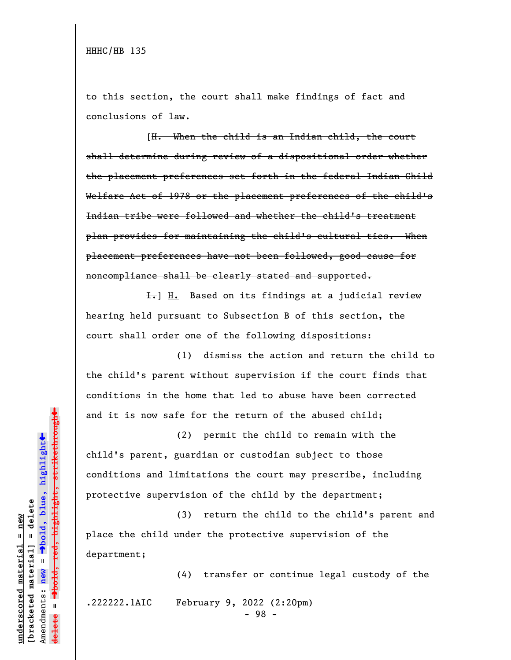to this section, the court shall make findings of fact and conclusions of law.

[H. When the child is an Indian child, the court shall determine during review of a dispositional order whether the placement preferences set forth in the federal Indian Child Welfare Act of 1978 or the placement preferences of the child's Indian tribe were followed and whether the child's treatment plan provides for maintaining the child's cultural ties. When placement preferences have not been followed, good cause for noncompliance shall be clearly stated and supported.

 $\overline{f}$ . Based on its findings at a judicial review hearing held pursuant to Subsection B of this section, the court shall order one of the following dispositions:

(1) dismiss the action and return the child to the child's parent without supervision if the court finds that conditions in the home that led to abuse have been corrected and it is now safe for the return of the abused child;

(2) permit the child to remain with the child's parent, guardian or custodian subject to those conditions and limitations the court may prescribe, including protective supervision of the child by the department;

(3) return the child to the child's parent and place the child under the protective supervision of the department;

(4) transfer or continue legal custody of the

.222222.1AIC February 9, 2022 (2:20pm)

- 98 -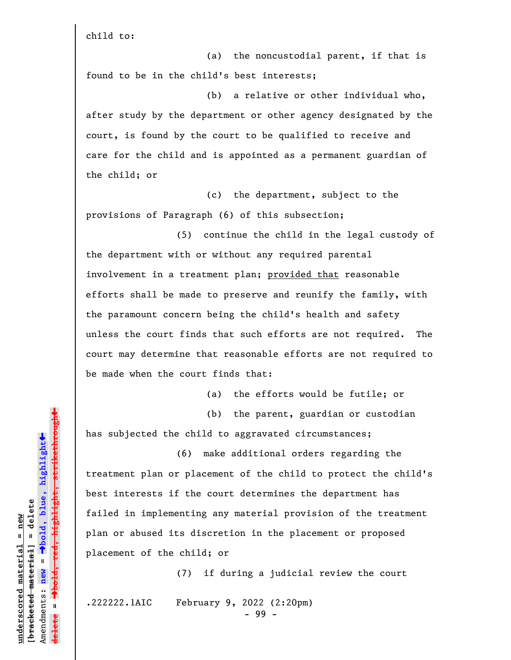child to:

(a) the noncustodial parent, if that is found to be in the child's best interests;

(b) a relative or other individual who, after study by the department or other agency designated by the court, is found by the court to be qualified to receive and care for the child and is appointed as a permanent guardian of the child; or

(c) the department, subject to the provisions of Paragraph (6) of this subsection;

(5) continue the child in the legal custody of the department with or without any required parental involvement in a treatment plan; provided that reasonable efforts shall be made to preserve and reunify the family, with the paramount concern being the child's health and safety unless the court finds that such efforts are not required. The court may determine that reasonable efforts are not required to be made when the court finds that:

(a) the efforts would be futile; or

(b) the parent, guardian or custodian

has subjected the child to aggravated circumstances;

(6) make additional orders regarding the treatment plan or placement of the child to protect the child's best interests if the court determines the department has failed in implementing any material provision of the treatment plan or abused its discretion in the placement or proposed placement of the child; or

(7) if during a judicial review the court

.222222.1AIC February 9, 2022 (2:20pm)

- 99 -

»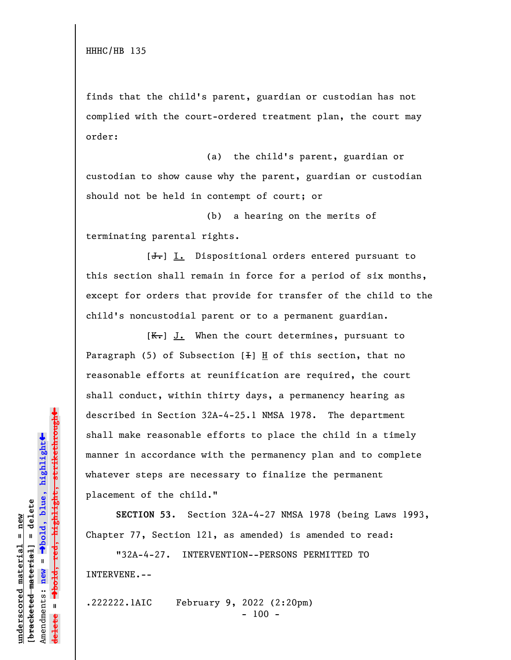finds that the child's parent, guardian or custodian has not complied with the court-ordered treatment plan, the court may order:

(a) the child's parent, guardian or custodian to show cause why the parent, guardian or custodian should not be held in contempt of court; or

(b) a hearing on the merits of terminating parental rights.

 $[\frac{1}{\sqrt{1}}]$  I. Dispositional orders entered pursuant to this section shall remain in force for a period of six months, except for orders that provide for transfer of the child to the child's noncustodial parent or to a permanent guardian.

 $[K-]$  J. When the court determines, pursuant to Paragraph  $(5)$  of Subsection  $[+]$  H of this section, that no reasonable efforts at reunification are required, the court shall conduct, within thirty days, a permanency hearing as described in Section 32A-4-25.1 NMSA 1978. The department shall make reasonable efforts to place the child in a timely manner in accordance with the permanency plan and to complete whatever steps are necessary to finalize the permanent placement of the child."

**SECTION 53.** Section 32A-4-27 NMSA 1978 (being Laws 1993, Chapter 77, Section 121, as amended) is amended to read:

"32A-4-27. INTERVENTION--PERSONS PERMITTED TO INTERVENE.--

.222222.1AIC February 9, 2022 (2:20pm)  $- 100 -$ 

º**bold, red, highlight, strikethrough**  $\ddot{\bullet}$ º**bold, blue, highlight**  $b$ racketed material] = delete **[bracketed material] = delete** inderscored material = new **underscored material = new** Amendments: new = Amendments: **new** =  $\mathbf{u}$ **delete =** <del>ielete</del>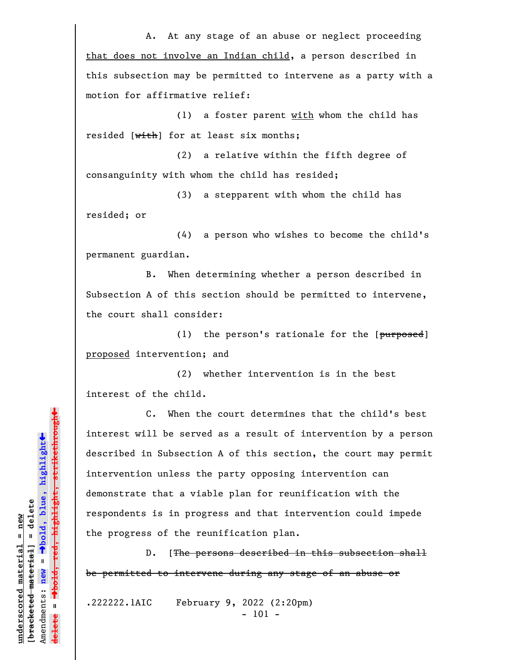A. At any stage of an abuse or neglect proceeding that does not involve an Indian child, a person described in this subsection may be permitted to intervene as a party with a motion for affirmative relief:

(1) a foster parent with whom the child has resided [with] for at least six months;

(2) a relative within the fifth degree of consanguinity with whom the child has resided;

(3) a stepparent with whom the child has resided; or

(4) a person who wishes to become the child's permanent guardian.

B. When determining whether a person described in Subsection A of this section should be permitted to intervene, the court shall consider:

(1) the person's rationale for the  $[*purposed*]$ proposed intervention; and

(2) whether intervention is in the best interest of the child.

C. When the court determines that the child's best interest will be served as a result of intervention by a person described in Subsection A of this section, the court may permit intervention unless the party opposing intervention can demonstrate that a viable plan for reunification with the respondents is in progress and that intervention could impede the progress of the reunification plan.

D. [The persons described in this subsection shall be permitted to intervene during any stage of an abuse or

.222222.1AIC February 9, 2022 (2:20pm) - 101 -

 $\ddag$ º**bold, red, highlight, strikethrough**  $\ddot{\bullet}$ º**bold, blue, highlight**  $b$ racketed material] = delete **[bracketed material] = delete** inderscored material = new **underscored material = new** Amendments: **new** =  $\mathbf{I}$ Amendments: new  $\mathbf{I}$ **delete =**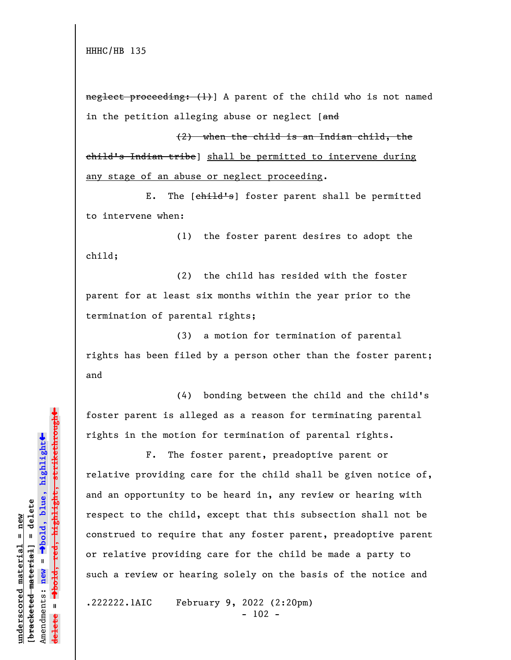neglect proceeding: (1)] A parent of the child who is not named in the petition alleging abuse or neglect [and

(2) when the child is an Indian child, the child's Indian tribe] shall be permitted to intervene during any stage of an abuse or neglect proceeding.

E. The [child's] foster parent shall be permitted to intervene when:

(1) the foster parent desires to adopt the child;

(2) the child has resided with the foster parent for at least six months within the year prior to the termination of parental rights;

(3) a motion for termination of parental rights has been filed by a person other than the foster parent; and

(4) bonding between the child and the child's foster parent is alleged as a reason for terminating parental rights in the motion for termination of parental rights.

F. The foster parent, preadoptive parent or relative providing care for the child shall be given notice of, and an opportunity to be heard in, any review or hearing with respect to the child, except that this subsection shall not be construed to require that any foster parent, preadoptive parent or relative providing care for the child be made a party to such a review or hearing solely on the basis of the notice and

.222222.1AIC February 9, 2022 (2:20pm)  $- 102 -$ 

 $\ddag$ º**bold, red, highlight, strikethrough**  $\ddot{\bullet}$ º**bold, blue, highlight**  $b$ racketed material] = delete **[bracketed material] = delete** inderscored material = new **underscored material = new** Amendments: **new** =  $\bar{\mathbf{u}}$ Amendments: new  $\mathbf{I}$ **delete =**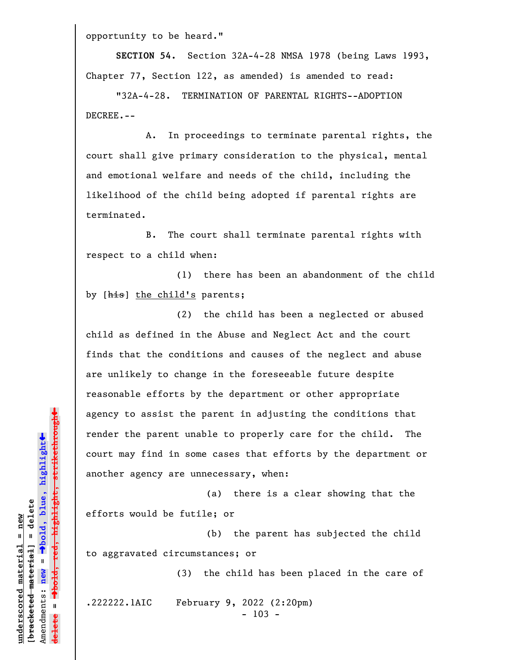opportunity to be heard."

**SECTION 54.** Section 32A-4-28 NMSA 1978 (being Laws 1993, Chapter 77, Section 122, as amended) is amended to read:

"32A-4-28. TERMINATION OF PARENTAL RIGHTS--ADOPTION DECREE.--

A. In proceedings to terminate parental rights, the court shall give primary consideration to the physical, mental and emotional welfare and needs of the child, including the likelihood of the child being adopted if parental rights are terminated.

B. The court shall terminate parental rights with respect to a child when:

(1) there has been an abandonment of the child by [his] the child's parents;

(2) the child has been a neglected or abused child as defined in the Abuse and Neglect Act and the court finds that the conditions and causes of the neglect and abuse are unlikely to change in the foreseeable future despite reasonable efforts by the department or other appropriate agency to assist the parent in adjusting the conditions that render the parent unable to properly care for the child. The court may find in some cases that efforts by the department or another agency are unnecessary, when:

(a) there is a clear showing that the efforts would be futile; or

(b) the parent has subjected the child to aggravated circumstances; or

(3) the child has been placed in the care of

.222222.1AIC February 9, 2022 (2:20pm)

- 103 -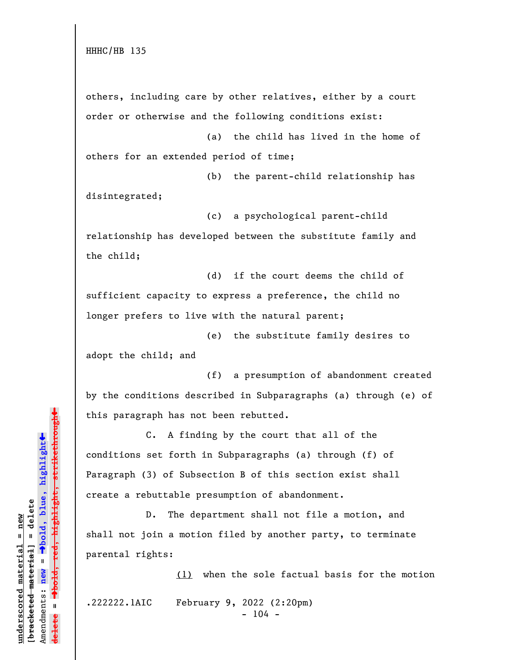HHHC/HB 135

others, including care by other relatives, either by a court order or otherwise and the following conditions exist:

(a) the child has lived in the home of others for an extended period of time;

(b) the parent-child relationship has disintegrated;

(c) a psychological parent-child relationship has developed between the substitute family and the child;

(d) if the court deems the child of sufficient capacity to express a preference, the child no longer prefers to live with the natural parent;

(e) the substitute family desires to adopt the child; and

(f) a presumption of abandonment created by the conditions described in Subparagraphs (a) through (e) of this paragraph has not been rebutted.

C. A finding by the court that all of the conditions set forth in Subparagraphs (a) through (f) of Paragraph (3) of Subsection B of this section exist shall create a rebuttable presumption of abandonment.

D. The department shall not file a motion, and shall not join a motion filed by another party, to terminate parental rights:

(1) when the sole factual basis for the motion

.222222.1AIC February 9, 2022 (2:20pm)

 $-104 -$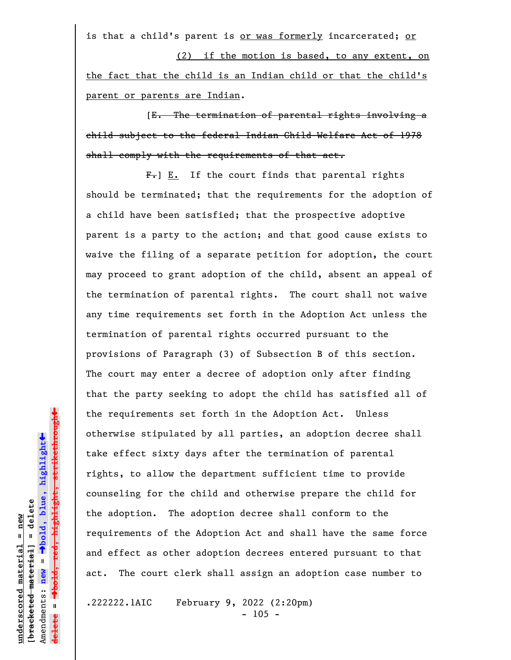is that a child's parent is or was formerly incarcerated; or (2) if the motion is based, to any extent, on

the fact that the child is an Indian child or that the child's parent or parents are Indian.

[E. The termination of parental rights involving a child subject to the federal Indian Child Welfare Act of 1978 shall comply with the requirements of that act.

 $F-$ ] E. If the court finds that parental rights should be terminated; that the requirements for the adoption of a child have been satisfied; that the prospective adoptive parent is a party to the action; and that good cause exists to waive the filing of a separate petition for adoption, the court may proceed to grant adoption of the child, absent an appeal of the termination of parental rights. The court shall not waive any time requirements set forth in the Adoption Act unless the termination of parental rights occurred pursuant to the provisions of Paragraph (3) of Subsection B of this section. The court may enter a decree of adoption only after finding that the party seeking to adopt the child has satisfied all of the requirements set forth in the Adoption Act. Unless otherwise stipulated by all parties, an adoption decree shall take effect sixty days after the termination of parental rights, to allow the department sufficient time to provide counseling for the child and otherwise prepare the child for the adoption. The adoption decree shall conform to the requirements of the Adoption Act and shall have the same force and effect as other adoption decrees entered pursuant to that act. The court clerk shall assign an adoption case number to

.222222.1AIC February 9, 2022 (2:20pm)  $- 105 -$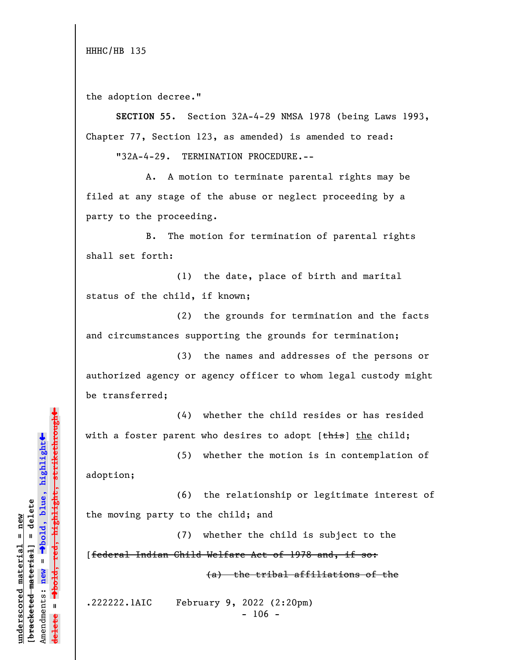HHHC/HB 135

the adoption decree."

**SECTION 55.** Section 32A-4-29 NMSA 1978 (being Laws 1993, Chapter 77, Section 123, as amended) is amended to read:

"32A-4-29. TERMINATION PROCEDURE.--

A. A motion to terminate parental rights may be filed at any stage of the abuse or neglect proceeding by a party to the proceeding.

B. The motion for termination of parental rights shall set forth:

(1) the date, place of birth and marital status of the child, if known;

(2) the grounds for termination and the facts and circumstances supporting the grounds for termination;

(3) the names and addresses of the persons or authorized agency or agency officer to whom legal custody might be transferred;

(4) whether the child resides or has resided with a foster parent who desires to adopt  $[*this*]$  the child;

(5) whether the motion is in contemplation of adoption;

(6) the relationship or legitimate interest of the moving party to the child; and

(7) whether the child is subject to the [federal Indian Child Welfare Act of 1978 and, if so:

(a) the tribal affiliations of the

.222222.1AIC February 9, 2022 (2:20pm)  $- 106 -$ 

»highlight, strikethrough º**bold, red, highlight, strikethrough**  $\ddot{\bullet}$ º**bold, blue, highlight**  $b$ racketed material] = delete **[bracketed material] = delete** inderscored material = new **underscored material = new** Amendments: **new** =  $\mathbf{u}$ Amendments: new **delete =**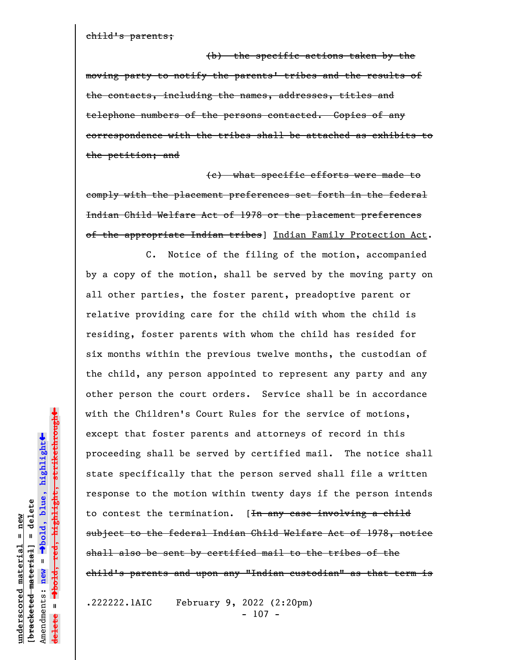child's parents;

(b) the specific actions taken by the moving party to notify the parents' tribes and the results of the contacts, including the names, addresses, titles and telephone numbers of the persons contacted. Copies of any correspondence with the tribes shall be attached as exhibits to the petition; and

(c) what specific efforts were made to comply with the placement preferences set forth in the federal Indian Child Welfare Act of 1978 or the placement preferences of the appropriate Indian tribes] Indian Family Protection Act.

C. Notice of the filing of the motion, accompanied by a copy of the motion, shall be served by the moving party on all other parties, the foster parent, preadoptive parent or relative providing care for the child with whom the child is residing, foster parents with whom the child has resided for six months within the previous twelve months, the custodian of the child, any person appointed to represent any party and any other person the court orders. Service shall be in accordance with the Children's Court Rules for the service of motions, except that foster parents and attorneys of record in this proceeding shall be served by certified mail. The notice shall state specifically that the person served shall file a written response to the motion within twenty days if the person intends to contest the termination. [<del>In any case involving a child</del> subject to the federal Indian Child Welfare Act of 1978, notice shall also be sent by certified mail to the tribes of the child's parents and upon any "Indian custodian" as that term is

.222222.1AIC February 9, 2022 (2:20pm) - 107 -

 $\ddag$ º**bold, red, highlight, strikethrough**  $\ddot{\bullet}$ º**bold, blue, highlight**  $b$ racketed material] = delete **[bracketed material] = delete**  $anderscored material = new$ **underscored material = new** Amendments: **new** =  $\bar{\mathbf{H}}$ Amendments: new **delete =**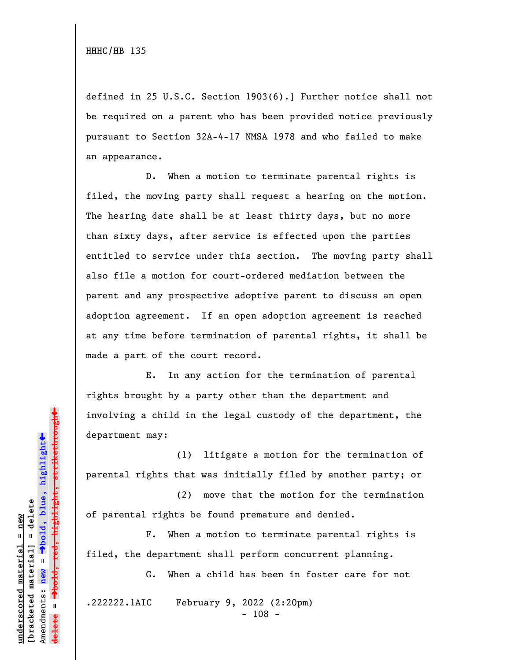defined in 25 U.S.C. Section 1903(6).] Further notice shall not be required on a parent who has been provided notice previously pursuant to Section 32A-4-17 NMSA 1978 and who failed to make an appearance.

D. When a motion to terminate parental rights is filed, the moving party shall request a hearing on the motion. The hearing date shall be at least thirty days, but no more than sixty days, after service is effected upon the parties entitled to service under this section. The moving party shall also file a motion for court-ordered mediation between the parent and any prospective adoptive parent to discuss an open adoption agreement. If an open adoption agreement is reached at any time before termination of parental rights, it shall be made a part of the court record.

E. In any action for the termination of parental rights brought by a party other than the department and involving a child in the legal custody of the department, the department may:

(1) litigate a motion for the termination of parental rights that was initially filed by another party; or

(2) move that the motion for the termination of parental rights be found premature and denied.

F. When a motion to terminate parental rights is filed, the department shall perform concurrent planning.

G. When a child has been in foster care for not

.222222.1AIC February 9, 2022 (2:20pm)

- 108 -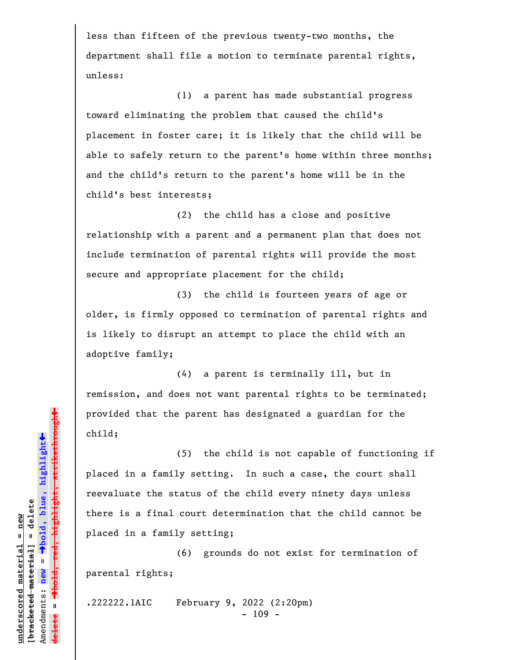less than fifteen of the previous twenty-two months, the department shall file a motion to terminate parental rights, unless:

(1) a parent has made substantial progress toward eliminating the problem that caused the child's placement in foster care; it is likely that the child will be able to safely return to the parent's home within three months; and the child's return to the parent's home will be in the child's best interests;

(2) the child has a close and positive relationship with a parent and a permanent plan that does not include termination of parental rights will provide the most secure and appropriate placement for the child;

(3) the child is fourteen years of age or older, is firmly opposed to termination of parental rights and is likely to disrupt an attempt to place the child with an adoptive family;

(4) a parent is terminally ill, but in remission, and does not want parental rights to be terminated; provided that the parent has designated a guardian for the child;

(5) the child is not capable of functioning if placed in a family setting. In such a case, the court shall reevaluate the status of the child every ninety days unless there is a final court determination that the child cannot be placed in a family setting;

(6) grounds do not exist for termination of parental rights;

.222222.1AIC February 9, 2022 (2:20pm) - 109 -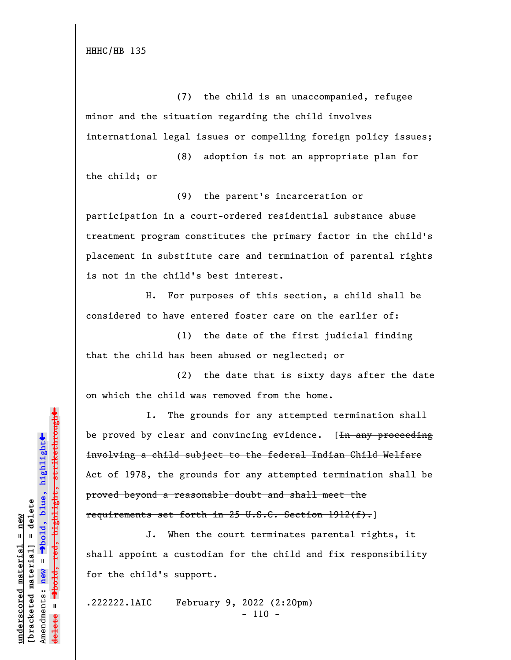(7) the child is an unaccompanied, refugee minor and the situation regarding the child involves international legal issues or compelling foreign policy issues;

(8) adoption is not an appropriate plan for the child; or

(9) the parent's incarceration or participation in a court-ordered residential substance abuse treatment program constitutes the primary factor in the child's placement in substitute care and termination of parental rights is not in the child's best interest.

H. For purposes of this section, a child shall be considered to have entered foster care on the earlier of:

(1) the date of the first judicial finding that the child has been abused or neglected; or

(2) the date that is sixty days after the date on which the child was removed from the home.

I. The grounds for any attempted termination shall be proved by clear and convincing evidence. [<del>In any proceeding</del> involving a child subject to the federal Indian Child Welfare Act of 1978, the grounds for any attempted termination shall be proved beyond a reasonable doubt and shall meet the requirements set forth in 25 U.S.C. Section 1912(f).]

J. When the court terminates parental rights, it shall appoint a custodian for the child and fix responsibility for the child's support.

.222222.1AIC February 9, 2022 (2:20pm) - 110 -

 $\ddag$ º**bold, red, highlight, strikethrough**  $\ddot{\bullet}$ º**bold, blue, highlight** bracketed material] = delete **[bracketed material] = delete** inderscored material = new **underscored material = new** Amendments: **new** =  $\mathbf{I}$ Amendments: new  $\mathbf{u}$ **delete =**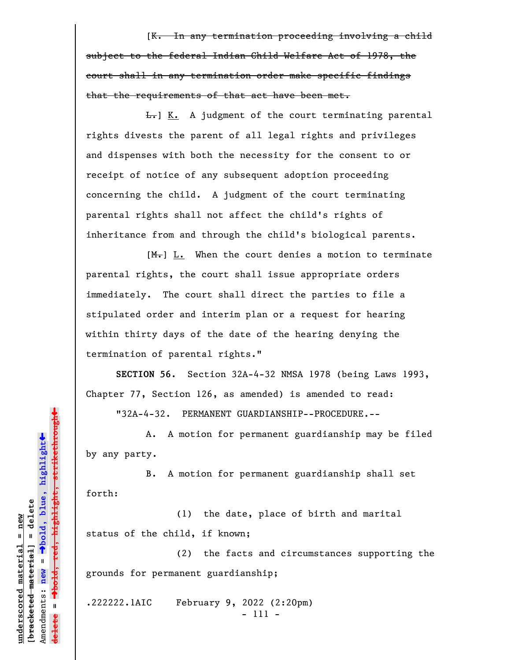[K. In any termination proceeding involving a child subject to the federal Indian Child Welfare Act of 1978, the court shall in any termination order make specific findings that the requirements of that act have been met.

 $\overline{L_{\bullet}}$  K. A judgment of the court terminating parental rights divests the parent of all legal rights and privileges and dispenses with both the necessity for the consent to or receipt of notice of any subsequent adoption proceeding concerning the child. A judgment of the court terminating parental rights shall not affect the child's rights of inheritance from and through the child's biological parents.

 $[M_r]$   $L.$  When the court denies a motion to terminate parental rights, the court shall issue appropriate orders immediately. The court shall direct the parties to file a stipulated order and interim plan or a request for hearing within thirty days of the date of the hearing denying the termination of parental rights."

**SECTION 56.** Section 32A-4-32 NMSA 1978 (being Laws 1993, Chapter 77, Section 126, as amended) is amended to read:

"32A-4-32. PERMANENT GUARDIANSHIP--PROCEDURE.--

A. A motion for permanent guardianship may be filed by any party.

B. A motion for permanent guardianship shall set forth:

(1) the date, place of birth and marital status of the child, if known;

(2) the facts and circumstances supporting the grounds for permanent guardianship;

.222222.1AIC February 9, 2022 (2:20pm) - 111 -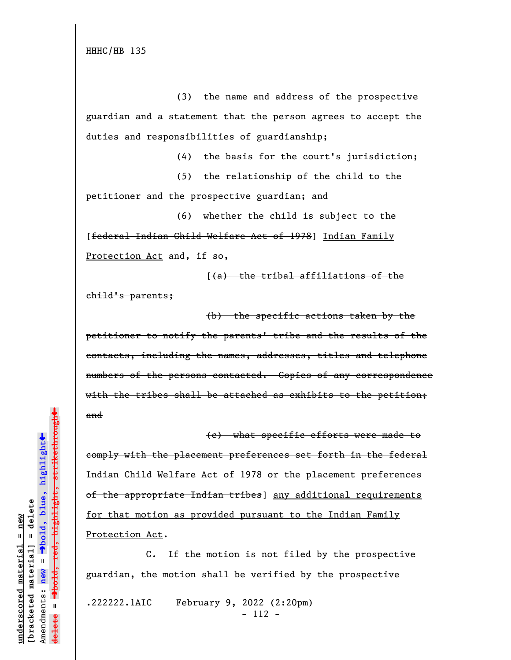(3) the name and address of the prospective guardian and a statement that the person agrees to accept the duties and responsibilities of guardianship;

(4) the basis for the court's jurisdiction;

(5) the relationship of the child to the petitioner and the prospective guardian; and

(6) whether the child is subject to the [federal Indian Child Welfare Act of 1978] Indian Family Protection Act and, if so,

 $(4a)$  the tribal affiliations of the child's parents;

(b) the specific actions taken by the petitioner to notify the parents' tribe and the results of the contacts, including the names, addresses, titles and telephone numbers of the persons contacted. Copies of any correspondence with the tribes shall be attached as exhibits to the petition; and

(c) what specific efforts were made to comply with the placement preferences set forth in the federal Indian Child Welfare Act of 1978 or the placement preferences of the appropriate Indian tribes] any additional requirements for that motion as provided pursuant to the Indian Family Protection Act.

C. If the motion is not filed by the prospective guardian, the motion shall be verified by the prospective

.222222.1AIC February 9, 2022 (2:20pm) - 112 -

»highlight, strikethrough º**bold, red, highlight, strikethrough**  $\ddot{\bullet}$ º**bold, blue, highlight**  $b$ racketed material] = delete **[bracketed material] = delete**  $anderscored material = new$ **underscored material = new** Amendments: **new** =  $\bar{\mathbf{H}}$ new Amendments:  $\mathbf{u}$ **delete =**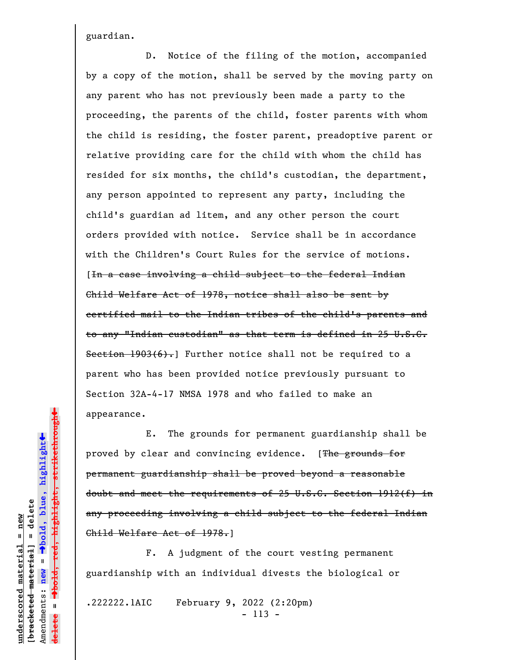guardian.

D. Notice of the filing of the motion, accompanied by a copy of the motion, shall be served by the moving party on any parent who has not previously been made a party to the proceeding, the parents of the child, foster parents with whom the child is residing, the foster parent, preadoptive parent or relative providing care for the child with whom the child has resided for six months, the child's custodian, the department, any person appointed to represent any party, including the child's guardian ad litem, and any other person the court orders provided with notice. Service shall be in accordance with the Children's Court Rules for the service of motions. [In a case involving a child subject to the federal Indian Child Welfare Act of 1978, notice shall also be sent by certified mail to the Indian tribes of the child's parents and to any "Indian custodian" as that term is defined in 25 U.S.C. Section  $1903(6)$ . Further notice shall not be required to a parent who has been provided notice previously pursuant to Section 32A-4-17 NMSA 1978 and who failed to make an appearance.

E. The grounds for permanent guardianship shall be proved by clear and convincing evidence. [The grounds for permanent guardianship shall be proved beyond a reasonable doubt and meet the requirements of 25 U.S.C. Section 1912(f) in any proceeding involving a child subject to the federal Indian Child Welfare Act of 1978.]

F. A judgment of the court vesting permanent guardianship with an individual divests the biological or

.222222.1AIC February 9, 2022 (2:20pm) - 113 -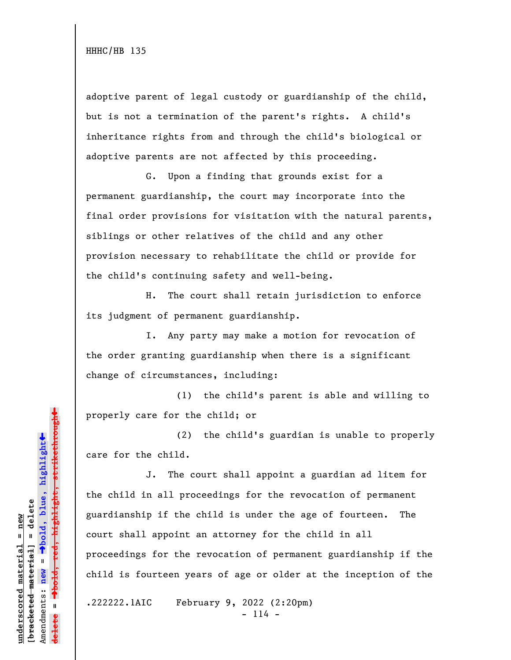adoptive parent of legal custody or guardianship of the child, but is not a termination of the parent's rights. A child's inheritance rights from and through the child's biological or adoptive parents are not affected by this proceeding.

G. Upon a finding that grounds exist for a permanent guardianship, the court may incorporate into the final order provisions for visitation with the natural parents, siblings or other relatives of the child and any other provision necessary to rehabilitate the child or provide for the child's continuing safety and well-being.

H. The court shall retain jurisdiction to enforce its judgment of permanent guardianship.

I. Any party may make a motion for revocation of the order granting guardianship when there is a significant change of circumstances, including:

(1) the child's parent is able and willing to properly care for the child; or

(2) the child's guardian is unable to properly care for the child.

J. The court shall appoint a guardian ad litem for the child in all proceedings for the revocation of permanent guardianship if the child is under the age of fourteen. The court shall appoint an attorney for the child in all proceedings for the revocation of permanent guardianship if the child is fourteen years of age or older at the inception of the

.222222.1AIC February 9, 2022 (2:20pm)  $- 114 -$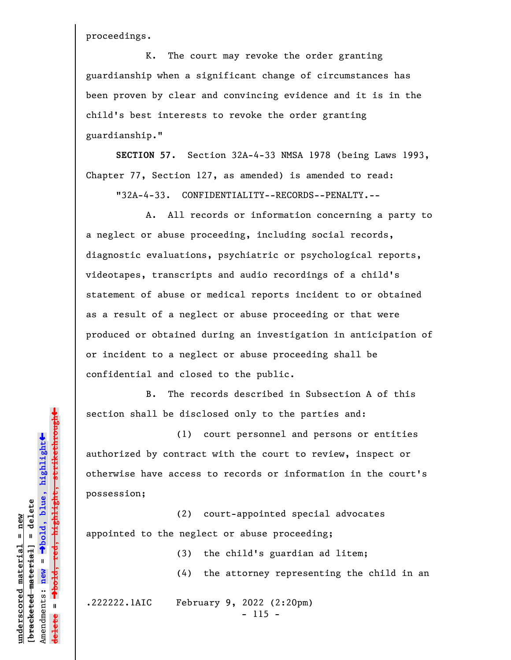proceedings.

K. The court may revoke the order granting guardianship when a significant change of circumstances has been proven by clear and convincing evidence and it is in the child's best interests to revoke the order granting guardianship."

**SECTION 57.** Section 32A-4-33 NMSA 1978 (being Laws 1993, Chapter 77, Section 127, as amended) is amended to read:

"32A-4-33. CONFIDENTIALITY--RECORDS--PENALTY.--

A. All records or information concerning a party to a neglect or abuse proceeding, including social records, diagnostic evaluations, psychiatric or psychological reports, videotapes, transcripts and audio recordings of a child's statement of abuse or medical reports incident to or obtained as a result of a neglect or abuse proceeding or that were produced or obtained during an investigation in anticipation of or incident to a neglect or abuse proceeding shall be confidential and closed to the public.

B. The records described in Subsection A of this section shall be disclosed only to the parties and:

(1) court personnel and persons or entities authorized by contract with the court to review, inspect or otherwise have access to records or information in the court's possession;

(2) court-appointed special advocates appointed to the neglect or abuse proceeding;

> (3) the child's guardian ad litem; (4) the attorney representing the child in an

.222222.1AIC February 9, 2022 (2:20pm)  $- 115 -$ 

º**bold, red, highlight, strikethrough**  $\ddot{\bullet}$ º**bold, blue, highlight** bracketed material] = delete **[bracketed material] = delete** inderscored material = new **underscored material = new** Amendments: **new** =  $\mathbf{u}$ Amendments: new **delete =**

 $\ddag$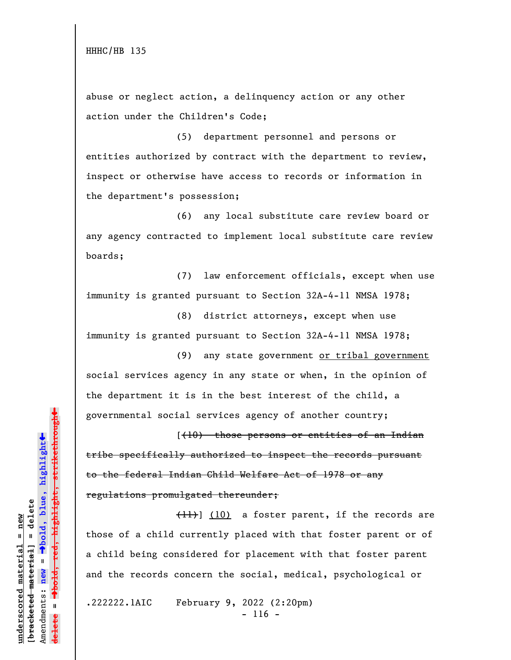abuse or neglect action, a delinquency action or any other action under the Children's Code;

(5) department personnel and persons or entities authorized by contract with the department to review, inspect or otherwise have access to records or information in the department's possession;

(6) any local substitute care review board or any agency contracted to implement local substitute care review boards;

(7) law enforcement officials, except when use immunity is granted pursuant to Section 32A-4-11 NMSA 1978;

(8) district attorneys, except when use immunity is granted pursuant to Section 32A-4-11 NMSA 1978;

(9) any state government or tribal government social services agency in any state or when, in the opinion of the department it is in the best interest of the child, a governmental social services agency of another country;

[(10) those persons or entities of an Indian tribe specifically authorized to inspect the records pursuant to the federal Indian Child Welfare Act of 1978 or any regulations promulgated thereunder;

(11)] (10) a foster parent, if the records are those of a child currently placed with that foster parent or of a child being considered for placement with that foster parent and the records concern the social, medical, psychological or

.222222.1AIC February 9, 2022 (2:20pm)  $- 116 -$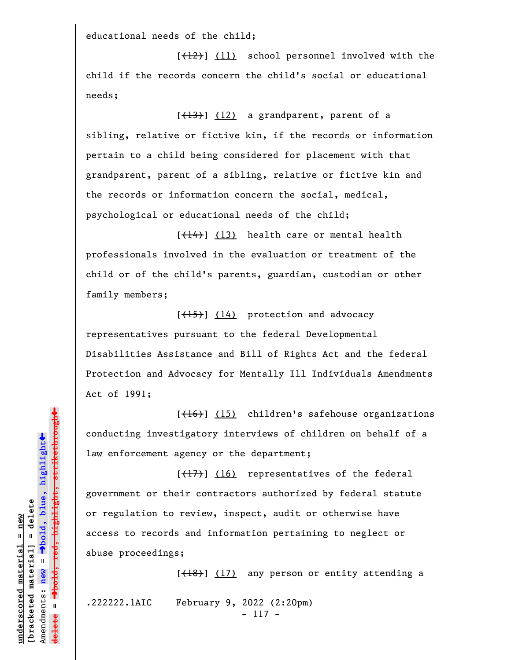educational needs of the child;

 $[+12)$ ] (11) school personnel involved with the child if the records concern the child's social or educational needs;

 $[\frac{13}{13}]$  (12) a grandparent, parent of a sibling, relative or fictive kin, if the records or information pertain to a child being considered for placement with that grandparent, parent of a sibling, relative or fictive kin and the records or information concern the social, medical, psychological or educational needs of the child;

[(14)] (13) health care or mental health professionals involved in the evaluation or treatment of the child or of the child's parents, guardian, custodian or other family members;

 $[\frac{(15)}{14}]$  protection and advocacy representatives pursuant to the federal Developmental Disabilities Assistance and Bill of Rights Act and the federal Protection and Advocacy for Mentally Ill Individuals Amendments Act of 1991;

[(16)] (15) children's safehouse organizations conducting investigatory interviews of children on behalf of a law enforcement agency or the department;

 $[\frac{1}{2}, \frac{1}{2}]$  (16) representatives of the federal government or their contractors authorized by federal statute or regulation to review, inspect, audit or otherwise have access to records and information pertaining to neglect or abuse proceedings;

 $[\frac{(18)}{17}]$  any person or entity attending a

.222222.1AIC February 9, 2022 (2:20pm)

- 117 -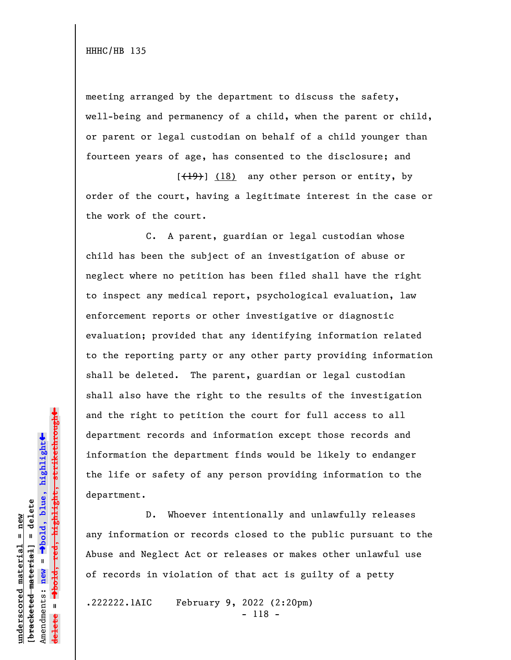meeting arranged by the department to discuss the safety, well-being and permanency of a child, when the parent or child, or parent or legal custodian on behalf of a child younger than fourteen years of age, has consented to the disclosure; and

 $[\frac{(19)}{18}]$  (18) any other person or entity, by order of the court, having a legitimate interest in the case or the work of the court.

C. A parent, guardian or legal custodian whose child has been the subject of an investigation of abuse or neglect where no petition has been filed shall have the right to inspect any medical report, psychological evaluation, law enforcement reports or other investigative or diagnostic evaluation; provided that any identifying information related to the reporting party or any other party providing information shall be deleted. The parent, guardian or legal custodian shall also have the right to the results of the investigation and the right to petition the court for full access to all department records and information except those records and information the department finds would be likely to endanger the life or safety of any person providing information to the department.

D. Whoever intentionally and unlawfully releases any information or records closed to the public pursuant to the Abuse and Neglect Act or releases or makes other unlawful use of records in violation of that act is guilty of a petty

.222222.1AIC February 9, 2022 (2:20pm) - 118 -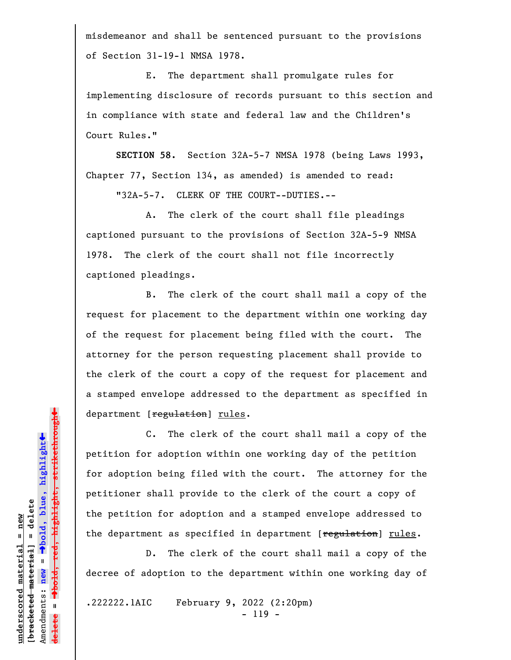misdemeanor and shall be sentenced pursuant to the provisions of Section 31-19-1 NMSA 1978.

E. The department shall promulgate rules for implementing disclosure of records pursuant to this section and in compliance with state and federal law and the Children's Court Rules."

**SECTION 58.** Section 32A-5-7 NMSA 1978 (being Laws 1993, Chapter 77, Section 134, as amended) is amended to read:

"32A-5-7. CLERK OF THE COURT--DUTIES.--

A. The clerk of the court shall file pleadings captioned pursuant to the provisions of Section 32A-5-9 NMSA 1978. The clerk of the court shall not file incorrectly captioned pleadings.

B. The clerk of the court shall mail a copy of the request for placement to the department within one working day of the request for placement being filed with the court. The attorney for the person requesting placement shall provide to the clerk of the court a copy of the request for placement and a stamped envelope addressed to the department as specified in department [regulation] rules.

C. The clerk of the court shall mail a copy of the petition for adoption within one working day of the petition for adoption being filed with the court. The attorney for the petitioner shall provide to the clerk of the court a copy of the petition for adoption and a stamped envelope addressed to the department as specified in department [regulation] rules.

D. The clerk of the court shall mail a copy of the decree of adoption to the department within one working day of

.222222.1AIC February 9, 2022 (2:20pm) - 119 -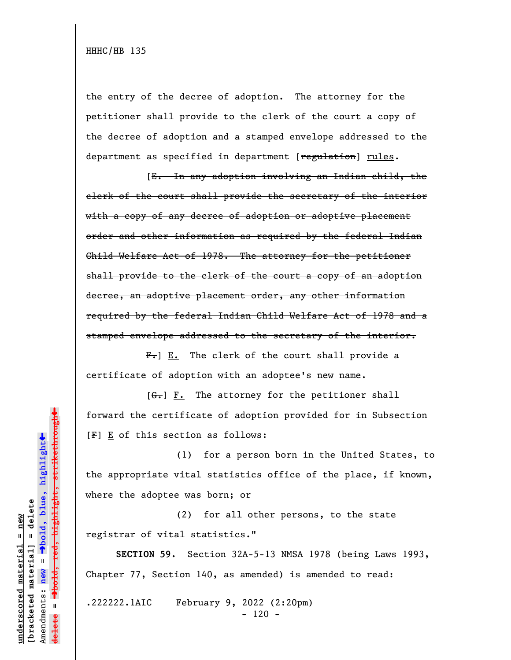the entry of the decree of adoption. The attorney for the petitioner shall provide to the clerk of the court a copy of the decree of adoption and a stamped envelope addressed to the department as specified in department [regulation] rules.

[E. In any adoption involving an Indian child, the clerk of the court shall provide the secretary of the interior with a copy of any decree of adoption or adoptive placement order and other information as required by the federal Indian Child Welfare Act of 1978. The attorney for the petitioner shall provide to the clerk of the court a copy of an adoption decree, an adoptive placement order, any other information required by the federal Indian Child Welfare Act of 1978 and a stamped envelope addressed to the secretary of the interior.

 $F_{\bullet}$ ] E. The clerk of the court shall provide a certificate of adoption with an adoptee's new name.

 $[G<sub>1</sub>]$   $F<sub>2</sub>$  The attorney for the petitioner shall forward the certificate of adoption provided for in Subsection [F] E of this section as follows:

(1) for a person born in the United States, to the appropriate vital statistics office of the place, if known, where the adoptee was born; or

(2) for all other persons, to the state registrar of vital statistics."

**SECTION 59.** Section 32A-5-13 NMSA 1978 (being Laws 1993, Chapter 77, Section 140, as amended) is amended to read:

.222222.1AIC February 9, 2022 (2:20pm)  $- 120 -$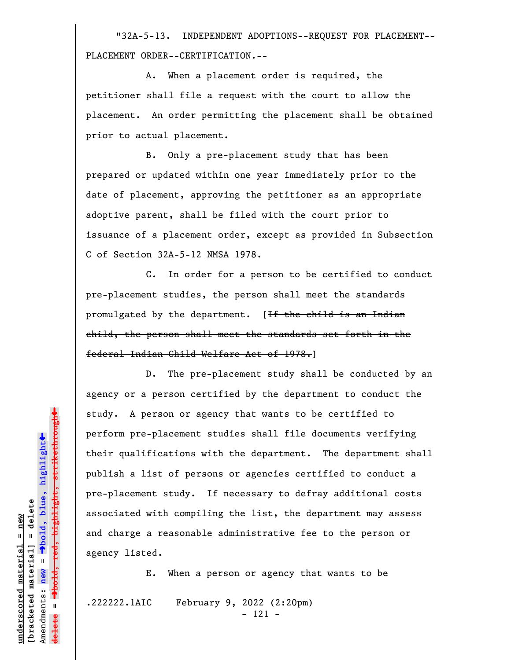"32A-5-13. INDEPENDENT ADOPTIONS--REQUEST FOR PLACEMENT-- PLACEMENT ORDER--CERTIFICATION.--

A. When a placement order is required, the petitioner shall file a request with the court to allow the placement. An order permitting the placement shall be obtained prior to actual placement.

B. Only a pre-placement study that has been prepared or updated within one year immediately prior to the date of placement, approving the petitioner as an appropriate adoptive parent, shall be filed with the court prior to issuance of a placement order, except as provided in Subsection C of Section 32A-5-12 NMSA 1978.

C. In order for a person to be certified to conduct pre-placement studies, the person shall meet the standards promulgated by the department. [If the child is an Indian child, the person shall meet the standards set forth in the federal Indian Child Welfare Act of 1978.]

D. The pre-placement study shall be conducted by an agency or a person certified by the department to conduct the study. A person or agency that wants to be certified to perform pre-placement studies shall file documents verifying their qualifications with the department. The department shall publish a list of persons or agencies certified to conduct a pre-placement study. If necessary to defray additional costs associated with compiling the list, the department may assess and charge a reasonable administrative fee to the person or agency listed.

E. When a person or agency that wants to be

.222222.1AIC February 9, 2022 (2:20pm) - 121 -

 $\ddag$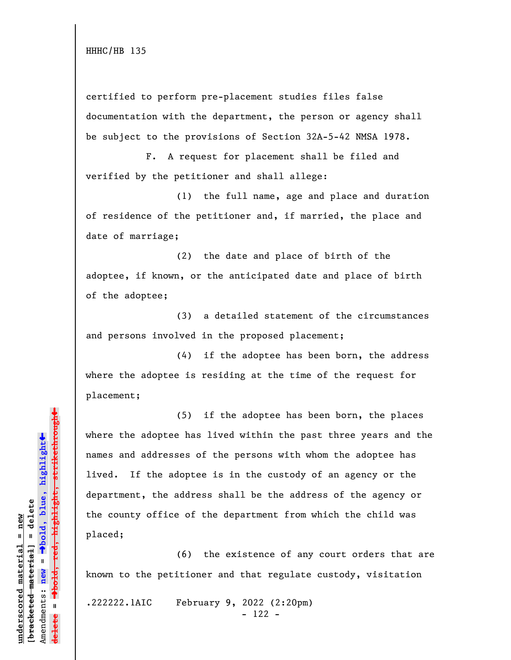certified to perform pre-placement studies files false documentation with the department, the person or agency shall be subject to the provisions of Section 32A-5-42 NMSA 1978.

F. A request for placement shall be filed and verified by the petitioner and shall allege:

(1) the full name, age and place and duration of residence of the petitioner and, if married, the place and date of marriage;

(2) the date and place of birth of the adoptee, if known, or the anticipated date and place of birth of the adoptee;

(3) a detailed statement of the circumstances and persons involved in the proposed placement;

(4) if the adoptee has been born, the address where the adoptee is residing at the time of the request for placement;

(5) if the adoptee has been born, the places where the adoptee has lived within the past three years and the names and addresses of the persons with whom the adoptee has lived. If the adoptee is in the custody of an agency or the department, the address shall be the address of the agency or the county office of the department from which the child was placed;

(6) the existence of any court orders that are known to the petitioner and that regulate custody, visitation

.222222.1AIC February 9, 2022 (2:20pm) - 122 -

 $\ddag$ º**bold, red, highlight, strikethrough**  $\ddot{\bullet}$ º**bold, blue, highlight**  $b$ racketed material] = delete **[bracketed material] = delete** inderscored material = new **underscored material = new** Amendments: **new** =  $\bar{\mathbf{u}}$ Amendments: new  $\mathbf{I}$ **delete =**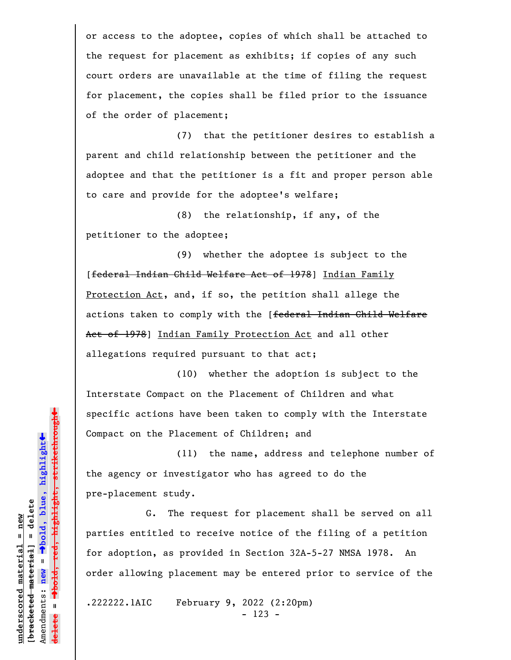or access to the adoptee, copies of which shall be attached to the request for placement as exhibits; if copies of any such court orders are unavailable at the time of filing the request for placement, the copies shall be filed prior to the issuance of the order of placement;

(7) that the petitioner desires to establish a parent and child relationship between the petitioner and the adoptee and that the petitioner is a fit and proper person able to care and provide for the adoptee's welfare;

(8) the relationship, if any, of the petitioner to the adoptee;

(9) whether the adoptee is subject to the [federal Indian Child Welfare Act of 1978] Indian Family Protection Act, and, if so, the petition shall allege the actions taken to comply with the [federal Indian Child Welfare Act of 1978] Indian Family Protection Act and all other allegations required pursuant to that act;

(10) whether the adoption is subject to the Interstate Compact on the Placement of Children and what specific actions have been taken to comply with the Interstate Compact on the Placement of Children; and

(11) the name, address and telephone number of the agency or investigator who has agreed to do the pre-placement study.

G. The request for placement shall be served on all parties entitled to receive notice of the filing of a petition for adoption, as provided in Section 32A-5-27 NMSA 1978. An order allowing placement may be entered prior to service of the

.222222.1AIC February 9, 2022 (2:20pm) - 123 -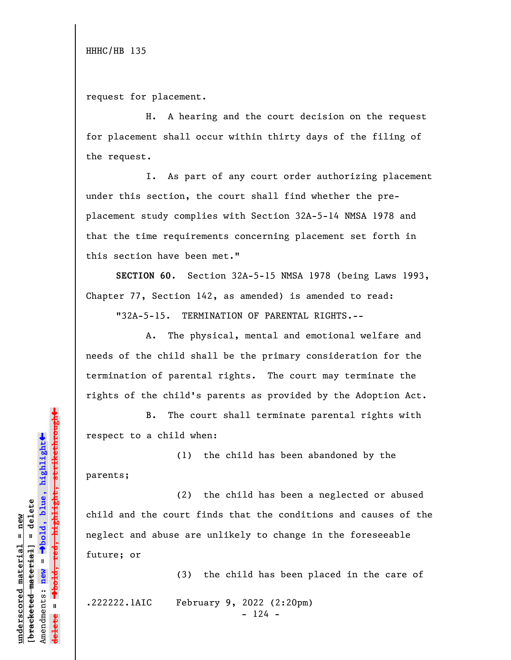request for placement.

H. A hearing and the court decision on the request for placement shall occur within thirty days of the filing of the request.

I. As part of any court order authorizing placement under this section, the court shall find whether the preplacement study complies with Section 32A-5-14 NMSA 1978 and that the time requirements concerning placement set forth in this section have been met."

**SECTION 60.** Section 32A-5-15 NMSA 1978 (being Laws 1993, Chapter 77, Section 142, as amended) is amended to read:

"32A-5-15. TERMINATION OF PARENTAL RIGHTS.--

A. The physical, mental and emotional welfare and needs of the child shall be the primary consideration for the termination of parental rights. The court may terminate the rights of the child's parents as provided by the Adoption Act.

B. The court shall terminate parental rights with respect to a child when:

(1) the child has been abandoned by the parents;

(2) the child has been a neglected or abused child and the court finds that the conditions and causes of the neglect and abuse are unlikely to change in the foreseeable future; or

(3) the child has been placed in the care of

.222222.1AIC February 9, 2022 (2:20pm)

 $- 124 -$ 

 $\ddag$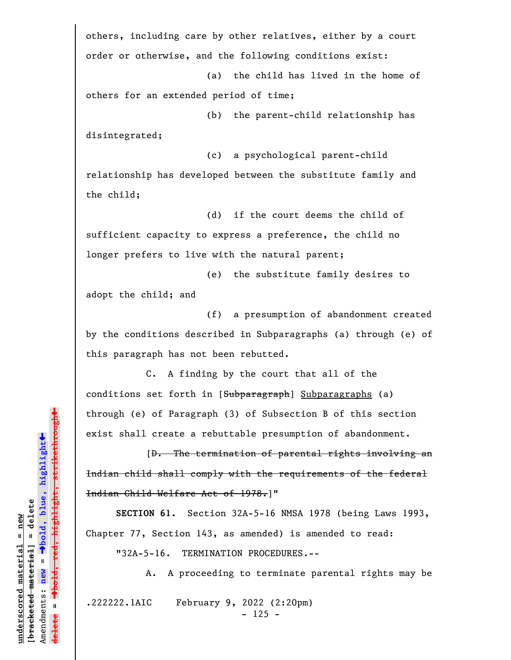others, including care by other relatives, either by a court order or otherwise, and the following conditions exist:

(a) the child has lived in the home of others for an extended period of time;

(b) the parent-child relationship has disintegrated;

(c) a psychological parent-child relationship has developed between the substitute family and the child;

(d) if the court deems the child of sufficient capacity to express a preference, the child no longer prefers to live with the natural parent;

(e) the substitute family desires to adopt the child; and

(f) a presumption of abandonment created by the conditions described in Subparagraphs (a) through (e) of this paragraph has not been rebutted.

 C. A finding by the court that all of the conditions set forth in [Subparagraph] Subparagraphs (a) through (e) of Paragraph (3) of Subsection B of this section exist shall create a rebuttable presumption of abandonment.

 [D. The termination of parental rights involving an Indian child shall comply with the requirements of the federal Indian Child Welfare Act of 1978.]"

**SECTION 61.** Section 32A-5-16 NMSA 1978 (being Laws 1993, Chapter 77, Section 143, as amended) is amended to read:

"32A-5-16. TERMINATION PROCEDURES.--

A. A proceeding to terminate parental rights may be

.222222.1AIC February 9, 2022 (2:20pm)

- 125 -

º**bold, red, highlight, strikethrough**  $\ddot{\bullet}$ º**bold, blue, highlight**  $b$ racketed material] = delete **[bracketed material] = delete** inderscored material = new **underscored material = new** Amendments: **new** = Amendments: new =  $\mathbf{I}$ **delete =**

 $\ddag$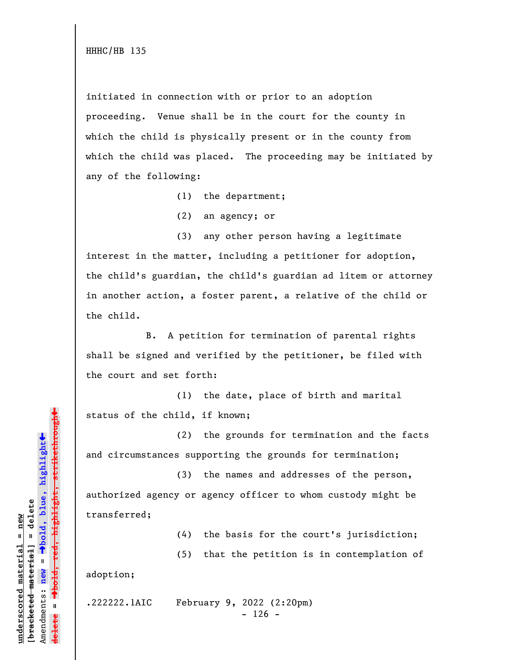initiated in connection with or prior to an adoption proceeding. Venue shall be in the court for the county in which the child is physically present or in the county from which the child was placed. The proceeding may be initiated by any of the following:

(1) the department;

(2) an agency; or

(3) any other person having a legitimate interest in the matter, including a petitioner for adoption, the child's guardian, the child's guardian ad litem or attorney in another action, a foster parent, a relative of the child or the child.

B. A petition for termination of parental rights shall be signed and verified by the petitioner, be filed with the court and set forth:

(1) the date, place of birth and marital status of the child, if known;

(2) the grounds for termination and the facts and circumstances supporting the grounds for termination;

(3) the names and addresses of the person, authorized agency or agency officer to whom custody might be transferred;

(4) the basis for the court's jurisdiction;

(5) that the petition is in contemplation of

adoption;

.222222.1AIC February 9, 2022 (2:20pm)  $- 126 -$ 

 $\ddag$ º**bold, red, highlight, strikethrough**  $\ddot{\bullet}$ º**bold, blue, highlight**  $b$ racketed material] = delete **[bracketed material] = delete** inderscored material = new **underscored material = new** Amendments: **new** =  $\bar{\mathbf{u}}$ Amendments: new  $\mathbf{I}$ **delete =** lelete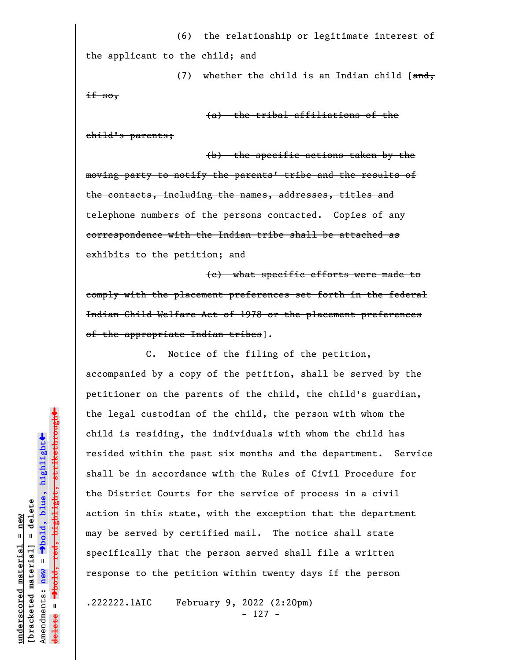(6) the relationship or legitimate interest of the applicant to the child; and

(7) whether the child is an Indian child  $[ $\frac{and}{,}$ ]$  $if so,$ 

(a) the tribal affiliations of the

child's parents;

(b) the specific actions taken by the moving party to notify the parents' tribe and the results of the contacts, including the names, addresses, titles and telephone numbers of the persons contacted. Copies of any correspondence with the Indian tribe shall be attached as exhibits to the petition; and

(c) what specific efforts were made to comply with the placement preferences set forth in the federal Indian Child Welfare Act of 1978 or the placement preferences of the appropriate Indian tribes].

C. Notice of the filing of the petition, accompanied by a copy of the petition, shall be served by the petitioner on the parents of the child, the child's guardian, the legal custodian of the child, the person with whom the child is residing, the individuals with whom the child has resided within the past six months and the department. Service shall be in accordance with the Rules of Civil Procedure for the District Courts for the service of process in a civil action in this state, with the exception that the department may be served by certified mail. The notice shall state specifically that the person served shall file a written response to the petition within twenty days if the person

.222222.1AIC February 9, 2022 (2:20pm) - 127 -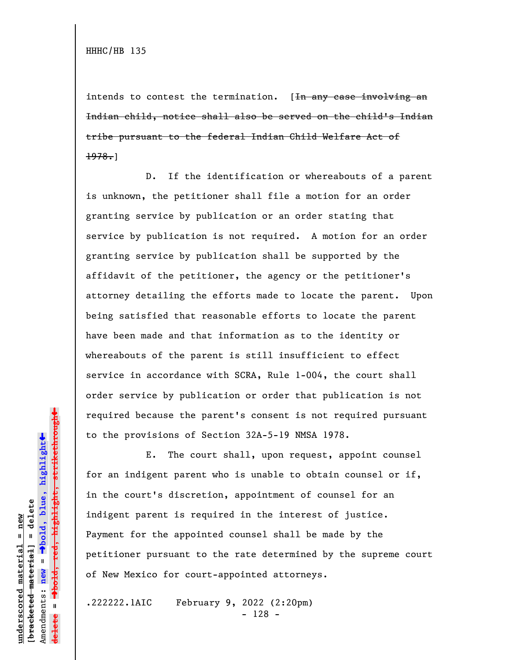intends to contest the termination.  $[**In any case involving an**]$ Indian child, notice shall also be served on the child's Indian tribe pursuant to the federal Indian Child Welfare Act of  $1978.$ 

D. If the identification or whereabouts of a parent is unknown, the petitioner shall file a motion for an order granting service by publication or an order stating that service by publication is not required. A motion for an order granting service by publication shall be supported by the affidavit of the petitioner, the agency or the petitioner's attorney detailing the efforts made to locate the parent. Upon being satisfied that reasonable efforts to locate the parent have been made and that information as to the identity or whereabouts of the parent is still insufficient to effect service in accordance with SCRA, Rule 1-004, the court shall order service by publication or order that publication is not required because the parent's consent is not required pursuant to the provisions of Section 32A-5-19 NMSA 1978.

E. The court shall, upon request, appoint counsel for an indigent parent who is unable to obtain counsel or if, in the court's discretion, appointment of counsel for an indigent parent is required in the interest of justice. Payment for the appointed counsel shall be made by the petitioner pursuant to the rate determined by the supreme court of New Mexico for court-appointed attorneys.

.222222.1AIC February 9, 2022 (2:20pm) - 128 -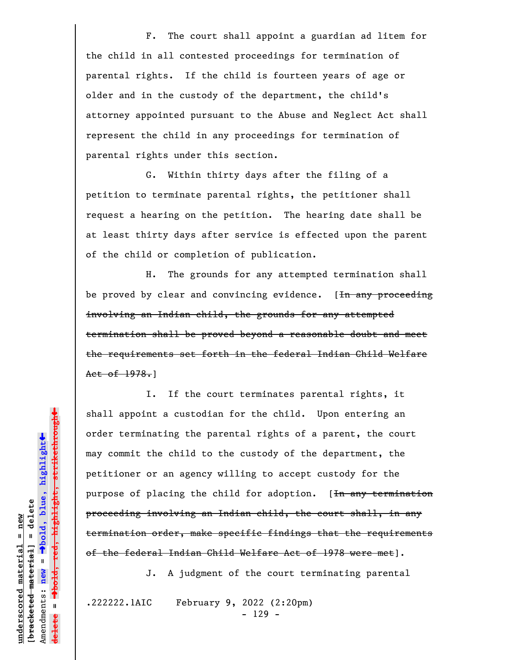F. The court shall appoint a guardian ad litem for the child in all contested proceedings for termination of parental rights. If the child is fourteen years of age or older and in the custody of the department, the child's attorney appointed pursuant to the Abuse and Neglect Act shall represent the child in any proceedings for termination of parental rights under this section.

G. Within thirty days after the filing of a petition to terminate parental rights, the petitioner shall request a hearing on the petition. The hearing date shall be at least thirty days after service is effected upon the parent of the child or completion of publication.

H. The grounds for any attempted termination shall be proved by clear and convincing evidence.  $[**In any proceeding**]$ involving an Indian child, the grounds for any attempted termination shall be proved beyond a reasonable doubt and meet the requirements set forth in the federal Indian Child Welfare Act of 1978.]

I. If the court terminates parental rights, it shall appoint a custodian for the child. Upon entering an order terminating the parental rights of a parent, the court may commit the child to the custody of the department, the petitioner or an agency willing to accept custody for the purpose of placing the child for adoption. [<del>In any termination</del> proceeding involving an Indian child, the court shall, in any termination order, make specific findings that the requirements of the federal Indian Child Welfare Act of 1978 were met].

J. A judgment of the court terminating parental

.222222.1AIC February 9, 2022 (2:20pm) - 129 -

º**bold, red, highlight, strikethrough**  $\ddot{\bullet}$ º**bold, blue, highlight**  $b$ racketed material] = delete **[bracketed material] = delete** inderscored material = new **underscored material = new** Amendments: **new** = Amendments: new =  $\mathbf{I}$ **delete =**

 $\ddag$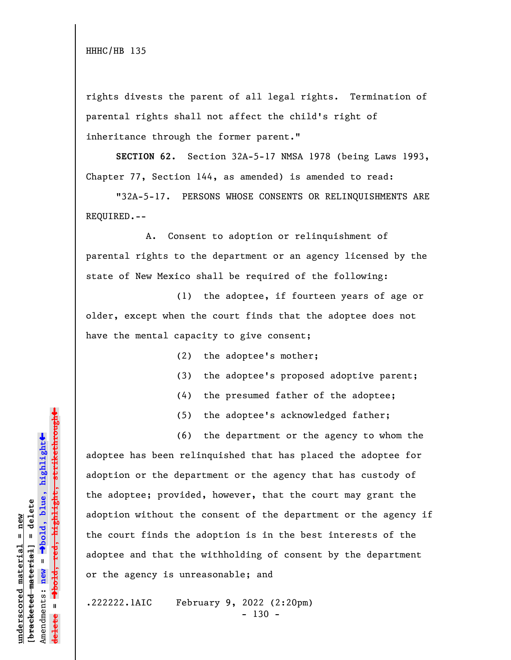rights divests the parent of all legal rights. Termination of parental rights shall not affect the child's right of inheritance through the former parent."

**SECTION 62.** Section 32A-5-17 NMSA 1978 (being Laws 1993, Chapter 77, Section 144, as amended) is amended to read:

"32A-5-17. PERSONS WHOSE CONSENTS OR RELINQUISHMENTS ARE REQUIRED.--

A. Consent to adoption or relinquishment of parental rights to the department or an agency licensed by the state of New Mexico shall be required of the following:

(1) the adoptee, if fourteen years of age or older, except when the court finds that the adoptee does not have the mental capacity to give consent;

(2) the adoptee's mother;

- (3) the adoptee's proposed adoptive parent;
- (4) the presumed father of the adoptee;
- (5) the adoptee's acknowledged father;

(6) the department or the agency to whom the adoptee has been relinquished that has placed the adoptee for adoption or the department or the agency that has custody of the adoptee; provided, however, that the court may grant the adoption without the consent of the department or the agency if the court finds the adoption is in the best interests of the adoptee and that the withholding of consent by the department or the agency is unreasonable; and

.222222.1AIC February 9, 2022 (2:20pm)  $- 130 -$ 

»º**bold, red, highlight, strikethrough** red<del>, highlight, strikethrou</del>  $\ddot{\bullet}$ º**bold, blue, highlight**  $b$ racketed material] = delete **[bracketed material] = delete** inderscored material = new **underscored material = new** Amendments: **new** =  $\bar{\mathbf{u}}$ Amendments: new  $\mathbf{I}$ **delete =** lelete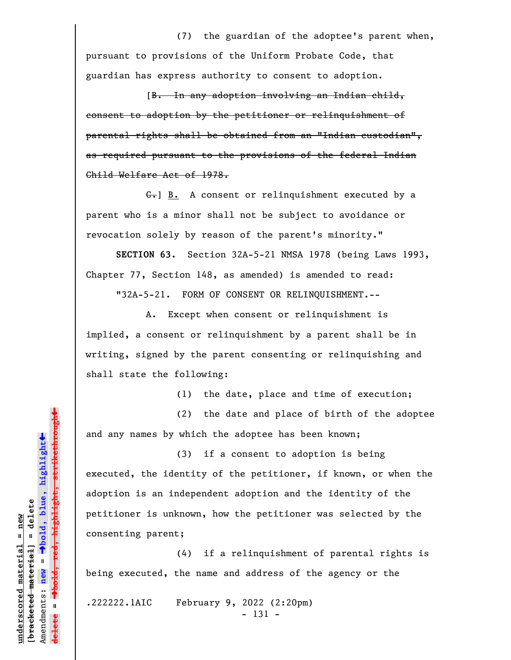(7) the guardian of the adoptee's parent when, pursuant to provisions of the Uniform Probate Code, that guardian has express authority to consent to adoption.

[B. In any adoption involving an Indian child, consent to adoption by the petitioner or relinquishment of parental rights shall be obtained from an "Indian custodian", as required pursuant to the provisions of the federal Indian Child Welfare Act of 1978.

C.] B. A consent or relinquishment executed by a parent who is a minor shall not be subject to avoidance or revocation solely by reason of the parent's minority."

**SECTION 63.** Section 32A-5-21 NMSA 1978 (being Laws 1993, Chapter 77, Section 148, as amended) is amended to read:

"32A-5-21. FORM OF CONSENT OR RELINQUISHMENT.--

A. Except when consent or relinquishment is implied, a consent or relinquishment by a parent shall be in writing, signed by the parent consenting or relinquishing and shall state the following:

(1) the date, place and time of execution;

(2) the date and place of birth of the adoptee and any names by which the adoptee has been known;

(3) if a consent to adoption is being executed, the identity of the petitioner, if known, or when the adoption is an independent adoption and the identity of the petitioner is unknown, how the petitioner was selected by the consenting parent;

(4) if a relinquishment of parental rights is being executed, the name and address of the agency or the

.222222.1AIC February 9, 2022 (2:20pm) - 131 -

 $\ddag$ º**bold, red, highlight, strikethrough**  $\ddot{\bullet}$ º**bold, blue, highlight**  $b$ racketed material] = delete **[bracketed material] = delete** inderscored material = new **underscored material = new** Amendments: **new** =  $\bar{\mathbf{u}}$ Amendments: new  $\mathbf{I}$ **delete =**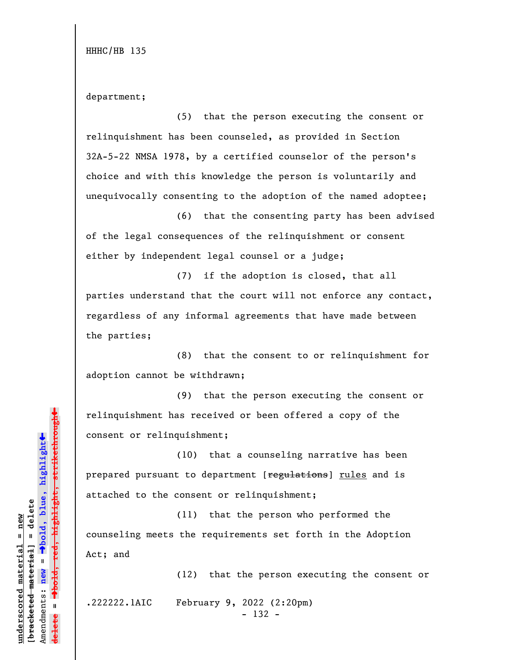department;

(5) that the person executing the consent or relinquishment has been counseled, as provided in Section 32A-5-22 NMSA 1978, by a certified counselor of the person's choice and with this knowledge the person is voluntarily and unequivocally consenting to the adoption of the named adoptee;

(6) that the consenting party has been advised of the legal consequences of the relinquishment or consent either by independent legal counsel or a judge;

(7) if the adoption is closed, that all parties understand that the court will not enforce any contact, regardless of any informal agreements that have made between the parties;

(8) that the consent to or relinquishment for adoption cannot be withdrawn;

(9) that the person executing the consent or relinquishment has received or been offered a copy of the consent or relinquishment;

(10) that a counseling narrative has been prepared pursuant to department [regulations] rules and is attached to the consent or relinquishment;

(11) that the person who performed the counseling meets the requirements set forth in the Adoption Act; and

(12) that the person executing the consent or

.222222.1AIC February 9, 2022 (2:20pm)

- 132 -

 $\ddag$ º**bold, red, highlight, strikethrough**  $\ddot{\bullet}$ º**bold, blue, highlight**  $b$ racketed material] = delete **[bracketed material] = delete** inderscored material = new **underscored material = new** Amendments: **new** =  $\bar{\mathbf{u}}$ Amendments: new  $\mathbf{u}$ **delete =** lelete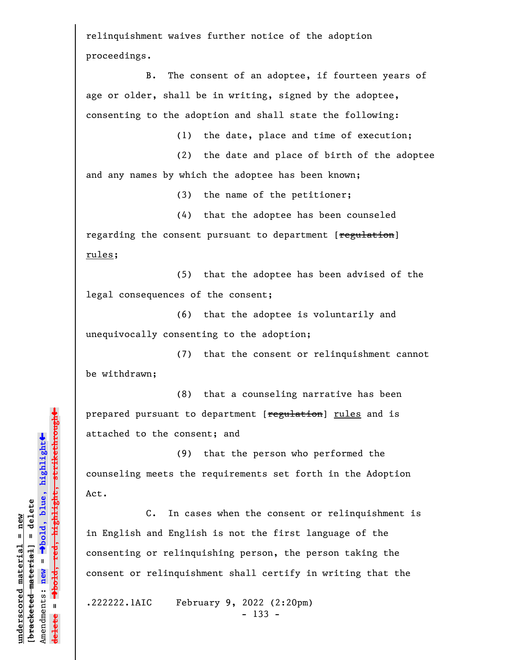relinquishment waives further notice of the adoption proceedings.

B. The consent of an adoptee, if fourteen years of age or older, shall be in writing, signed by the adoptee, consenting to the adoption and shall state the following:

(1) the date, place and time of execution;

(2) the date and place of birth of the adoptee and any names by which the adoptee has been known;

(3) the name of the petitioner;

(4) that the adoptee has been counseled regarding the consent pursuant to department [regulation] rules;

(5) that the adoptee has been advised of the legal consequences of the consent;

(6) that the adoptee is voluntarily and unequivocally consenting to the adoption;

(7) that the consent or relinquishment cannot be withdrawn;

(8) that a counseling narrative has been prepared pursuant to department [regulation] rules and is attached to the consent; and

(9) that the person who performed the counseling meets the requirements set forth in the Adoption Act.

C. In cases when the consent or relinquishment is in English and English is not the first language of the consenting or relinquishing person, the person taking the consent or relinquishment shall certify in writing that the

.222222.1AIC February 9, 2022 (2:20pm) - 133 -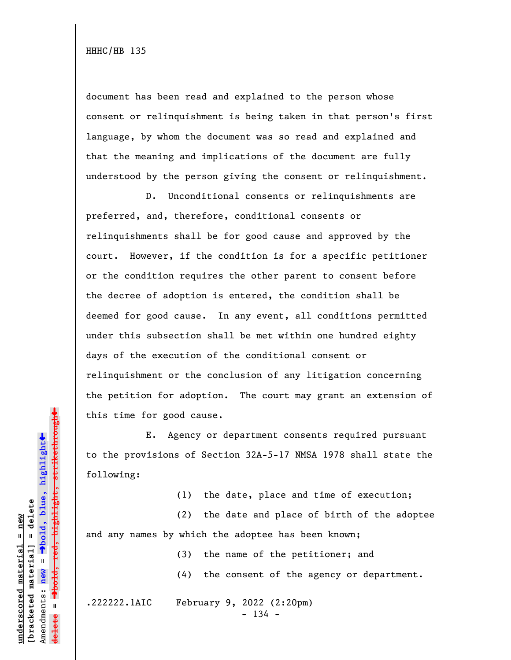document has been read and explained to the person whose consent or relinquishment is being taken in that person's first language, by whom the document was so read and explained and that the meaning and implications of the document are fully understood by the person giving the consent or relinquishment.

D. Unconditional consents or relinquishments are preferred, and, therefore, conditional consents or relinquishments shall be for good cause and approved by the court. However, if the condition is for a specific petitioner or the condition requires the other parent to consent before the decree of adoption is entered, the condition shall be deemed for good cause. In any event, all conditions permitted under this subsection shall be met within one hundred eighty days of the execution of the conditional consent or relinquishment or the conclusion of any litigation concerning the petition for adoption. The court may grant an extension of this time for good cause.

E. Agency or department consents required pursuant to the provisions of Section 32A-5-17 NMSA 1978 shall state the following:

(1) the date, place and time of execution;

(2) the date and place of birth of the adoptee and any names by which the adoptee has been known;

> (3) the name of the petitioner; and (4) the consent of the agency or department.

.222222.1AIC February 9, 2022 (2:20pm)

 $- 134 -$ 

º**bold, red, highlight, strikethrough**  $\ddot{\bullet}$ º**bold, blue, highlight**  $b$ racketed material] = delete **[bracketed material] = delete** inderscored material = new **underscored material = new** Amendments: **new** =  $\bar{\mathbf{u}}$ Amendments: new  $\mathbf{u}$ **delete =** <del>ielete</del>

 $\ddag$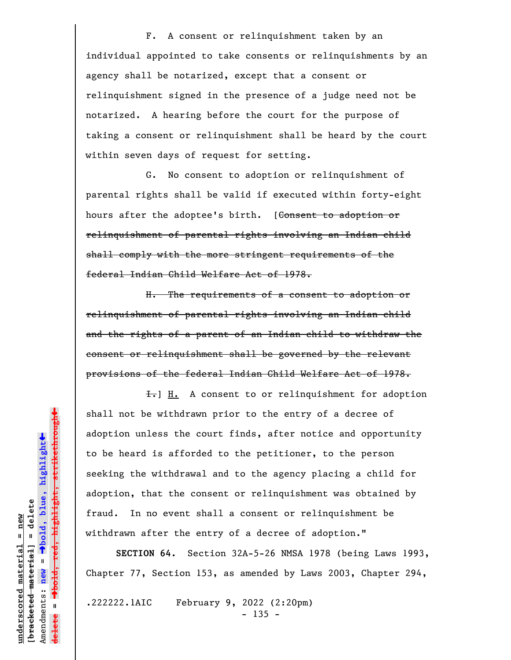F. A consent or relinquishment taken by an individual appointed to take consents or relinquishments by an agency shall be notarized, except that a consent or relinquishment signed in the presence of a judge need not be notarized. A hearing before the court for the purpose of taking a consent or relinquishment shall be heard by the court within seven days of request for setting.

G. No consent to adoption or relinquishment of parental rights shall be valid if executed within forty-eight hours after the adoptee's birth. [Consent to adoption or relinquishment of parental rights involving an Indian child shall comply with the more stringent requirements of the federal Indian Child Welfare Act of 1978.

H. The requirements of a consent to adoption or relinquishment of parental rights involving an Indian child and the rights of a parent of an Indian child to withdraw the consent or relinquishment shall be governed by the relevant provisions of the federal Indian Child Welfare Act of 1978.

 $\overline{f}$ . A consent to or relinquishment for adoption shall not be withdrawn prior to the entry of a decree of adoption unless the court finds, after notice and opportunity to be heard is afforded to the petitioner, to the person seeking the withdrawal and to the agency placing a child for adoption, that the consent or relinquishment was obtained by fraud. In no event shall a consent or relinquishment be withdrawn after the entry of a decree of adoption."

**SECTION 64.** Section 32A-5-26 NMSA 1978 (being Laws 1993, Chapter 77, Section 153, as amended by Laws 2003, Chapter 294,

.222222.1AIC February 9, 2022 (2:20pm)  $- 135 -$ 

º**bold, red, highlight, strikethrough**  $\ddot{\bullet}$ º**bold, blue, highlight**  $b$ racketed material] = delete **[bracketed material] = delete** inderscored material = new **underscored material = new** Amendments: **new** = Amendments: new =  $\mathbf{I}$ **delete =**

 $\ddag$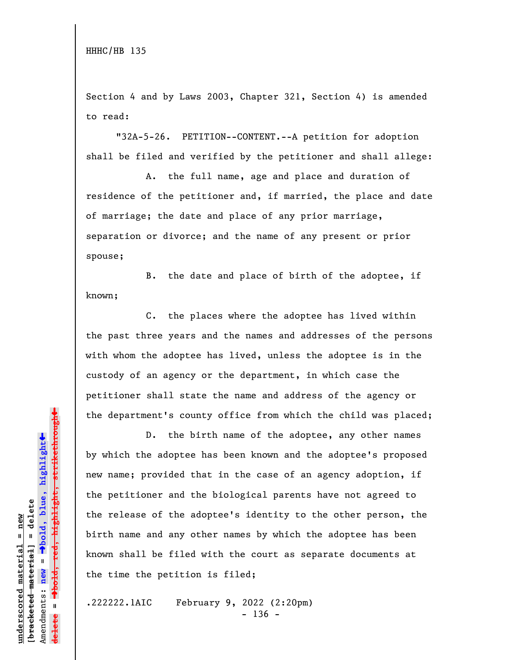Section 4 and by Laws 2003, Chapter 321, Section 4) is amended to read:

"32A-5-26. PETITION--CONTENT.--A petition for adoption shall be filed and verified by the petitioner and shall allege:

A. the full name, age and place and duration of residence of the petitioner and, if married, the place and date of marriage; the date and place of any prior marriage, separation or divorce; and the name of any present or prior spouse;

B. the date and place of birth of the adoptee, if known;

C. the places where the adoptee has lived within the past three years and the names and addresses of the persons with whom the adoptee has lived, unless the adoptee is in the custody of an agency or the department, in which case the petitioner shall state the name and address of the agency or the department's county office from which the child was placed;

D. the birth name of the adoptee, any other names by which the adoptee has been known and the adoptee's proposed new name; provided that in the case of an agency adoption, if the petitioner and the biological parents have not agreed to the release of the adoptee's identity to the other person, the birth name and any other names by which the adoptee has been known shall be filed with the court as separate documents at the time the petition is filed;

.222222.1AIC February 9, 2022 (2:20pm)  $- 136 -$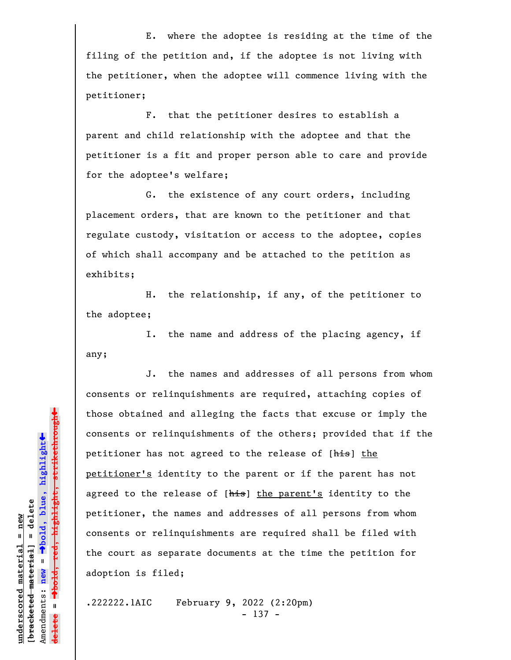E. where the adoptee is residing at the time of the filing of the petition and, if the adoptee is not living with the petitioner, when the adoptee will commence living with the petitioner;

F. that the petitioner desires to establish a parent and child relationship with the adoptee and that the petitioner is a fit and proper person able to care and provide for the adoptee's welfare;

G. the existence of any court orders, including placement orders, that are known to the petitioner and that regulate custody, visitation or access to the adoptee, copies of which shall accompany and be attached to the petition as exhibits;

H. the relationship, if any, of the petitioner to the adoptee;

I. the name and address of the placing agency, if any;

J. the names and addresses of all persons from whom consents or relinquishments are required, attaching copies of those obtained and alleging the facts that excuse or imply the consents or relinquishments of the others; provided that if the petitioner has not agreed to the release of [his] the petitioner's identity to the parent or if the parent has not agreed to the release of [his] the parent's identity to the petitioner, the names and addresses of all persons from whom consents or relinquishments are required shall be filed with the court as separate documents at the time the petition for adoption is filed;

.222222.1AIC February 9, 2022 (2:20pm) - 137 -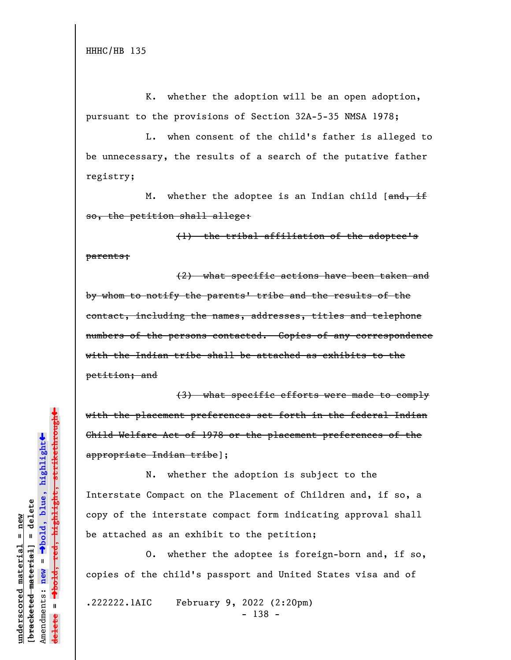K. whether the adoption will be an open adoption, pursuant to the provisions of Section 32A-5-35 NMSA 1978;

L. when consent of the child's father is alleged to be unnecessary, the results of a search of the putative father registry;

M. whether the adoptee is an Indian child  $[ $\theta$  and  $\theta$  if$ so, the petition shall allege:

(1) the tribal affiliation of the adoptee's parents;

(2) what specific actions have been taken and by whom to notify the parents' tribe and the results of the contact, including the names, addresses, titles and telephone numbers of the persons contacted. Copies of any correspondence with the Indian tribe shall be attached as exhibits to the petition; and

(3) what specific efforts were made to comply with the placement preferences set forth in the federal Indian Child Welfare Act of 1978 or the placement preferences of the appropriate Indian tribe];

N. whether the adoption is subject to the Interstate Compact on the Placement of Children and, if so, a copy of the interstate compact form indicating approval shall be attached as an exhibit to the petition;

O. whether the adoptee is foreign-born and, if so, copies of the child's passport and United States visa and of

.222222.1AIC February 9, 2022 (2:20pm) - 138 -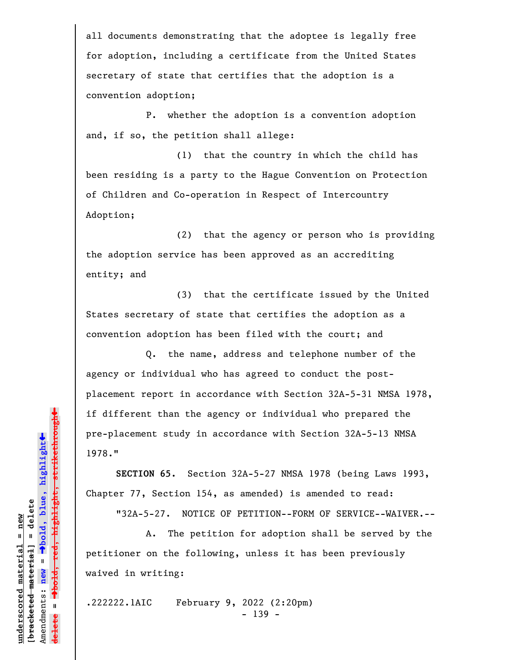all documents demonstrating that the adoptee is legally free for adoption, including a certificate from the United States secretary of state that certifies that the adoption is a convention adoption;

P. whether the adoption is a convention adoption and, if so, the petition shall allege:

(1) that the country in which the child has been residing is a party to the Hague Convention on Protection of Children and Co-operation in Respect of Intercountry Adoption;

(2) that the agency or person who is providing the adoption service has been approved as an accrediting entity; and

(3) that the certificate issued by the United States secretary of state that certifies the adoption as a convention adoption has been filed with the court; and

Q. the name, address and telephone number of the agency or individual who has agreed to conduct the postplacement report in accordance with Section 32A-5-31 NMSA 1978, if different than the agency or individual who prepared the pre-placement study in accordance with Section 32A-5-13 NMSA 1978."

**SECTION 65.** Section 32A-5-27 NMSA 1978 (being Laws 1993, Chapter 77, Section 154, as amended) is amended to read:

"32A-5-27. NOTICE OF PETITION--FORM OF SERVICE--WAIVER.--

A. The petition for adoption shall be served by the petitioner on the following, unless it has been previously waived in writing:

.222222.1AIC February 9, 2022 (2:20pm) - 139 -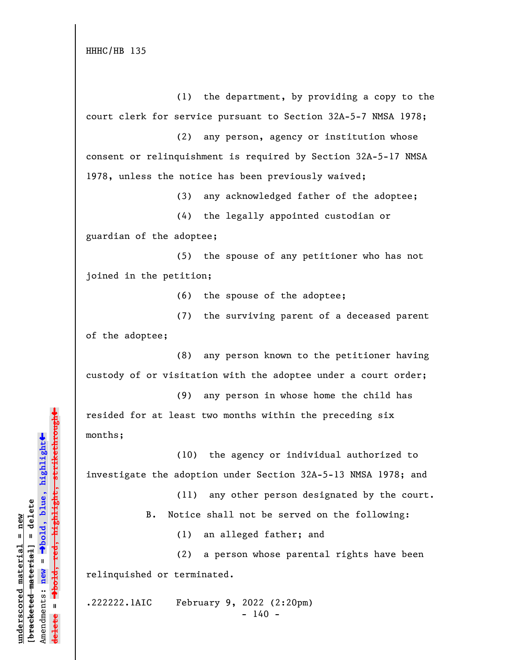(1) the department, by providing a copy to the court clerk for service pursuant to Section 32A-5-7 NMSA 1978;

(2) any person, agency or institution whose consent or relinquishment is required by Section 32A-5-17 NMSA 1978, unless the notice has been previously waived;

(3) any acknowledged father of the adoptee;

(4) the legally appointed custodian or guardian of the adoptee;

(5) the spouse of any petitioner who has not joined in the petition;

(6) the spouse of the adoptee;

(7) the surviving parent of a deceased parent of the adoptee;

(8) any person known to the petitioner having custody of or visitation with the adoptee under a court order;

(9) any person in whose home the child has resided for at least two months within the preceding six months;

(10) the agency or individual authorized to investigate the adoption under Section 32A-5-13 NMSA 1978; and

> (11) any other person designated by the court. B. Notice shall not be served on the following:

> > (1) an alleged father; and

(2) a person whose parental rights have been relinquished or terminated.

.222222.1AIC February 9, 2022 (2:20pm)  $- 140 -$ 

»º**bold, red, highlight, strikethrough**  $\ddot{\bullet}$ º**bold, blue, highlight**  $b$ racketed material] = delete **[bracketed material] = delete** inderscored material = new **underscored material = new** Amendments: **new** =  $\bar{\mathbf{u}}$ Amendments: new  $\mathbf{u}$ **delete =** lelete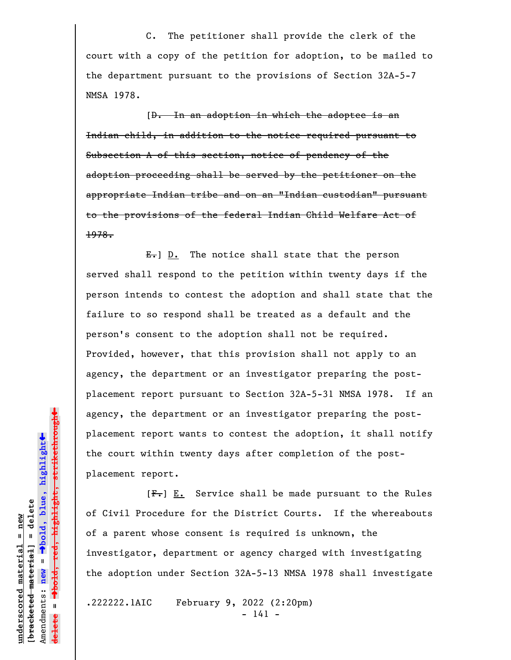C. The petitioner shall provide the clerk of the court with a copy of the petition for adoption, to be mailed to the department pursuant to the provisions of Section 32A-5-7 NMSA 1978.

[D. In an adoption in which the adoptee is an Indian child, in addition to the notice required pursuant to Subsection A of this section, notice of pendency of the adoption proceeding shall be served by the petitioner on the appropriate Indian tribe and on an "Indian custodian" pursuant to the provisions of the federal Indian Child Welfare Act of 1978.

 $E_{\bullet}$ ] D. The notice shall state that the person served shall respond to the petition within twenty days if the person intends to contest the adoption and shall state that the failure to so respond shall be treated as a default and the person's consent to the adoption shall not be required. Provided, however, that this provision shall not apply to an agency, the department or an investigator preparing the postplacement report pursuant to Section 32A-5-31 NMSA 1978. If an agency, the department or an investigator preparing the postplacement report wants to contest the adoption, it shall notify the court within twenty days after completion of the postplacement report.

 $[F_{\bullet}]$   $E_{\bullet}$  Service shall be made pursuant to the Rules of Civil Procedure for the District Courts. If the whereabouts of a parent whose consent is required is unknown, the investigator, department or agency charged with investigating the adoption under Section 32A-5-13 NMSA 1978 shall investigate

.222222.1AIC February 9, 2022 (2:20pm) - 141 -

 $\ddag$ º**bold, red, highlight, strikethrough**  $\ddot{\bullet}$ º**bold, blue, highlight**  $b$ racketed material] = delete **[bracketed material] = delete** inderscored material = new **underscored material = new** Amendments: **new** =  $\bar{\mathbf{u}}$ Amendments: new  $\mathbf{I}$ **delete =**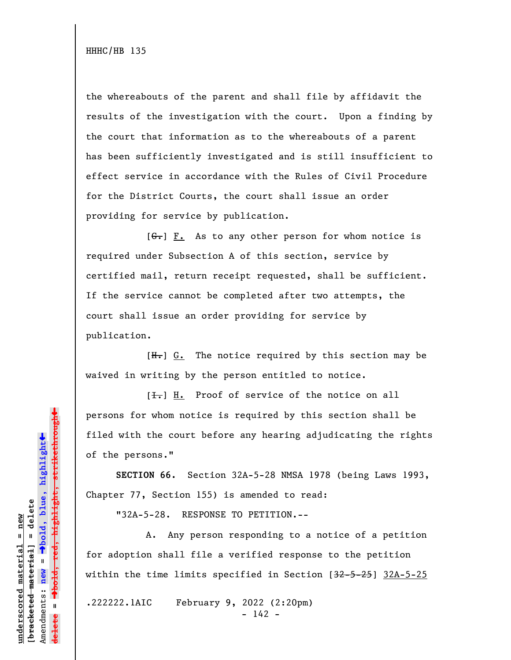the whereabouts of the parent and shall file by affidavit the results of the investigation with the court. Upon a finding by the court that information as to the whereabouts of a parent has been sufficiently investigated and is still insufficient to effect service in accordance with the Rules of Civil Procedure for the District Courts, the court shall issue an order providing for service by publication.

 $[G<sub>r</sub>]$  F. As to any other person for whom notice is required under Subsection A of this section, service by certified mail, return receipt requested, shall be sufficient. If the service cannot be completed after two attempts, the court shall issue an order providing for service by publication.

 $[H<sub>z</sub>]$  G. The notice required by this section may be waived in writing by the person entitled to notice.

 $[\frac{1}{\sqrt{1}}]$  H. Proof of service of the notice on all persons for whom notice is required by this section shall be filed with the court before any hearing adjudicating the rights of the persons."

**SECTION 66.** Section 32A-5-28 NMSA 1978 (being Laws 1993, Chapter 77, Section 155) is amended to read:

"32A-5-28. RESPONSE TO PETITION.--

A. Any person responding to a notice of a petition for adoption shall file a verified response to the petition within the time limits specified in Section [32-5-25] 32A-5-25

.222222.1AIC February 9, 2022 (2:20pm) - 142 -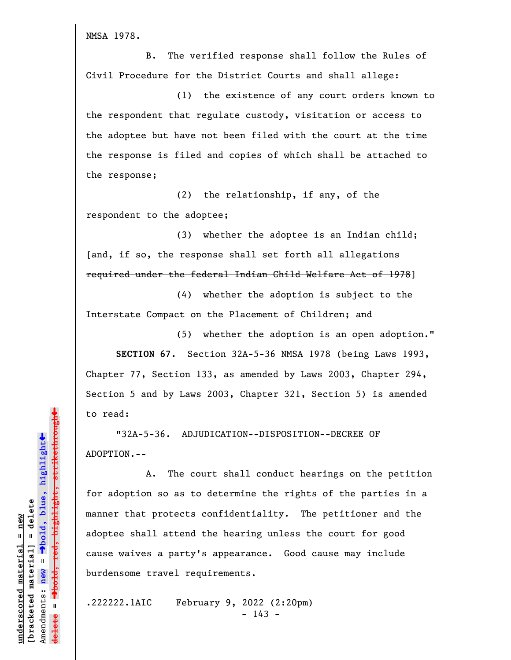NMSA 1978.

B. The verified response shall follow the Rules of Civil Procedure for the District Courts and shall allege:

(1) the existence of any court orders known to the respondent that regulate custody, visitation or access to the adoptee but have not been filed with the court at the time the response is filed and copies of which shall be attached to the response;

(2) the relationship, if any, of the respondent to the adoptee;

(3) whether the adoptee is an Indian child; [and, if so, the response shall set forth all allegations required under the federal Indian Child Welfare Act of 1978]

(4) whether the adoption is subject to the Interstate Compact on the Placement of Children; and

(5) whether the adoption is an open adoption." **SECTION 67.** Section 32A-5-36 NMSA 1978 (being Laws 1993, Chapter 77, Section 133, as amended by Laws 2003, Chapter 294, Section 5 and by Laws 2003, Chapter 321, Section 5) is amended to read:

"32A-5-36. ADJUDICATION--DISPOSITION--DECREE OF ADOPTION.--

A. The court shall conduct hearings on the petition for adoption so as to determine the rights of the parties in a manner that protects confidentiality. The petitioner and the adoptee shall attend the hearing unless the court for good cause waives a party's appearance. Good cause may include burdensome travel requirements.

.222222.1AIC February 9, 2022 (2:20pm)  $- 143 -$ 

 $\ddag$ º**bold, red, highlight, strikethrough**  $\ddot{\bullet}$ º**bold, blue, highlight**  $b$ racketed material] = delete **[bracketed material] = delete** inderscored material = new **underscored material = new** Amendments: **new** =  $\bar{\mathbf{u}}$ Amendments: new  $\mathbf{I}$ **delete =**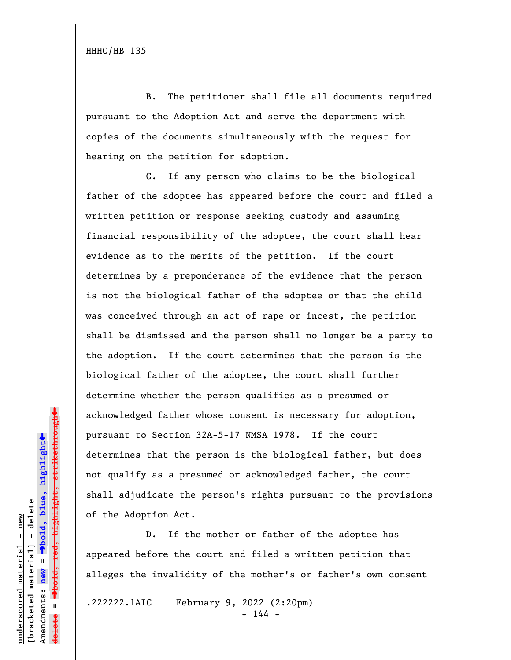B. The petitioner shall file all documents required pursuant to the Adoption Act and serve the department with copies of the documents simultaneously with the request for hearing on the petition for adoption.

C. If any person who claims to be the biological father of the adoptee has appeared before the court and filed a written petition or response seeking custody and assuming financial responsibility of the adoptee, the court shall hear evidence as to the merits of the petition. If the court determines by a preponderance of the evidence that the person is not the biological father of the adoptee or that the child was conceived through an act of rape or incest, the petition shall be dismissed and the person shall no longer be a party to the adoption. If the court determines that the person is the biological father of the adoptee, the court shall further determine whether the person qualifies as a presumed or acknowledged father whose consent is necessary for adoption, pursuant to Section 32A-5-17 NMSA 1978. If the court determines that the person is the biological father, but does not qualify as a presumed or acknowledged father, the court shall adjudicate the person's rights pursuant to the provisions of the Adoption Act.

D. If the mother or father of the adoptee has appeared before the court and filed a written petition that alleges the invalidity of the mother's or father's own consent

.222222.1AIC February 9, 2022 (2:20pm) - 144 -

 $\ddag$ º**bold, red, highlight, strikethrough**  $\ddot{\bullet}$ º**bold, blue, highlight**  $b$ racketed material] = delete **[bracketed material] = delete** inderscored material = new **underscored material = new** Amendments: **new** =  $\bar{\mathbf{u}}$ Amendments: new  $\mathbf{I}$ **delete =**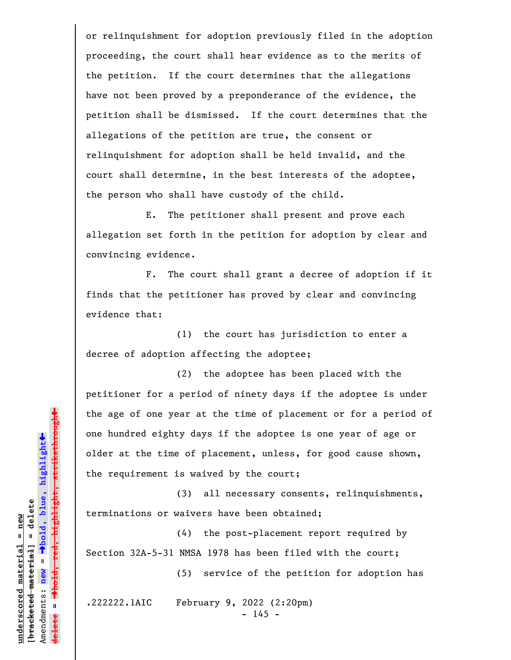or relinquishment for adoption previously filed in the adoption proceeding, the court shall hear evidence as to the merits of the petition. If the court determines that the allegations have not been proved by a preponderance of the evidence, the petition shall be dismissed. If the court determines that the allegations of the petition are true, the consent or relinquishment for adoption shall be held invalid, and the court shall determine, in the best interests of the adoptee, the person who shall have custody of the child.

E. The petitioner shall present and prove each allegation set forth in the petition for adoption by clear and convincing evidence.

F. The court shall grant a decree of adoption if it finds that the petitioner has proved by clear and convincing evidence that:

(1) the court has jurisdiction to enter a decree of adoption affecting the adoptee;

(2) the adoptee has been placed with the petitioner for a period of ninety days if the adoptee is under the age of one year at the time of placement or for a period of one hundred eighty days if the adoptee is one year of age or older at the time of placement, unless, for good cause shown, the requirement is waived by the court;

(3) all necessary consents, relinquishments, terminations or waivers have been obtained;

(4) the post-placement report required by Section 32A-5-31 NMSA 1978 has been filed with the court;

(5) service of the petition for adoption has

.222222.1AIC February 9, 2022 (2:20pm) - 145 -

 $\ddag$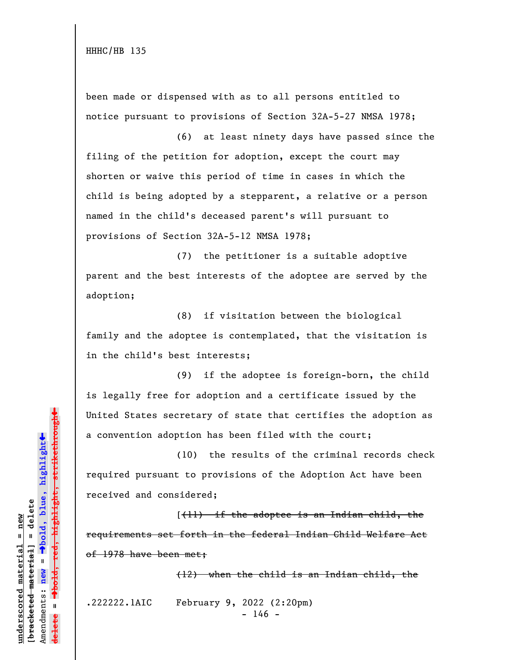been made or dispensed with as to all persons entitled to notice pursuant to provisions of Section 32A-5-27 NMSA 1978;

(6) at least ninety days have passed since the filing of the petition for adoption, except the court may shorten or waive this period of time in cases in which the child is being adopted by a stepparent, a relative or a person named in the child's deceased parent's will pursuant to provisions of Section 32A-5-12 NMSA 1978;

(7) the petitioner is a suitable adoptive parent and the best interests of the adoptee are served by the adoption;

(8) if visitation between the biological family and the adoptee is contemplated, that the visitation is in the child's best interests;

(9) if the adoptee is foreign-born, the child is legally free for adoption and a certificate issued by the United States secretary of state that certifies the adoption as a convention adoption has been filed with the court;

(10) the results of the criminal records check required pursuant to provisions of the Adoption Act have been received and considered;

 $(11)$  if the adoptee is an Indian child, the requirements set forth in the federal Indian Child Welfare Act of 1978 have been met;

(12) when the child is an Indian child, the

.222222.1AIC February 9, 2022 (2:20pm)

 $- 146 -$ 

 $\ddag$ º**bold, red, highlight, strikethrough**  $\ddot{\bullet}$ º**bold, blue, highlight**  $b$ racketed material] = delete **[bracketed material] = delete** inderscored material = new **underscored material = new** Amendments: **new** =  $\mathbf{u}$ Amendments: new  $\mathbf{u}$ **delete = lelete**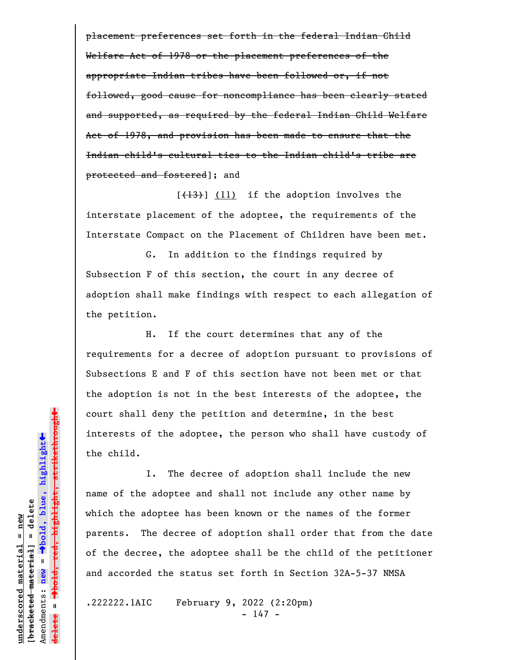placement preferences set forth in the federal Indian Child Welfare Act of 1978 or the placement preferences of the appropriate Indian tribes have been followed or, if not followed, good cause for noncompliance has been clearly stated and supported, as required by the federal Indian Child Welfare Act of 1978, and provision has been made to ensure that the Indian child's cultural ties to the Indian child's tribe are protected and fostered]; and

 $[\frac{13}{13}]$  (11) if the adoption involves the interstate placement of the adoptee, the requirements of the Interstate Compact on the Placement of Children have been met.

G. In addition to the findings required by Subsection F of this section, the court in any decree of adoption shall make findings with respect to each allegation of the petition.

H. If the court determines that any of the requirements for a decree of adoption pursuant to provisions of Subsections E and F of this section have not been met or that the adoption is not in the best interests of the adoptee, the court shall deny the petition and determine, in the best interests of the adoptee, the person who shall have custody of the child.

I. The decree of adoption shall include the new name of the adoptee and shall not include any other name by which the adoptee has been known or the names of the former parents. The decree of adoption shall order that from the date of the decree, the adoptee shall be the child of the petitioner and accorded the status set forth in Section 32A-5-37 NMSA

.222222.1AIC February 9, 2022 (2:20pm) - 147 -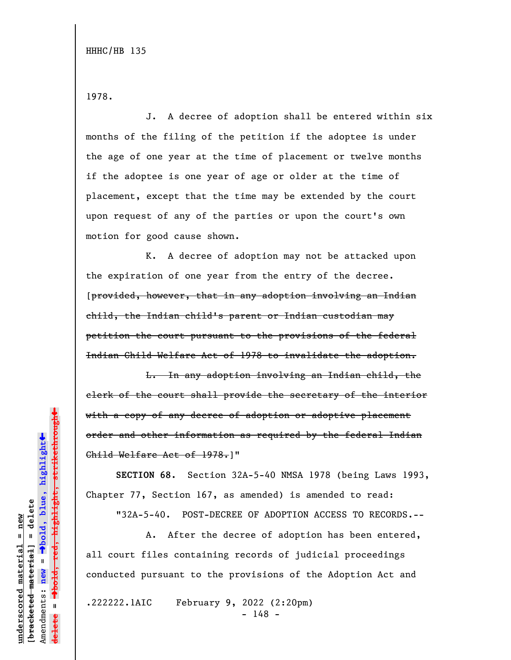1978.

J. A decree of adoption shall be entered within six months of the filing of the petition if the adoptee is under the age of one year at the time of placement or twelve months if the adoptee is one year of age or older at the time of placement, except that the time may be extended by the court upon request of any of the parties or upon the court's own motion for good cause shown.

K. A decree of adoption may not be attacked upon the expiration of one year from the entry of the decree. [provided, however, that in any adoption involving an Indian child, the Indian child's parent or Indian custodian may petition the court pursuant to the provisions of the federal Indian Child Welfare Act of 1978 to invalidate the adoption.

L. In any adoption involving an Indian child, the clerk of the court shall provide the secretary of the interior with a copy of any decree of adoption or adoptive placement order and other information as required by the federal Indian Child Welfare Act of 1978.]"

**SECTION 68.** Section 32A-5-40 NMSA 1978 (being Laws 1993, Chapter 77, Section 167, as amended) is amended to read:

"32A-5-40. POST-DECREE OF ADOPTION ACCESS TO RECORDS.--

A. After the decree of adoption has been entered, all court files containing records of judicial proceedings conducted pursuant to the provisions of the Adoption Act and

.222222.1AIC February 9, 2022 (2:20pm) - 148 -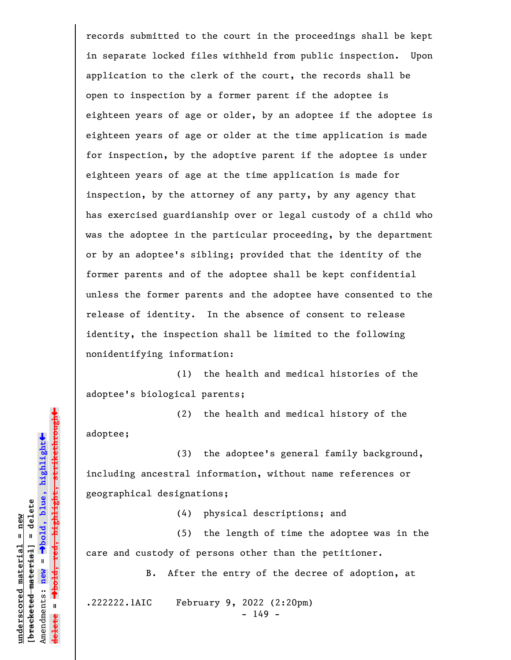records submitted to the court in the proceedings shall be kept in separate locked files withheld from public inspection. Upon application to the clerk of the court, the records shall be open to inspection by a former parent if the adoptee is eighteen years of age or older, by an adoptee if the adoptee is eighteen years of age or older at the time application is made for inspection, by the adoptive parent if the adoptee is under eighteen years of age at the time application is made for inspection, by the attorney of any party, by any agency that has exercised guardianship over or legal custody of a child who was the adoptee in the particular proceeding, by the department or by an adoptee's sibling; provided that the identity of the former parents and of the adoptee shall be kept confidential unless the former parents and the adoptee have consented to the release of identity. In the absence of consent to release identity, the inspection shall be limited to the following nonidentifying information:

(1) the health and medical histories of the adoptee's biological parents;

(2) the health and medical history of the adoptee;

(3) the adoptee's general family background, including ancestral information, without name references or geographical designations;

(4) physical descriptions; and

(5) the length of time the adoptee was in the care and custody of persons other than the petitioner.

B. After the entry of the decree of adoption, at

.222222.1AIC February 9, 2022 (2:20pm)

- 149 -

 $\ddag$ º**bold, red, highlight, strikethrough**  $\ddot{\bullet}$ º**bold, blue, highlight**  $b$ racketed material] = delete **[bracketed material] = delete**  $anderscored material = new$ **underscored material = new** Amendments: **new** =  $\mathbf{I}$ Amendments: new  $\bar{\mathbf{H}}$ **delete =** lelete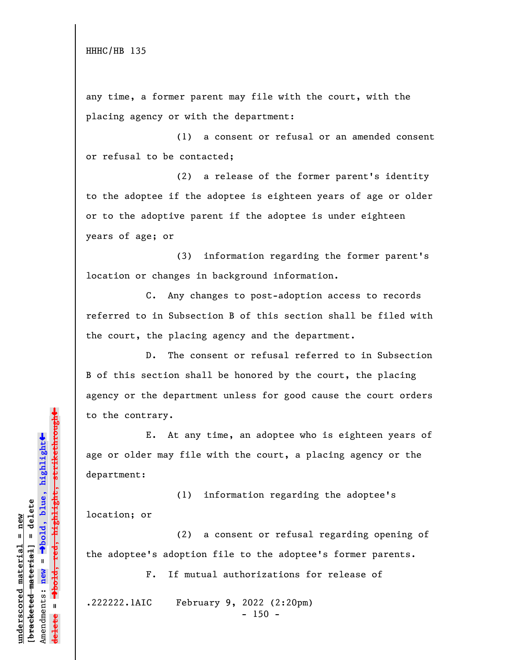any time, a former parent may file with the court, with the placing agency or with the department:

(1) a consent or refusal or an amended consent or refusal to be contacted;

(2) a release of the former parent's identity to the adoptee if the adoptee is eighteen years of age or older or to the adoptive parent if the adoptee is under eighteen years of age; or

(3) information regarding the former parent's location or changes in background information.

C. Any changes to post-adoption access to records referred to in Subsection B of this section shall be filed with the court, the placing agency and the department.

D. The consent or refusal referred to in Subsection B of this section shall be honored by the court, the placing agency or the department unless for good cause the court orders to the contrary.

E. At any time, an adoptee who is eighteen years of age or older may file with the court, a placing agency or the department:

(1) information regarding the adoptee's location; or

(2) a consent or refusal regarding opening of the adoptee's adoption file to the adoptee's former parents.

F. If mutual authorizations for release of

.222222.1AIC February 9, 2022 (2:20pm)

 $- 150 -$ 

»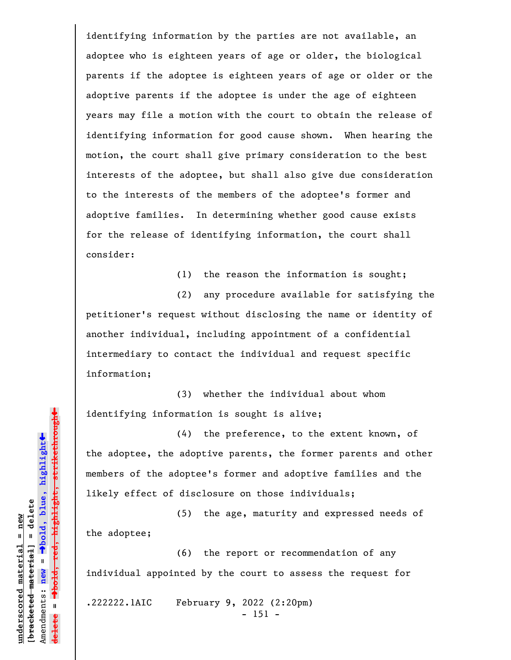identifying information by the parties are not available, an adoptee who is eighteen years of age or older, the biological parents if the adoptee is eighteen years of age or older or the adoptive parents if the adoptee is under the age of eighteen years may file a motion with the court to obtain the release of identifying information for good cause shown. When hearing the motion, the court shall give primary consideration to the best interests of the adoptee, but shall also give due consideration to the interests of the members of the adoptee's former and adoptive families. In determining whether good cause exists for the release of identifying information, the court shall consider:

(1) the reason the information is sought;

(2) any procedure available for satisfying the petitioner's request without disclosing the name or identity of another individual, including appointment of a confidential intermediary to contact the individual and request specific information;

(3) whether the individual about whom identifying information is sought is alive;

(4) the preference, to the extent known, of the adoptee, the adoptive parents, the former parents and other members of the adoptee's former and adoptive families and the likely effect of disclosure on those individuals;

(5) the age, maturity and expressed needs of the adoptee;

(6) the report or recommendation of any individual appointed by the court to assess the request for

.222222.1AIC February 9, 2022 (2:20pm) - 151 -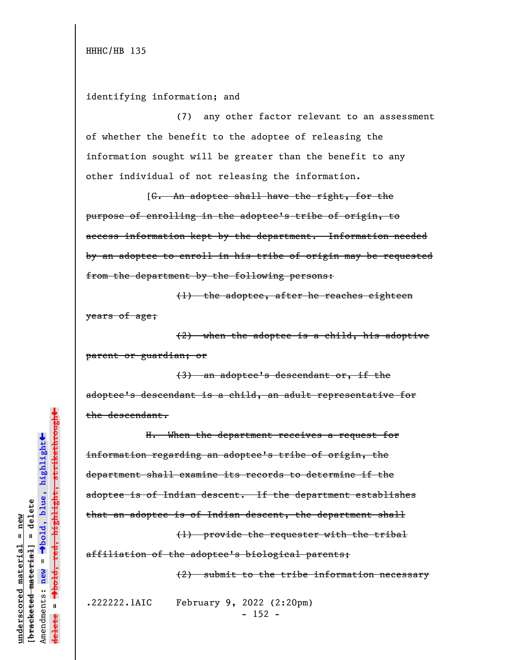## identifying information; and

(7) any other factor relevant to an assessment of whether the benefit to the adoptee of releasing the information sought will be greater than the benefit to any other individual of not releasing the information.

[G. An adoptee shall have the right, for the purpose of enrolling in the adoptee's tribe of origin, to access information kept by the department. Information needed by an adoptee to enroll in his tribe of origin may be requested from the department by the following persons:

(1) the adoptee, after he reaches eighteen years of age;

(2) when the adoptee is a child, his adoptive parent or guardian; or

(3) an adoptee's descendant or, if the adoptee's descendant is a child, an adult representative for the descendant.

H. When the department receives a request for information regarding an adoptee's tribe of origin, the department shall examine its records to determine if the adoptee is of Indian descent. If the department establishes that an adoptee is of Indian descent, the department shall

(1) provide the requester with the tribal affiliation of the adoptee's biological parents;

(2) submit to the tribe information necessary

.222222.1AIC February 9, 2022 (2:20pm) - 152 -

 $\ddag$ º**bold, red, highlight, strikethrough**  $\ddot{\bullet}$ º**bold, blue, highlight**  $b$ racketed material] = delete **[bracketed material] = delete**  $anderscored material = new$ **underscored material = new** Amendments: **new** =  $\mathbf{u}$ Amendments: new **delete =**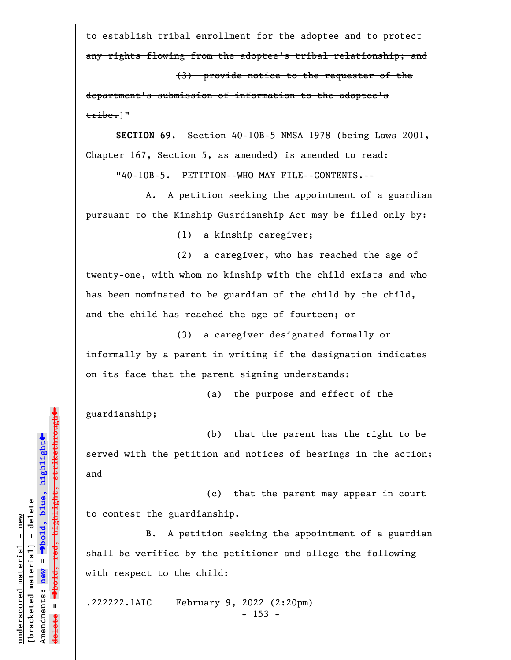to establish tribal enrollment for the adoptee and to protect any rights flowing from the adoptee's tribal relationship; and

(3) provide notice to the requester of the

department's submission of information to the adoptee's tribe.]"

**SECTION 69.** Section 40-10B-5 NMSA 1978 (being Laws 2001, Chapter 167, Section 5, as amended) is amended to read:

"40-10B-5. PETITION--WHO MAY FILE--CONTENTS.--

A. A petition seeking the appointment of a guardian pursuant to the Kinship Guardianship Act may be filed only by:

(1) a kinship caregiver;

(2) a caregiver, who has reached the age of twenty-one, with whom no kinship with the child exists and who has been nominated to be guardian of the child by the child, and the child has reached the age of fourteen; or

(3) a caregiver designated formally or informally by a parent in writing if the designation indicates on its face that the parent signing understands:

(a) the purpose and effect of the

guardianship;

(b) that the parent has the right to be served with the petition and notices of hearings in the action; and

(c) that the parent may appear in court to contest the guardianship.

B. A petition seeking the appointment of a guardian shall be verified by the petitioner and allege the following with respect to the child:

.222222.1AIC February 9, 2022 (2:20pm) - 153 -

»highlight, strikethrough º**bold, red, highlight, strikethrough**  $\ddot{\bullet}$ º**bold, blue, highlight** bracketed material] = delete **[bracketed material] = delete** inderscored material = new **underscored material = new** Amendments: **new** =  $\mathbf{I}$ Amendments: new  $\mathbf{I}$ **delete =**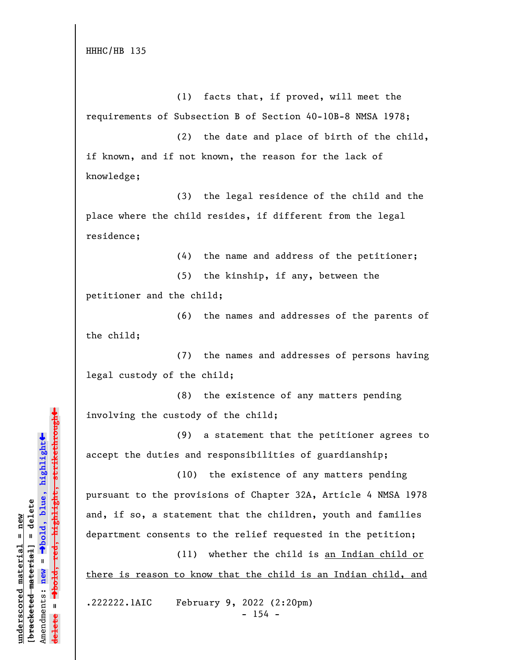HHHC/HB 135

(1) facts that, if proved, will meet the requirements of Subsection B of Section 40-10B-8 NMSA 1978;

(2) the date and place of birth of the child, if known, and if not known, the reason for the lack of knowledge;

(3) the legal residence of the child and the place where the child resides, if different from the legal residence;

(4) the name and address of the petitioner;

(5) the kinship, if any, between the petitioner and the child;

(6) the names and addresses of the parents of the child;

(7) the names and addresses of persons having legal custody of the child;

(8) the existence of any matters pending involving the custody of the child;

(9) a statement that the petitioner agrees to accept the duties and responsibilities of guardianship;

(10) the existence of any matters pending pursuant to the provisions of Chapter 32A, Article 4 NMSA 1978 and, if so, a statement that the children, youth and families department consents to the relief requested in the petition;

there is reason to know that the child is an Indian child, and

(11) whether the child is an Indian child or

.222222.1AIC February 9, 2022 (2:20pm)  $- 154 -$ 

»highlight, strikethrough º**bold, red, highlight, strikethrough**  $\ddot{\bullet}$ º**bold, blue, highlight**  $b$ racketed material] = delete **[bracketed material] = delete** inderscored material = new **underscored material = new** Amendments: **new** =  $\mathbf{I}$ Amendments: new  $\mathbf{u}$ **delete =**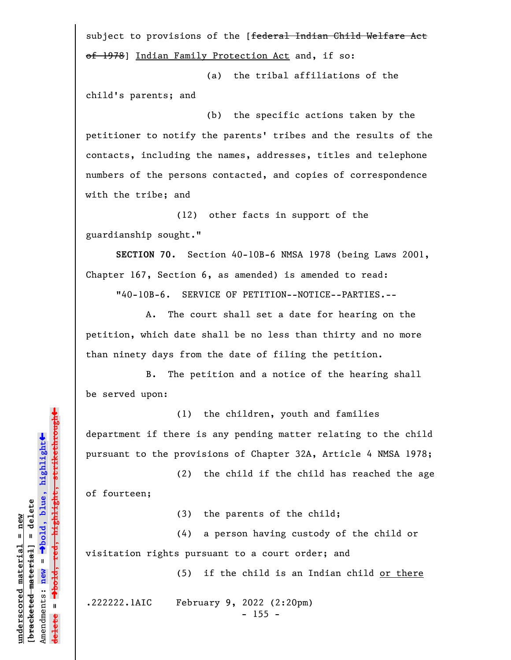subject to provisions of the [federal Indian Child Welfare Act of 1978] Indian Family Protection Act and, if so:

(a) the tribal affiliations of the child's parents; and

(b) the specific actions taken by the petitioner to notify the parents' tribes and the results of the contacts, including the names, addresses, titles and telephone numbers of the persons contacted, and copies of correspondence with the tribe; and

(12) other facts in support of the guardianship sought."

**SECTION 70.** Section 40-10B-6 NMSA 1978 (being Laws 2001, Chapter 167, Section 6, as amended) is amended to read:

"40-10B-6. SERVICE OF PETITION--NOTICE--PARTIES.--

A. The court shall set a date for hearing on the petition, which date shall be no less than thirty and no more than ninety days from the date of filing the petition.

B. The petition and a notice of the hearing shall be served upon:

(1) the children, youth and families department if there is any pending matter relating to the child pursuant to the provisions of Chapter 32A, Article 4 NMSA 1978;

(2) the child if the child has reached the age of fourteen;

(3) the parents of the child;

(4) a person having custody of the child or visitation rights pursuant to a court order; and

(5) if the child is an Indian child or there

.222222.1AIC February 9, 2022 (2:20pm)

- 155 -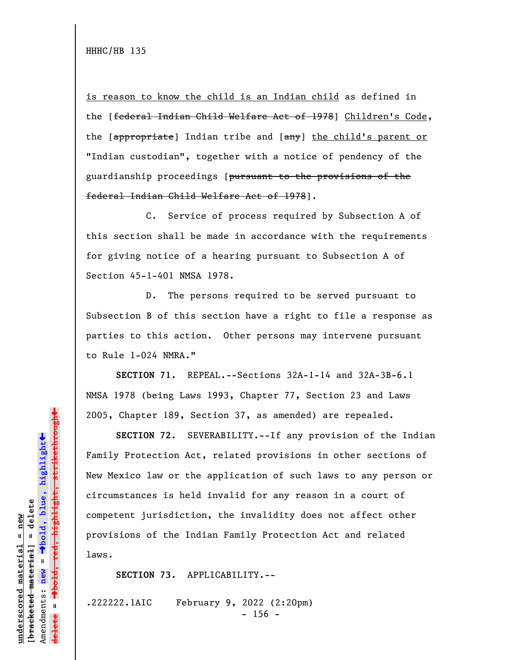is reason to know the child is an Indian child as defined in the [federal Indian Child Welfare Act of 1978] Children's Code, the [appropriate] Indian tribe and [any] the child's parent or "Indian custodian", together with a notice of pendency of the guardianship proceedings [pursuant to the provisions of the federal Indian Child Welfare Act of 1978].

C. Service of process required by Subsection A of this section shall be made in accordance with the requirements for giving notice of a hearing pursuant to Subsection A of Section 45-1-401 NMSA 1978.

D. The persons required to be served pursuant to Subsection B of this section have a right to file a response as parties to this action. Other persons may intervene pursuant to Rule 1-024 NMRA."

**SECTION 71.** REPEAL.--Sections 32A-1-14 and 32A-3B-6.1 NMSA 1978 (being Laws 1993, Chapter 77, Section 23 and Laws 2005, Chapter 189, Section 37, as amended) are repealed.

**SECTION 72.** SEVERABILITY.--If any provision of the Indian Family Protection Act, related provisions in other sections of New Mexico law or the application of such laws to any person or circumstances is held invalid for any reason in a court of competent jurisdiction, the invalidity does not affect other provisions of the Indian Family Protection Act and related laws.

**SECTION 73.** APPLICABILITY.--

.222222.1AIC February 9, 2022 (2:20pm)  $- 156 -$ 

 $\ddag$ º**bold, red, highlight, strikethrough**  $\ddot{\bullet}$ º**bold, blue, highlight**  $b$ racketed material] = delete **[bracketed material] = delete** inderscored material = new **underscored material = new** Amendments: **new** =  $\bar{\mathbf{u}}$ Amendments: new **delete =**